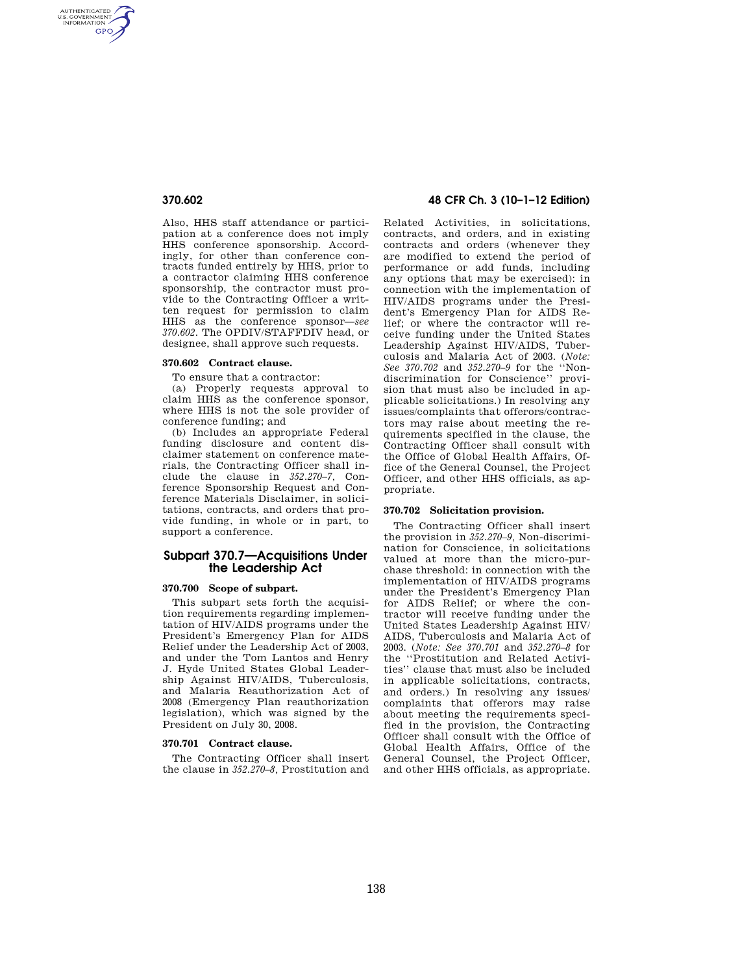AUTHENTICATED<br>U.S. GOVERNMENT<br>INFORMATION GPO

> Also, HHS staff attendance or participation at a conference does not imply HHS conference sponsorship. Accordingly, for other than conference contracts funded entirely by HHS, prior to a contractor claiming HHS conference sponsorship, the contractor must provide to the Contracting Officer a written request for permission to claim HHS as the conference sponsor—*see 370.602*. The OPDIV/STAFFDIV head, or designee, shall approve such requests.

### **370.602 Contract clause.**

To ensure that a contractor:

(a) Properly requests approval to claim HHS as the conference sponsor, where HHS is not the sole provider of conference funding; and

(b) Includes an appropriate Federal funding disclosure and content disclaimer statement on conference materials, the Contracting Officer shall include the clause in *352.270–7,* Conference Sponsorship Request and Conference Materials Disclaimer, in solicitations, contracts, and orders that provide funding, in whole or in part, to support a conference.

## **Subpart 370.7—Acquisitions Under the Leadership Act**

#### **370.700 Scope of subpart.**

This subpart sets forth the acquisition requirements regarding implementation of HIV/AIDS programs under the President's Emergency Plan for AIDS Relief under the Leadership Act of 2003, and under the Tom Lantos and Henry J. Hyde United States Global Leadership Against HIV/AIDS, Tuberculosis, and Malaria Reauthorization Act of 2008 (Emergency Plan reauthorization legislation), which was signed by the President on July 30, 2008.

### **370.701 Contract clause.**

The Contracting Officer shall insert the clause in *352.270–8,* Prostitution and

## **370.602 48 CFR Ch. 3 (10–1–12 Edition)**

Related Activities, in solicitations, contracts, and orders, and in existing contracts and orders (whenever they are modified to extend the period of performance or add funds, including any options that may be exercised): in connection with the implementation of HIV/AIDS programs under the President's Emergency Plan for AIDS Relief; or where the contractor will receive funding under the United States Leadership Against HIV/AIDS, Tuberculosis and Malaria Act of 2003. (*Note: See 370.702* and *352.270–9* for the ''Nondiscrimination for Conscience'' provision that must also be included in applicable solicitations.) In resolving any issues/complaints that offerors/contractors may raise about meeting the requirements specified in the clause, the Contracting Officer shall consult with the Office of Global Health Affairs, Office of the General Counsel, the Project Officer, and other HHS officials, as appropriate.

## **370.702 Solicitation provision.**

The Contracting Officer shall insert the provision in *352.270–9,* Non-discrimination for Conscience, in solicitations valued at more than the micro-purchase threshold: in connection with the implementation of HIV/AIDS programs under the President's Emergency Plan for AIDS Relief; or where the contractor will receive funding under the United States Leadership Against HIV/ AIDS, Tuberculosis and Malaria Act of 2003. (*Note: See 370.701* and *352.270–8* for the ''Prostitution and Related Activities'' clause that must also be included in applicable solicitations, contracts, and orders.) In resolving any issues/ complaints that offerors may raise about meeting the requirements specified in the provision, the Contracting Officer shall consult with the Office of Global Health Affairs, Office of the General Counsel, the Project Officer, and other HHS officials, as appropriate.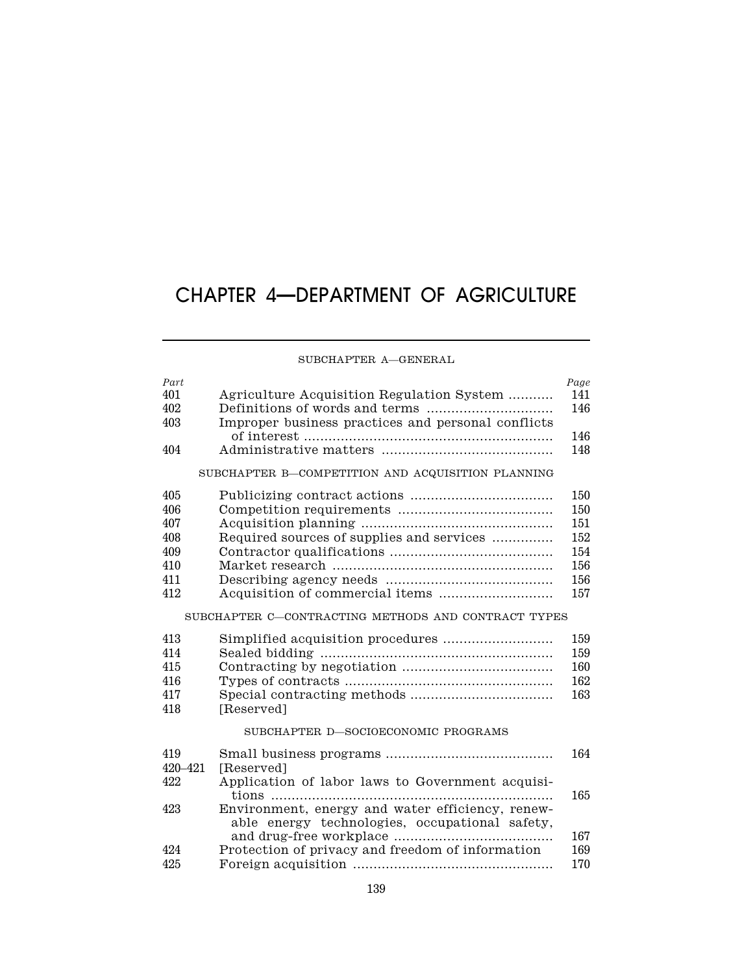# CHAPTER 4—DEPARTMENT OF AGRICULTURE

## SUBCHAPTER A—GENERAL

| Part      |                                                     | Page |
|-----------|-----------------------------------------------------|------|
| 401       | Agriculture Acquisition Regulation System           | 141  |
| 402       |                                                     | 146  |
| 403       | Improper business practices and personal conflicts  |      |
|           |                                                     | 146  |
| 404       |                                                     | 148  |
|           | SUBCHAPTER B-COMPETITION AND ACQUISITION PLANNING   |      |
| 405       |                                                     | 150  |
| 406       |                                                     | 150  |
| 407       |                                                     | 151  |
| 408       | Required sources of supplies and services           | 152  |
| 409       |                                                     | 154  |
| 410       |                                                     | 156  |
| 411       |                                                     | 156  |
| 412       |                                                     | 157  |
|           | SUBCHAPTER C-CONTRACTING METHODS AND CONTRACT TYPES |      |
| 413       | Simplified acquisition procedures                   | 159  |
| 414       |                                                     | 159  |
| 415       |                                                     | 160  |
| 416       |                                                     | 162  |
| 417       |                                                     | 163  |
| 418       | [Reserved]                                          |      |
|           | SUBCHAPTER D-SOCIOECONOMIC PROGRAMS                 |      |
|           |                                                     |      |
| 419       |                                                     | 164  |
| 420 - 421 | [Reserved]                                          |      |
| 422       | Application of labor laws to Government acquisi-    | 165  |
| 423       | Environment, energy and water efficiency, renew-    |      |
|           | able energy technologies, occupational safety,      |      |
|           |                                                     | 167  |
| 424       | Protection of privacy and freedom of information    | 169  |
| 425       |                                                     | 170  |
|           |                                                     |      |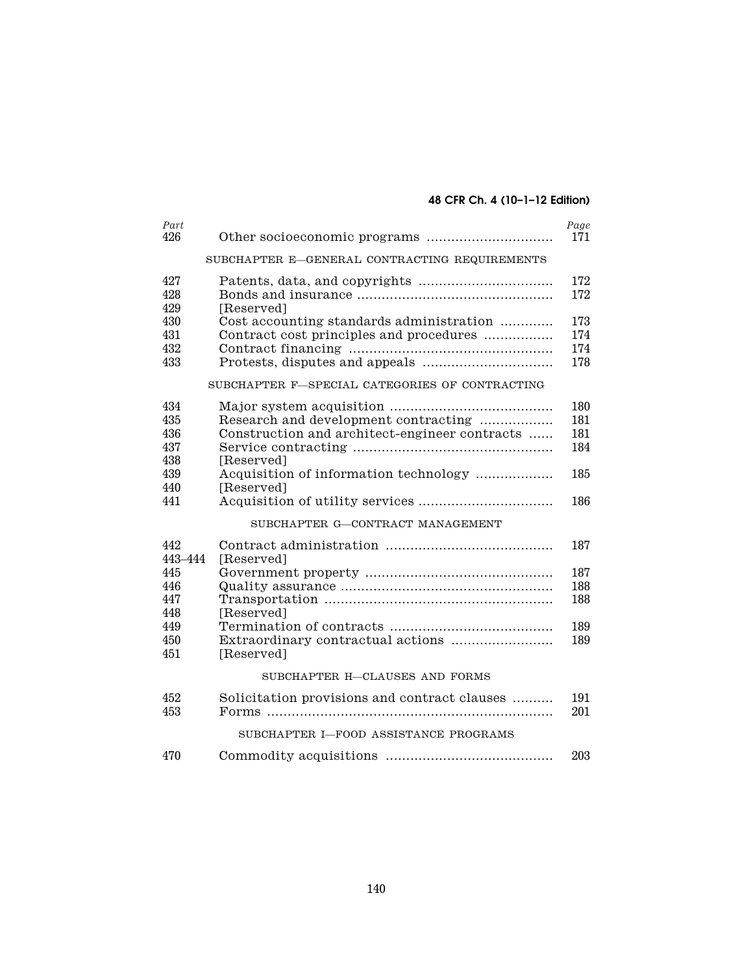# **48 CFR Ch. 4 (10–1–12 Edition)**

| Part<br>426                     |                                                                                                     | Page<br>171              |
|---------------------------------|-----------------------------------------------------------------------------------------------------|--------------------------|
|                                 | SUBCHAPTER E-GENERAL CONTRACTING REQUIREMENTS                                                       |                          |
| 427<br>428<br>429               | [Reserved]                                                                                          | 172<br>172               |
| 430<br>431<br>432<br>433        | Cost accounting standards administration<br>Contract cost principles and procedures                 | 173<br>174<br>174<br>178 |
|                                 | SUBCHAPTER F-SPECIAL CATEGORIES OF CONTRACTING                                                      |                          |
| 434<br>435<br>436<br>437<br>438 | Research and development contracting<br>Construction and architect-engineer contracts<br>[Reserved] | 180<br>181<br>181<br>184 |
| 439                             | Acquisition of information technology                                                               | 185                      |
| 440<br>441                      | [Reserved]                                                                                          | 186                      |
|                                 | SUBCHAPTER G-CONTRACT MANAGEMENT                                                                    |                          |
| 442<br>443-444                  | [Reserved]                                                                                          | 187                      |
| 445<br>446<br>447<br>448        | [Reserved]                                                                                          | 187<br>188<br>188        |
| 449<br>450<br>451               | [Reserved]                                                                                          | 189<br>189               |
|                                 | SUBCHAPTER H-CLAUSES AND FORMS                                                                      |                          |
| 452<br>453                      | Solicitation provisions and contract clauses                                                        | 191<br>201               |
|                                 | SUBCHAPTER I-FOOD ASSISTANCE PROGRAMS                                                               |                          |
| 470                             |                                                                                                     | 203                      |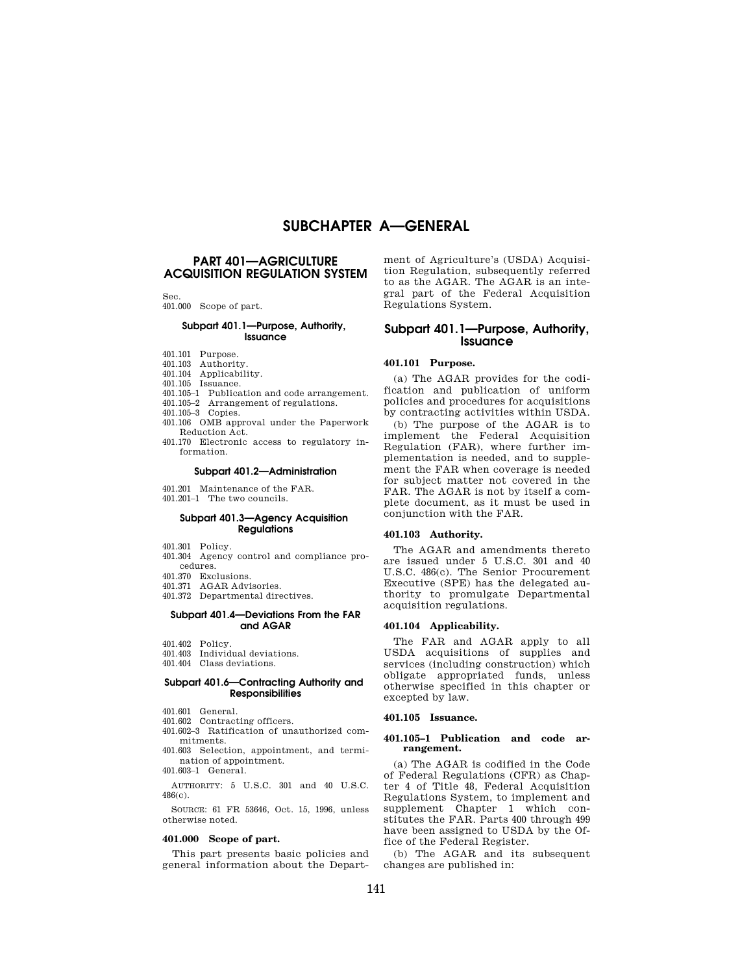# **SUBCHAPTER A—GENERAL**

## **PART 401—AGRICULTURE ACQUISITION REGULATION SYSTEM**

Sec.

## 401.000 Scope of part.

## **Subpart 401.1—Purpose, Authority, Issuance**

- 401.101 Purpose.
- 401.103 Authority.
- 401.104 Applicability.
- 401.105 Issuance.
- 401.105–1 Publication and code arrangement. 401.105–2 Arrangement of regulations.
- 401.105–3 Copies.
- 401.106 OMB approval under the Paperwork
- Reduction Act. 401.170 Electronic access to regulatory in-
- formation.

### **Subpart 401.2—Administration**

- 401.201 Maintenance of the FAR.
- 401.201–1 The two councils.

#### **Subpart 401.3—Agency Acquisition Regulations**

- 401.301 Policy.
- 401.304 Agency control and compliance procedures.
- 401.370 Exclusions.
- 401.371 AGAR Advisories.
- 401.372 Departmental directives.

## **Subpart 401.4—Deviations From the FAR and AGAR**

- 401.402 Policy.
- 401.403 Individual deviations.
- 401.404 Class deviations.

#### **Subpart 401.6—Contracting Authority and Responsibilities**

- 401.601 General.
- 401.602 Contracting officers.
- 401.602–3 Ratification of unauthorized commitments.
- 401.603 Selection, appointment, and termination of appointment.

401.603–1 General.

AUTHORITY: 5 U.S.C. 301 and 40 U.S.C. 486(c).

SOURCE: 61 FR 53646, Oct. 15, 1996, unless otherwise noted.

#### **401.000 Scope of part.**

This part presents basic policies and general information about the Department of Agriculture's (USDA) Acquisition Regulation, subsequently referred to as the AGAR. The AGAR is an integral part of the Federal Acquisition Regulations System.

## **Subpart 401.1—Purpose, Authority, Issuance**

## **401.101 Purpose.**

(a) The AGAR provides for the codification and publication of uniform policies and procedures for acquisitions by contracting activities within USDA.

(b) The purpose of the AGAR is to implement the Federal Acquisition Regulation (FAR), where further implementation is needed, and to supplement the FAR when coverage is needed for subject matter not covered in the FAR. The AGAR is not by itself a complete document, as it must be used in conjunction with the FAR.

### **401.103 Authority.**

The AGAR and amendments thereto are issued under 5 U.S.C. 301 and 40 U.S.C. 486(c). The Senior Procurement Executive (SPE) has the delegated authority to promulgate Departmental acquisition regulations.

#### **401.104 Applicability.**

The FAR and AGAR apply to all USDA acquisitions of supplies and services (including construction) which obligate appropriated funds, unless otherwise specified in this chapter or excepted by law.

### **401.105 Issuance.**

#### **401.105–1 Publication and code arrangement.**

(a) The AGAR is codified in the Code of Federal Regulations (CFR) as Chapter 4 of Title 48, Federal Acquisition Regulations System, to implement and supplement Chapter 1 which constitutes the FAR. Parts 400 through 499 have been assigned to USDA by the Office of the Federal Register.

(b) The AGAR and its subsequent changes are published in: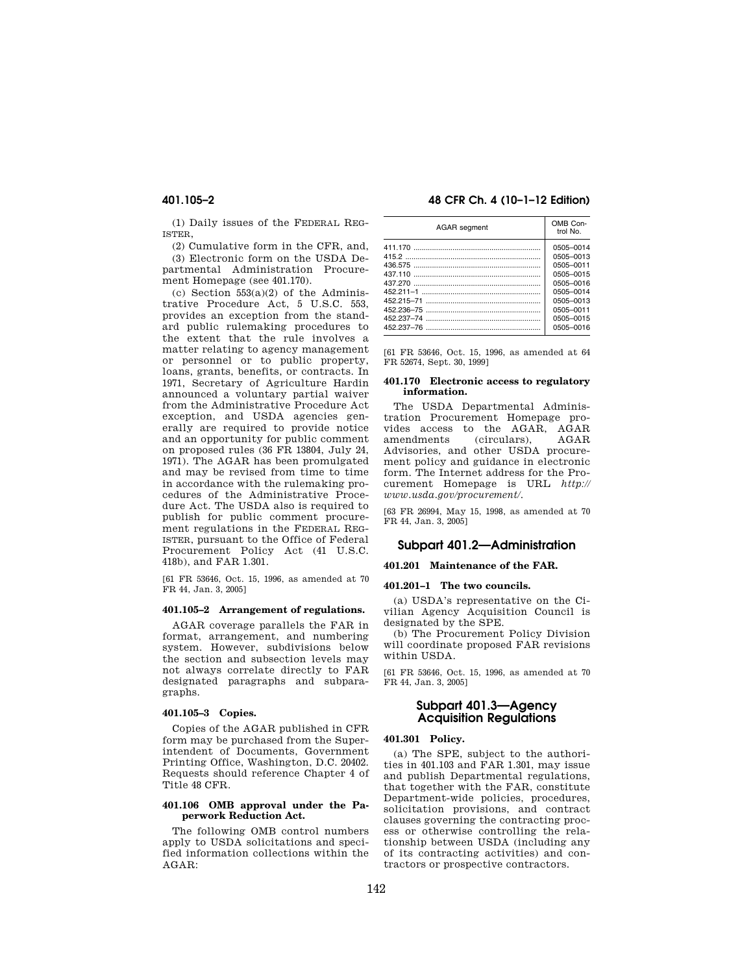(1) Daily issues of the FEDERAL REG-ISTER,

(2) Cumulative form in the CFR, and, (3) Electronic form on the USDA Departmental Administration Procurement Homepage (see 401.170).

(c) Section 553(a)(2) of the Administrative Procedure Act, 5 U.S.C. 553, provides an exception from the standard public rulemaking procedures to the extent that the rule involves a matter relating to agency management or personnel or to public property, loans, grants, benefits, or contracts. In 1971, Secretary of Agriculture Hardin announced a voluntary partial waiver from the Administrative Procedure Act exception, and USDA agencies generally are required to provide notice and an opportunity for public comment on proposed rules (36 FR 13804, July 24, 1971). The AGAR has been promulgated and may be revised from time to time in accordance with the rulemaking procedures of the Administrative Procedure Act. The USDA also is required to publish for public comment procurement regulations in the FEDERAL REG-ISTER, pursuant to the Office of Federal Procurement Policy Act (41 U.S.C. 418b), and FAR 1.301.

[61 FR 53646, Oct. 15, 1996, as amended at 70 FR 44, Jan. 3, 2005]

## **401.105–2 Arrangement of regulations.**

AGAR coverage parallels the FAR in format, arrangement, and numbering system. However, subdivisions below the section and subsection levels may not always correlate directly to FAR designated paragraphs and subparagraphs.

#### **401.105–3 Copies.**

Copies of the AGAR published in CFR form may be purchased from the Superintendent of Documents, Government Printing Office, Washington, D.C. 20402. Requests should reference Chapter 4 of Title 48 CFR.

#### **401.106 OMB approval under the Paperwork Reduction Act.**

The following OMB control numbers apply to USDA solicitations and specified information collections within the AGAR:

## **401.105–2 48 CFR Ch. 4 (10–1–12 Edition)**

| <b>AGAR</b> segment | OMB Con-<br>trol No.                                                                                              |  |
|---------------------|-------------------------------------------------------------------------------------------------------------------|--|
| 437.110             | 0505-0014<br>0505-0013<br>0505-0011<br>0505-0015<br>0505-0016<br>0505-0014<br>0505-0013<br>0505-0011<br>0505-0015 |  |
|                     | 0505-0016                                                                                                         |  |

[61 FR 53646, Oct. 15, 1996, as amended at 64 FR 52674, Sept. 30, 1999]

#### **401.170 Electronic access to regulatory information.**

The USDA Departmental Administration Procurement Homepage provides access to the AGAR, AGAR<br>amendments (circulars) AGAR  $(circulars)$ ,  $AGAR$ Advisories, and other USDA procurement policy and guidance in electronic form. The Internet address for the Procurement Homepage is URL *http:// www.usda.gov/procurement/*.

[63 FR 26994, May 15, 1998, as amended at 70 FR 44, Jan. 3, 2005]

## **Subpart 401.2—Administration**

## **401.201 Maintenance of the FAR.**

## **401.201–1 The two councils.**

(a) USDA's representative on the Civilian Agency Acquisition Council is designated by the SPE.

(b) The Procurement Policy Division will coordinate proposed FAR revisions within USDA.

[61 FR 53646, Oct. 15, 1996, as amended at 70 FR 44, Jan. 3, 2005]

## **Subpart 401.3—Agency Acquisition Regulations**

#### **401.301 Policy.**

(a) The SPE, subject to the authorities in 401.103 and FAR 1.301, may issue and publish Departmental regulations, that together with the FAR, constitute Department-wide policies, procedures, solicitation provisions, and contract clauses governing the contracting process or otherwise controlling the relationship between USDA (including any of its contracting activities) and contractors or prospective contractors.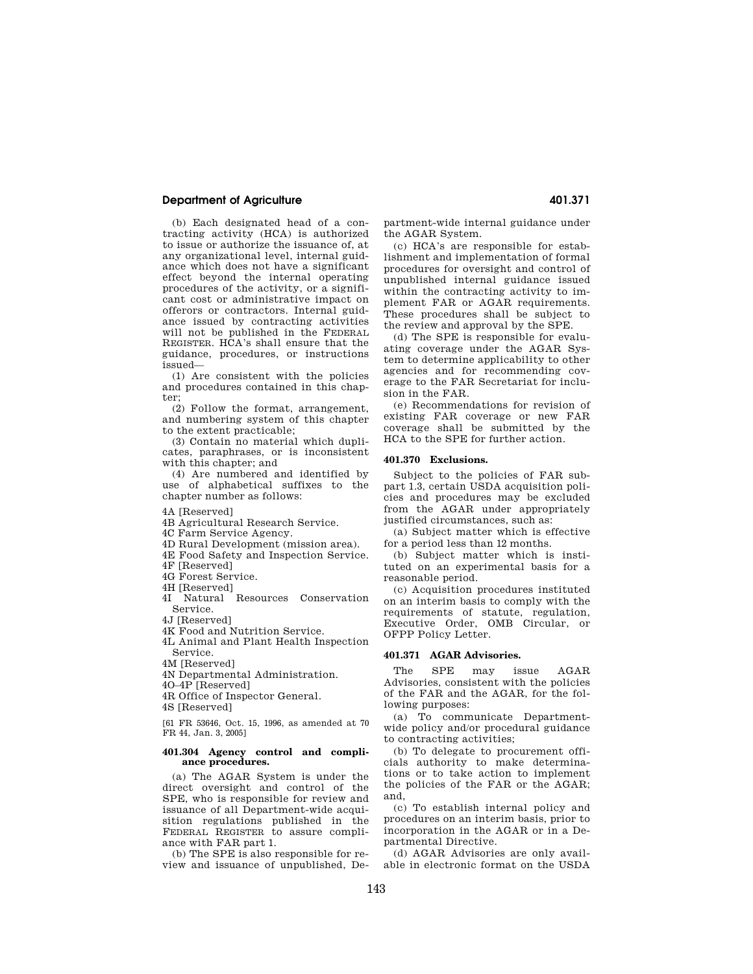## **Department of Agriculture 401.371 Agriculture** 401.371

(b) Each designated head of a contracting activity (HCA) is authorized to issue or authorize the issuance of, at any organizational level, internal guidance which does not have a significant effect beyond the internal operating procedures of the activity, or a significant cost or administrative impact on offerors or contractors. Internal guidance issued by contracting activities will not be published in the FEDERAL REGISTER. HCA's shall ensure that the guidance, procedures, or instructions issued—

(1) Are consistent with the policies and procedures contained in this chapter;

(2) Follow the format, arrangement, and numbering system of this chapter to the extent practicable;

(3) Contain no material which duplicates, paraphrases, or is inconsistent with this chapter; and

(4) Are numbered and identified by use of alphabetical suffixes to the chapter number as follows:

4A [Reserved]

4B Agricultural Research Service.

4C Farm Service Agency.

4D Rural Development (mission area).

4E Food Safety and Inspection Service.

4F [Reserved]

4G Forest Service.

4H [Reserved]

4I Natural Resources Conservation Service.

4J [Reserved]

4K Food and Nutrition Service.

4L Animal and Plant Health Inspection Service.

4M [Reserved]

4N Departmental Administration.

4O–4P [Reserved]

4R Office of Inspector General.

4S [Reserved]

[61 FR 53646, Oct. 15, 1996, as amended at 70 FR 44, Jan. 3, 2005]

#### **401.304 Agency control and compliance procedures.**

(a) The AGAR System is under the direct oversight and control of the SPE, who is responsible for review and issuance of all Department-wide acquisition regulations published in the FEDERAL REGISTER to assure compliance with FAR part 1.

(b) The SPE is also responsible for review and issuance of unpublished, Department-wide internal guidance under the AGAR System.

(c) HCA's are responsible for establishment and implementation of formal procedures for oversight and control of unpublished internal guidance issued within the contracting activity to implement FAR or AGAR requirements. These procedures shall be subject to the review and approval by the SPE.

(d) The SPE is responsible for evaluating coverage under the AGAR System to determine applicability to other agencies and for recommending coverage to the FAR Secretariat for inclusion in the FAR.

(e) Recommendations for revision of existing FAR coverage or new FAR coverage shall be submitted by the HCA to the SPE for further action.

## **401.370 Exclusions.**

Subject to the policies of FAR subpart 1.3, certain USDA acquisition policies and procedures may be excluded from the AGAR under appropriately justified circumstances, such as:

(a) Subject matter which is effective for a period less than 12 months.

(b) Subject matter which is instituted on an experimental basis for a reasonable period.

(c) Acquisition procedures instituted on an interim basis to comply with the requirements of statute, regulation, Executive Order, OMB Circular, or OFPP Policy Letter.

#### **401.371 AGAR Advisories.**

The SPE may issue AGAR Advisories, consistent with the policies of the FAR and the AGAR, for the following purposes:

(a) To communicate Departmentwide policy and/or procedural guidance to contracting activities;

(b) To delegate to procurement officials authority to make determinations or to take action to implement the policies of the FAR or the AGAR; and,

(c) To establish internal policy and procedures on an interim basis, prior to incorporation in the AGAR or in a Departmental Directive.

(d) AGAR Advisories are only available in electronic format on the USDA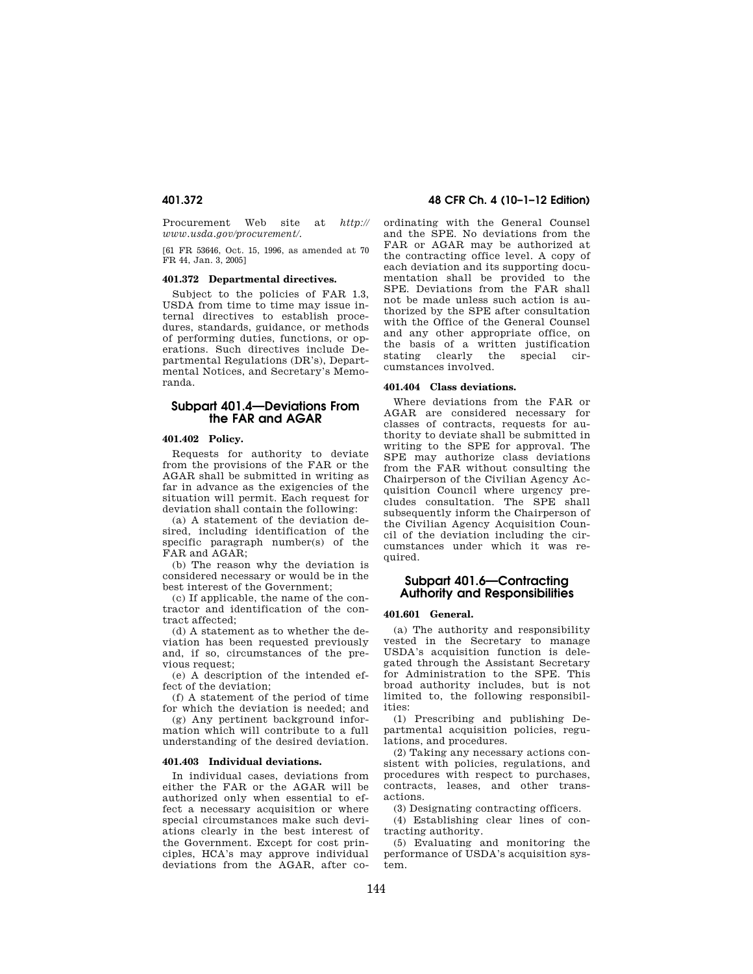Procurement Web site at *http:// www.usda.gov/procurement/.* 

[61 FR 53646, Oct. 15, 1996, as amended at 70 FR 44, Jan. 3, 2005]

#### **401.372 Departmental directives.**

Subject to the policies of FAR 1.3, USDA from time to time may issue internal directives to establish procedures, standards, guidance, or methods of performing duties, functions, or operations. Such directives include Departmental Regulations (DR's), Departmental Notices, and Secretary's Memoranda.

## **Subpart 401.4—Deviations From the FAR and AGAR**

## **401.402 Policy.**

Requests for authority to deviate from the provisions of the FAR or the AGAR shall be submitted in writing as far in advance as the exigencies of the situation will permit. Each request for deviation shall contain the following:

(a) A statement of the deviation desired, including identification of the specific paragraph number(s) of the FAR and AGAR;

(b) The reason why the deviation is considered necessary or would be in the best interest of the Government;

(c) If applicable, the name of the contractor and identification of the contract affected;

(d) A statement as to whether the deviation has been requested previously and, if so, circumstances of the previous request;

(e) A description of the intended effect of the deviation;

(f) A statement of the period of time for which the deviation is needed; and

(g) Any pertinent background information which will contribute to a full understanding of the desired deviation.

#### **401.403 Individual deviations.**

In individual cases, deviations from either the FAR or the AGAR will be authorized only when essential to effect a necessary acquisition or where special circumstances make such deviations clearly in the best interest of the Government. Except for cost principles, HCA's may approve individual deviations from the AGAR, after co-

## **401.372 48 CFR Ch. 4 (10–1–12 Edition)**

ordinating with the General Counsel and the SPE. No deviations from the FAR or AGAR may be authorized at the contracting office level. A copy of each deviation and its supporting documentation shall be provided to the SPE. Deviations from the FAR shall not be made unless such action is authorized by the SPE after consultation with the Office of the General Counsel and any other appropriate office, on the basis of a written justification stating clearly the special circumstances involved.

## **401.404 Class deviations.**

Where deviations from the FAR or AGAR are considered necessary for classes of contracts, requests for authority to deviate shall be submitted in writing to the SPE for approval. The SPE may authorize class deviations from the FAR without consulting the Chairperson of the Civilian Agency Acquisition Council where urgency precludes consultation. The SPE shall subsequently inform the Chairperson of the Civilian Agency Acquisition Council of the deviation including the circumstances under which it was required.

## **Subpart 401.6—Contracting Authority and Responsibilities**

#### **401.601 General.**

(a) The authority and responsibility vested in the Secretary to manage USDA's acquisition function is delegated through the Assistant Secretary for Administration to the SPE. This broad authority includes, but is not limited to, the following responsibilities:

(1) Prescribing and publishing Departmental acquisition policies, regulations, and procedures.

(2) Taking any necessary actions consistent with policies, regulations, and procedures with respect to purchases, contracts, leases, and other transactions.

(3) Designating contracting officers.

(4) Establishing clear lines of contracting authority.

(5) Evaluating and monitoring the performance of USDA's acquisition system.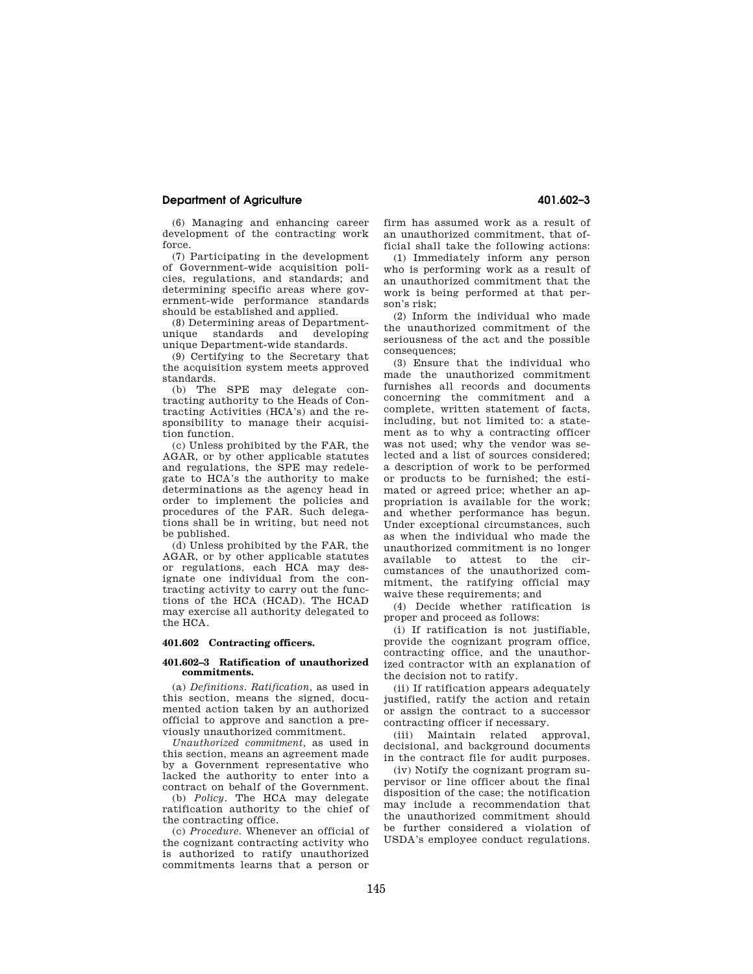## **Department of Agriculture 401.602–3**

(6) Managing and enhancing career development of the contracting work force.

(7) Participating in the development of Government-wide acquisition policies, regulations, and standards; and determining specific areas where government-wide performance standards should be established and applied.

(8) Determining areas of Departmentunique standards and developing unique Department-wide standards.

(9) Certifying to the Secretary that the acquisition system meets approved standards.

(b) The SPE may delegate contracting authority to the Heads of Contracting Activities (HCA's) and the responsibility to manage their acquisition function.

(c) Unless prohibited by the FAR, the AGAR, or by other applicable statutes and regulations, the SPE may redelegate to HCA's the authority to make determinations as the agency head in order to implement the policies and procedures of the FAR. Such delegations shall be in writing, but need not be published.

(d) Unless prohibited by the FAR, the AGAR, or by other applicable statutes or regulations, each HCA may designate one individual from the contracting activity to carry out the functions of the HCA (HCAD). The HCAD may exercise all authority delegated to the HCA.

## **401.602 Contracting officers.**

#### **401.602–3 Ratification of unauthorized commitments.**

(a) *Definitions. Ratification,* as used in this section, means the signed, documented action taken by an authorized official to approve and sanction a previously unauthorized commitment.

*Unauthorized commitment,* as used in this section, means an agreement made by a Government representative who lacked the authority to enter into a contract on behalf of the Government.

(b) *Policy.* The HCA may delegate ratification authority to the chief of the contracting office.

(c) *Procedure.* Whenever an official of the cognizant contracting activity who is authorized to ratify unauthorized commitments learns that a person or firm has assumed work as a result of an unauthorized commitment, that official shall take the following actions:

(1) Immediately inform any person who is performing work as a result of an unauthorized commitment that the work is being performed at that person's risk;

(2) Inform the individual who made the unauthorized commitment of the seriousness of the act and the possible consequences;

(3) Ensure that the individual who made the unauthorized commitment furnishes all records and documents concerning the commitment and a complete, written statement of facts, including, but not limited to: a statement as to why a contracting officer was not used; why the vendor was selected and a list of sources considered; a description of work to be performed or products to be furnished; the estimated or agreed price; whether an appropriation is available for the work; and whether performance has begun. Under exceptional circumstances, such as when the individual who made the unauthorized commitment is no longer available to attest to the circumstances of the unauthorized commitment, the ratifying official may waive these requirements; and

(4) Decide whether ratification is proper and proceed as follows:

(i) If ratification is not justifiable, provide the cognizant program office, contracting office, and the unauthorized contractor with an explanation of the decision not to ratify.

(ii) If ratification appears adequately justified, ratify the action and retain or assign the contract to a successor contracting officer if necessary.

(iii) Maintain related approval, decisional, and background documents in the contract file for audit purposes.

(iv) Notify the cognizant program supervisor or line officer about the final disposition of the case; the notification may include a recommendation that the unauthorized commitment should be further considered a violation of USDA's employee conduct regulations.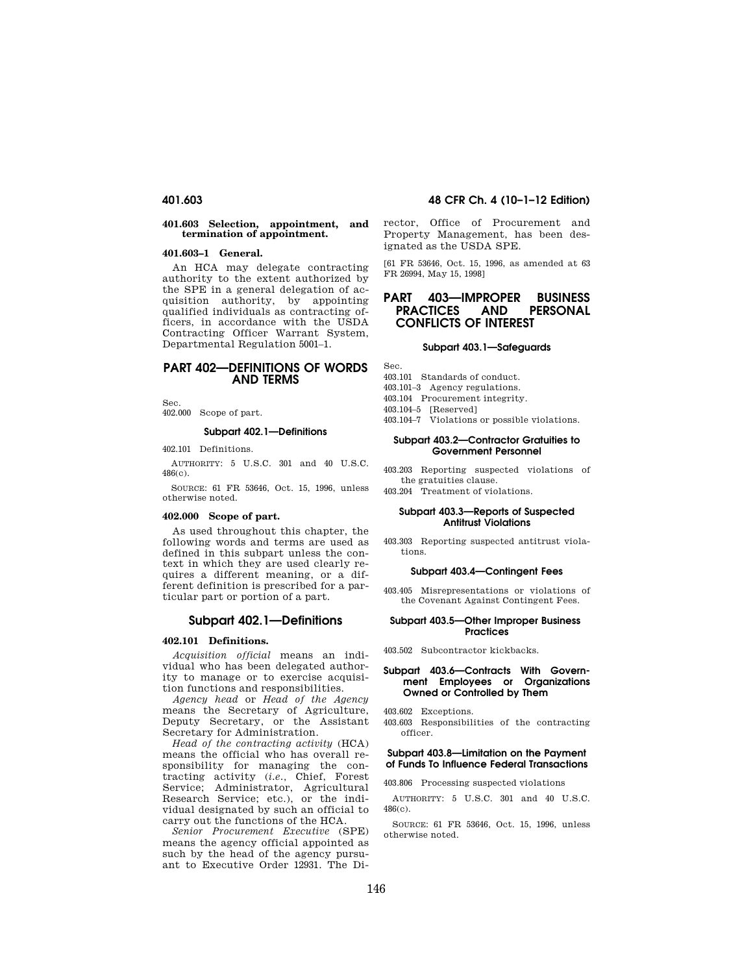#### **401.603 Selection, appointment, and termination of appointment.**

#### **401.603–1 General.**

An HCA may delegate contracting authority to the extent authorized by the SPE in a general delegation of acquisition authority, by appointing qualified individuals as contracting officers, in accordance with the USDA Contracting Officer Warrant System, Departmental Regulation 5001–1.

## **PART 402—DEFINITIONS OF WORDS AND TERMS**

Sec. 402.000 Scope of part.

# **Subpart 402.1—Definitions**

402.101 Definitions.

AUTHORITY: 5 U.S.C. 301 and 40 U.S.C. 486(c).

SOURCE: 61 FR 53646, Oct. 15, 1996, unless otherwise noted.

#### **402.000 Scope of part.**

As used throughout this chapter, the following words and terms are used as defined in this subpart unless the context in which they are used clearly requires a different meaning, or a different definition is prescribed for a particular part or portion of a part.

#### **Subpart 402.1—Definitions**

#### **402.101 Definitions.**

*Acquisition official* means an individual who has been delegated authority to manage or to exercise acquisition functions and responsibilities.

*Agency head* or *Head of the Agency*  means the Secretary of Agriculture, Deputy Secretary, or the Assistant Secretary for Administration.

*Head of the contracting activity* (HCA) means the official who has overall responsibility for managing the contracting activity (*i.e.,* Chief, Forest Service; Administrator, Agricultural Research Service; etc.), or the individual designated by such an official to carry out the functions of the HCA.

*Senior Procurement Executive* (SPE) means the agency official appointed as such by the head of the agency pursuant to Executive Order 12931. The Di-

## **401.603 48 CFR Ch. 4 (10–1–12 Edition)**

rector, Office of Procurement and Property Management, has been designated as the USDA SPE.

[61 FR 53646, Oct. 15, 1996, as amended at 63 FR 26994, May 15, 1998]

## **PART 403—IMPROPER BUSINESS AND PERSONAL CONFLICTS OF INTEREST**

#### **Subpart 403.1—Safeguards**

Sec.

- 403.101 Standards of conduct.
- 403.101–3 Agency regulations.
- 403.104 Procurement integrity.
- 403.104–5 [Reserved]
- 403.104–7 Violations or possible violations.

#### **Subpart 403.2—Contractor Gratuities to Government Personnel**

- 403.203 Reporting suspected violations of the gratuities clause.
- 403.204 Treatment of violations.

#### **Subpart 403.3—Reports of Suspected Antitrust Violations**

403.303 Reporting suspected antitrust violations.

#### **Subpart 403.4—Contingent Fees**

403.405 Misrepresentations or violations of the Covenant Against Contingent Fees.

#### **Subpart 403.5—Other Improper Business Practices**

403.502 Subcontractor kickbacks.

#### **Subpart 403.6—Contracts With Government Employees or Organizations Owned or Controlled by Them**

403.602 Exceptions.

403.603 Responsibilities of the contracting officer.

#### **Subpart 403.8—Limitation on the Payment of Funds To Influence Federal Transactions**

403.806 Processing suspected violations

AUTHORITY: 5 U.S.C. 301 and 40 U.S.C. 486(c).

SOURCE: 61 FR 53646, Oct. 15, 1996, unless otherwise noted.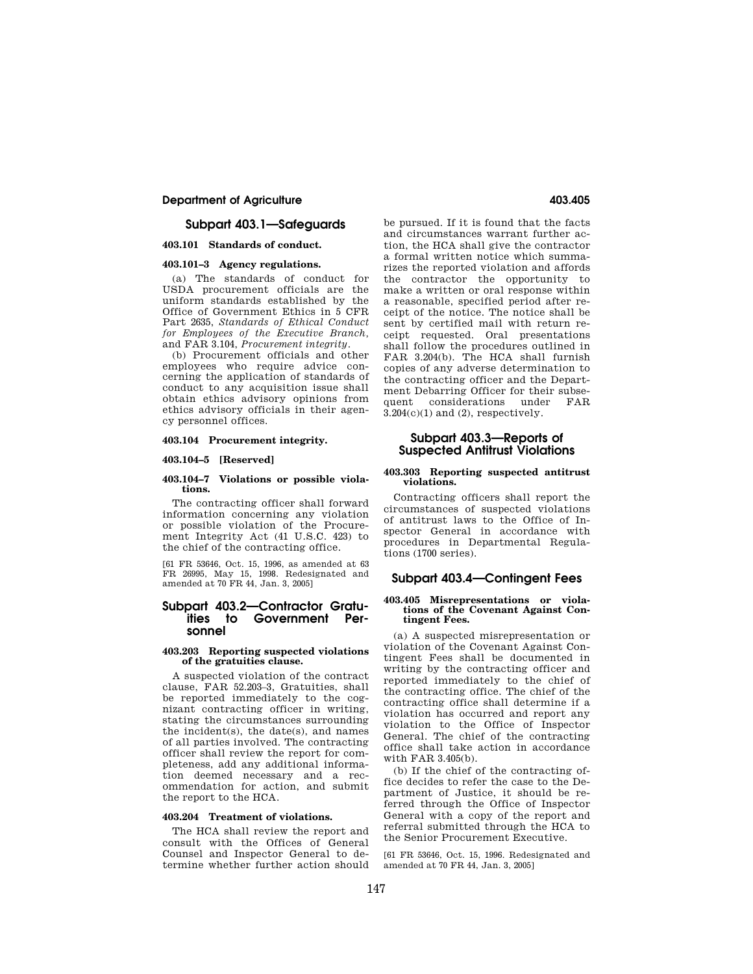## **Department of Agriculture 403.405 Agriculture** 403.405

## **Subpart 403.1—Safeguards**

### **403.101 Standards of conduct.**

## **403.101–3 Agency regulations.**

(a) The standards of conduct for USDA procurement officials are the uniform standards established by the Office of Government Ethics in 5 CFR Part 2635, *Standards of Ethical Conduct for Employees of the Executive Branch,*  and FAR 3.104, *Procurement integrity*.

(b) Procurement officials and other employees who require advice concerning the application of standards of conduct to any acquisition issue shall obtain ethics advisory opinions from ethics advisory officials in their agency personnel offices.

#### **403.104 Procurement integrity.**

#### **403.104–5 [Reserved]**

#### **403.104–7 Violations or possible violations.**

The contracting officer shall forward information concerning any violation or possible violation of the Procurement Integrity Act (41 U.S.C. 423) to the chief of the contracting office.

[61 FR 53646, Oct. 15, 1996, as amended at 63 FR 26995, May 15, 1998. Redesignated and amended at 70 FR 44, Jan. 3, 2005]

## **Subpart 403.2—Contractor Gratuities to Government Personnel**

#### **403.203 Reporting suspected violations of the gratuities clause.**

A suspected violation of the contract clause, FAR 52.203–3, Gratuities, shall be reported immediately to the cognizant contracting officer in writing, stating the circumstances surrounding the incident(s), the date(s), and names of all parties involved. The contracting officer shall review the report for completeness, add any additional information deemed necessary and a recommendation for action, and submit the report to the HCA.

#### **403.204 Treatment of violations.**

The HCA shall review the report and consult with the Offices of General Counsel and Inspector General to determine whether further action should

be pursued. If it is found that the facts and circumstances warrant further action, the HCA shall give the contractor a formal written notice which summarizes the reported violation and affords the contractor the opportunity to make a written or oral response within a reasonable, specified period after receipt of the notice. The notice shall be sent by certified mail with return receipt requested. Oral presentations shall follow the procedures outlined in FAR 3.204(b). The HCA shall furnish copies of any adverse determination to the contracting officer and the Department Debarring Officer for their subsequent considerations under FAR 3.204(c)(1) and (2), respectively.

## **Subpart 403.3—Reports of Suspected Antitrust Violations**

#### **403.303 Reporting suspected antitrust violations.**

Contracting officers shall report the circumstances of suspected violations of antitrust laws to the Office of Inspector General in accordance with procedures in Departmental Regulations (1700 series).

## **Subpart 403.4—Contingent Fees**

#### **403.405 Misrepresentations or violations of the Covenant Against Contingent Fees.**

(a) A suspected misrepresentation or violation of the Covenant Against Contingent Fees shall be documented in writing by the contracting officer and reported immediately to the chief of the contracting office. The chief of the contracting office shall determine if a violation has occurred and report any violation to the Office of Inspector General. The chief of the contracting office shall take action in accordance with FAR 3.405(b).

(b) If the chief of the contracting office decides to refer the case to the Department of Justice, it should be referred through the Office of Inspector General with a copy of the report and referral submitted through the HCA to the Senior Procurement Executive.

[61 FR 53646, Oct. 15, 1996. Redesignated and amended at 70 FR 44, Jan. 3, 2005]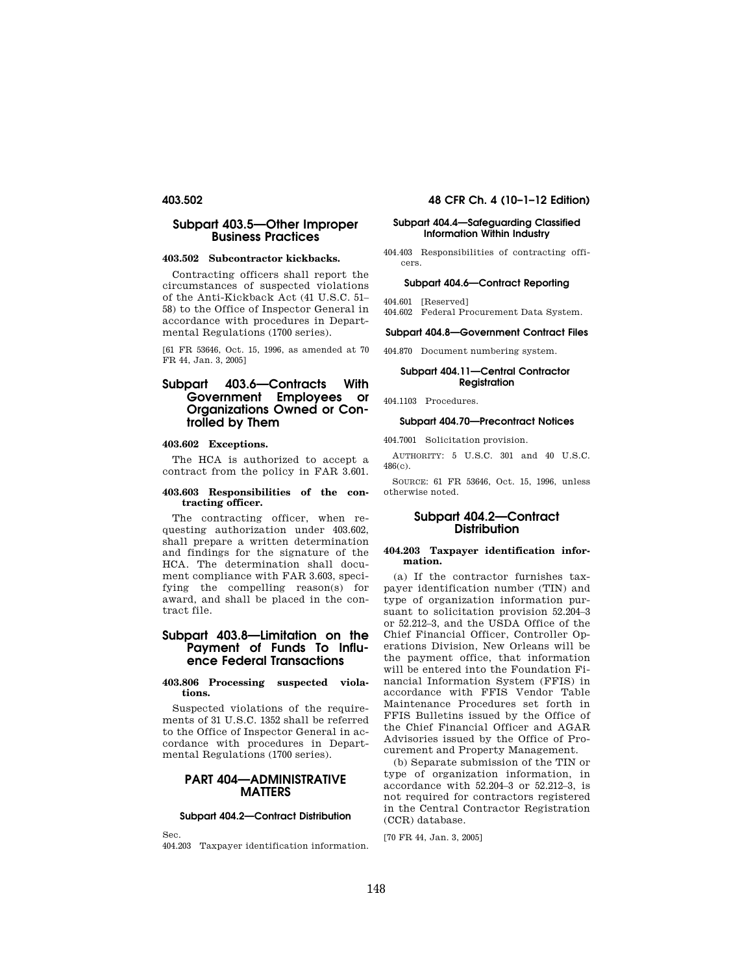## **Subpart 403.5—Other Improper Business Practices**

#### **403.502 Subcontractor kickbacks.**

Contracting officers shall report the circumstances of suspected violations of the Anti-Kickback Act (41 U.S.C. 51– 58) to the Office of Inspector General in accordance with procedures in Departmental Regulations (1700 series).

[61 FR 53646, Oct. 15, 1996, as amended at 70 FR 44, Jan. 3, 2005]

## **Subpart 403.6—Contracts With Government Employees or Organizations Owned or Controlled by Them**

## **403.602 Exceptions.**

The HCA is authorized to accept a contract from the policy in FAR 3.601.

### **403.603 Responsibilities of the contracting officer.**

The contracting officer, when requesting authorization under 403.602, shall prepare a written determination and findings for the signature of the HCA. The determination shall document compliance with FAR 3.603, specifying the compelling reason(s) for award, and shall be placed in the contract file.

## **Subpart 403.8—Limitation on the Payment of Funds To Influence Federal Transactions**

#### **403.806 Processing suspected violations.**

Suspected violations of the requirements of 31 U.S.C. 1352 shall be referred to the Office of Inspector General in accordance with procedures in Departmental Regulations (1700 series).

## **PART 404—ADMINISTRATIVE MATTERS**

#### **Subpart 404.2—Contract Distribution**

Sec.

404.203 Taxpayer identification information.

## **403.502 48 CFR Ch. 4 (10–1–12 Edition)**

### **Subpart 404.4—Safeguarding Classified Information Within Industry**

404.403 Responsibilities of contracting officers.

# **Subpart 404.6—Contract Reporting**

- 404.601 [Reserved]
- 404.602 Federal Procurement Data System.

#### **Subpart 404.8—Government Contract Files**

404.870 Document numbering system.

#### **Subpart 404.11—Central Contractor Registration**

404.1103 Procedures.

#### **Subpart 404.70—Precontract Notices**

404.7001 Solicitation provision.

AUTHORITY: 5 U.S.C. 301 and 40 U.S.C. 486(c).

SOURCE: 61 FR 53646, Oct. 15, 1996, unless otherwise noted.

## **Subpart 404.2—Contract Distribution**

#### **404.203 Taxpayer identification information.**

(a) If the contractor furnishes taxpayer identification number (TIN) and type of organization information pursuant to solicitation provision 52.204–3 or 52.212–3, and the USDA Office of the Chief Financial Officer, Controller Operations Division, New Orleans will be the payment office, that information will be entered into the Foundation Financial Information System (FFIS) in accordance with FFIS Vendor Table Maintenance Procedures set forth in FFIS Bulletins issued by the Office of the Chief Financial Officer and AGAR Advisories issued by the Office of Procurement and Property Management.

(b) Separate submission of the TIN or type of organization information, in accordance with 52.204–3 or 52.212–3, is not required for contractors registered in the Central Contractor Registration (CCR) database.

[70 FR 44, Jan. 3, 2005]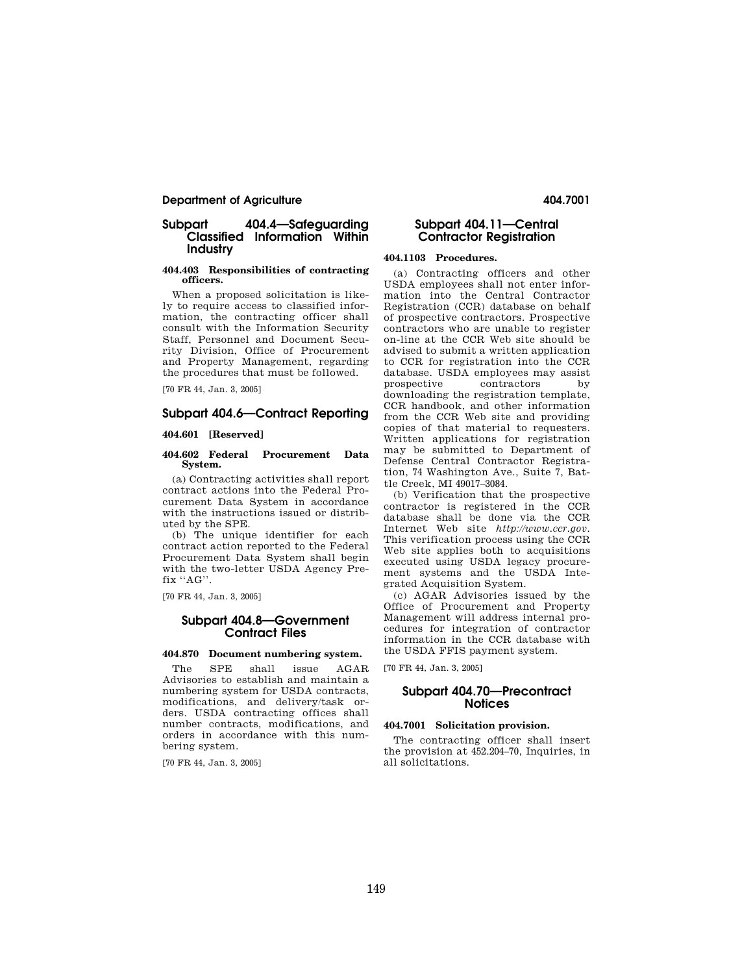## **Department of Agriculture 404.7001 404.7001**

## **Subpart 404.4—Safeguarding Classified Information Within Industry**

#### **404.403 Responsibilities of contracting officers.**

When a proposed solicitation is likely to require access to classified information, the contracting officer shall consult with the Information Security Staff, Personnel and Document Security Division, Office of Procurement and Property Management, regarding the procedures that must be followed.

[70 FR 44, Jan. 3, 2005]

## **Subpart 404.6—Contract Reporting**

### **404.601 [Reserved]**

#### **404.602 Federal Procurement Data System.**

(a) Contracting activities shall report contract actions into the Federal Procurement Data System in accordance with the instructions issued or distributed by the SPE.

(b) The unique identifier for each contract action reported to the Federal Procurement Data System shall begin with the two-letter USDA Agency Prefix "AG".

[70 FR 44, Jan. 3, 2005]

## **Subpart 404.8—Government Contract Files**

## **404.870 Document numbering system.**

The SPE shall issue AGAR Advisories to establish and maintain a numbering system for USDA contracts, modifications, and delivery/task orders. USDA contracting offices shall number contracts, modifications, and orders in accordance with this numbering system.

[70 FR 44, Jan. 3, 2005]

## **Subpart 404.11—Central Contractor Registration**

## **404.1103 Procedures.**

(a) Contracting officers and other USDA employees shall not enter information into the Central Contractor Registration (CCR) database on behalf of prospective contractors. Prospective contractors who are unable to register on-line at the CCR Web site should be advised to submit a written application to CCR for registration into the CCR database. USDA employees may assist prospective contractors by downloading the registration template, CCR handbook, and other information from the CCR Web site and providing copies of that material to requesters. Written applications for registration may be submitted to Department of Defense Central Contractor Registration, 74 Washington Ave., Suite 7, Battle Creek, MI 49017–3084.

(b) Verification that the prospective contractor is registered in the CCR database shall be done via the CCR Internet Web site *http://www.ccr.gov.*  This verification process using the CCR Web site applies both to acquisitions executed using USDA legacy procurement systems and the USDA Integrated Acquisition System.

(c) AGAR Advisories issued by the Office of Procurement and Property Management will address internal procedures for integration of contractor information in the CCR database with the USDA FFIS payment system.

[70 FR 44, Jan. 3, 2005]

## **Subpart 404.70—Precontract Notices**

#### **404.7001 Solicitation provision.**

The contracting officer shall insert the provision at 452.204–70, Inquiries, in all solicitations.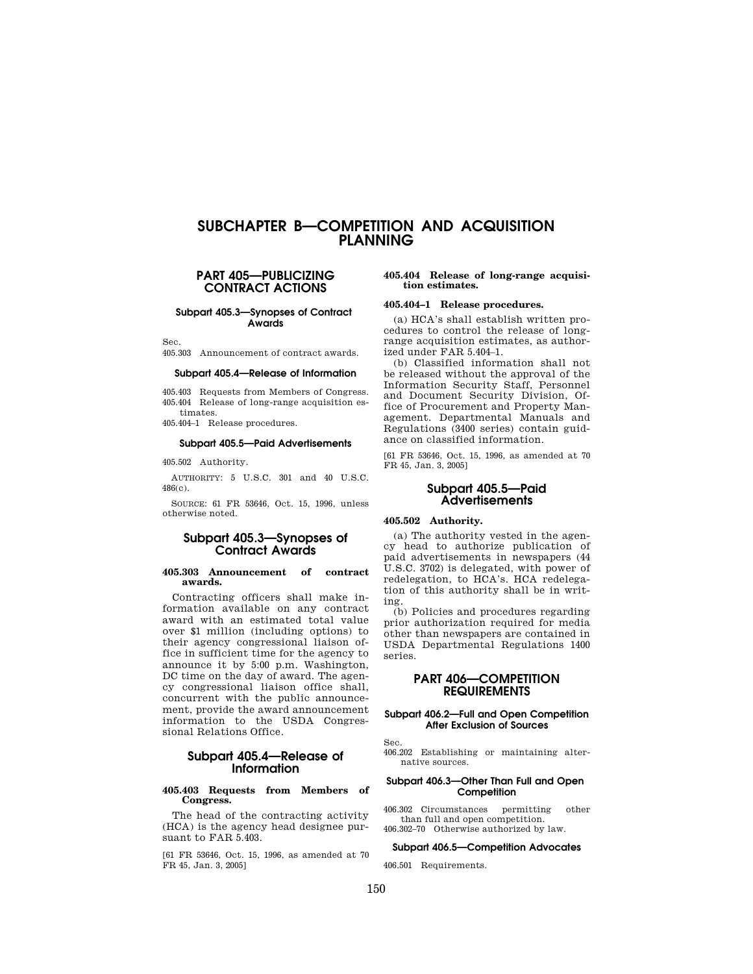# **SUBCHAPTER B—COMPETITION AND ACQUISITION PLANNING**

## **PART 405—PUBLICIZING CONTRACT ACTIONS**

**Subpart 405.3—Synopses of Contract Awards** 

Sec.

405.303 Announcement of contract awards.

#### **Subpart 405.4—Release of Information**

405.403 Requests from Members of Congress. 405.404 Release of long-range acquisition estimates.

405.404–1 Release procedures.

#### **Subpart 405.5—Paid Advertisements**

405.502 Authority.

AUTHORITY: 5 U.S.C. 301 and 40 U.S.C. 486(c).

SOURCE: 61 FR 53646, Oct. 15, 1996, unless otherwise noted.

## **Subpart 405.3—Synopses of Contract Awards**

#### **405.303 Announcement of contract awards.**

Contracting officers shall make information available on any contract award with an estimated total value over \$1 million (including options) to their agency congressional liaison office in sufficient time for the agency to announce it by 5:00 p.m. Washington, DC time on the day of award. The agency congressional liaison office shall, concurrent with the public announcement, provide the award announcement information to the USDA Congressional Relations Office.

## **Subpart 405.4—Release of Information**

#### **405.403 Requests from Members of Congress.**

The head of the contracting activity (HCA) is the agency head designee pursuant to FAR 5.403.

[61 FR 53646, Oct. 15, 1996, as amended at 70 FR 45, Jan. 3, 2005]

#### **405.404 Release of long-range acquisition estimates.**

#### **405.404–1 Release procedures.**

(a) HCA's shall establish written procedures to control the release of longrange acquisition estimates, as authorized under FAR 5.404–1.

(b) Classified information shall not be released without the approval of the Information Security Staff, Personnel and Document Security Division, Office of Procurement and Property Management. Departmental Manuals and Regulations (3400 series) contain guidance on classified information.

[61 FR 53646, Oct. 15, 1996, as amended at 70 FR 45, Jan. 3, 2005]

## **Subpart 405.5—Paid Advertisements**

#### **405.502 Authority.**

(a) The authority vested in the agency head to authorize publication of paid advertisements in newspapers (44 U.S.C. 3702) is delegated, with power of redelegation, to HCA's. HCA redelegation of this authority shall be in writing.

(b) Policies and procedures regarding prior authorization required for media other than newspapers are contained in USDA Departmental Regulations 1400 series.

## **PART 406—COMPETITION REQUIREMENTS**

#### **Subpart 406.2—Full and Open Competition After Exclusion of Sources**

Sec.

406.202 Establishing or maintaining alternative sources.

#### **Subpart 406.3—Other Than Full and Open Competition**

406.302 Circumstances permitting other than full and open competition. 406.302–70 Otherwise authorized by law.

#### **Subpart 406.5—Competition Advocates**

406.501 Requirements.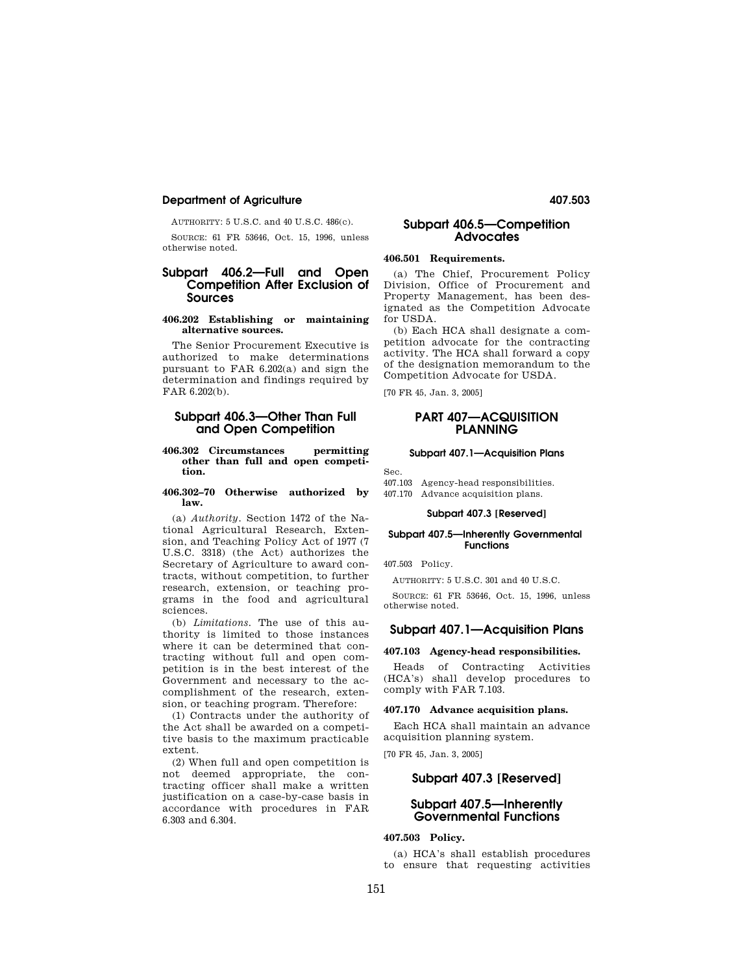## **Department of Agriculture 407.503**

AUTHORITY: 5 U.S.C. and 40 U.S.C. 486(c).

SOURCE: 61 FR 53646, Oct. 15, 1996, unless otherwise noted.

## **Subpart 406.2—Full and Open Competition After Exclusion of Sources**

#### **406.202 Establishing or maintaining alternative sources.**

The Senior Procurement Executive is authorized to make determinations pursuant to FAR 6.202(a) and sign the determination and findings required by FAR 6.202(b).

## **Subpart 406.3—Other Than Full and Open Competition**

#### **406.302 Circumstances permitting other than full and open competition.**

#### **406.302–70 Otherwise authorized by law.**

(a) *Authority.* Section 1472 of the National Agricultural Research, Extension, and Teaching Policy Act of 1977 (7 U.S.C. 3318) (the Act) authorizes the Secretary of Agriculture to award contracts, without competition, to further research, extension, or teaching programs in the food and agricultural sciences.

(b) *Limitations.* The use of this authority is limited to those instances where it can be determined that contracting without full and open competition is in the best interest of the Government and necessary to the accomplishment of the research, extension, or teaching program. Therefore:

(1) Contracts under the authority of the Act shall be awarded on a competitive basis to the maximum practicable extent.

(2) When full and open competition is not deemed appropriate, the contracting officer shall make a written justification on a case-by-case basis in accordance with procedures in FAR 6.303 and 6.304.

## **Subpart 406.5—Competition Advocates**

## **406.501 Requirements.**

(a) The Chief, Procurement Policy Division, Office of Procurement and Property Management, has been designated as the Competition Advocate for USDA.

(b) Each HCA shall designate a competition advocate for the contracting activity. The HCA shall forward a copy of the designation memorandum to the Competition Advocate for USDA.

[70 FR 45, Jan. 3, 2005]

## **PART 407—ACQUISITION PLANNING**

## **Subpart 407.1—Acquisition Plans**

Sec.

407.103 Agency-head responsibilities. 407.170 Advance acquisition plans.

## **Subpart 407.3 [Reserved]**

## **Subpart 407.5—Inherently Governmental Functions**

407.503 Policy.

AUTHORITY: 5 U.S.C. 301 and 40 U.S.C.

SOURCE: 61 FR 53646, Oct. 15, 1996, unless otherwise noted.

## **Subpart 407.1—Acquisition Plans**

#### **407.103 Agency-head responsibilities.**

Heads of Contracting Activities (HCA's) shall develop procedures to comply with FAR 7.103.

#### **407.170 Advance acquisition plans.**

Each HCA shall maintain an advance acquisition planning system.

[70 FR 45, Jan. 3, 2005]

## **Subpart 407.3 [Reserved]**

## **Subpart 407.5—Inherently Governmental Functions**

## **407.503 Policy.**

(a) HCA's shall establish procedures to ensure that requesting activities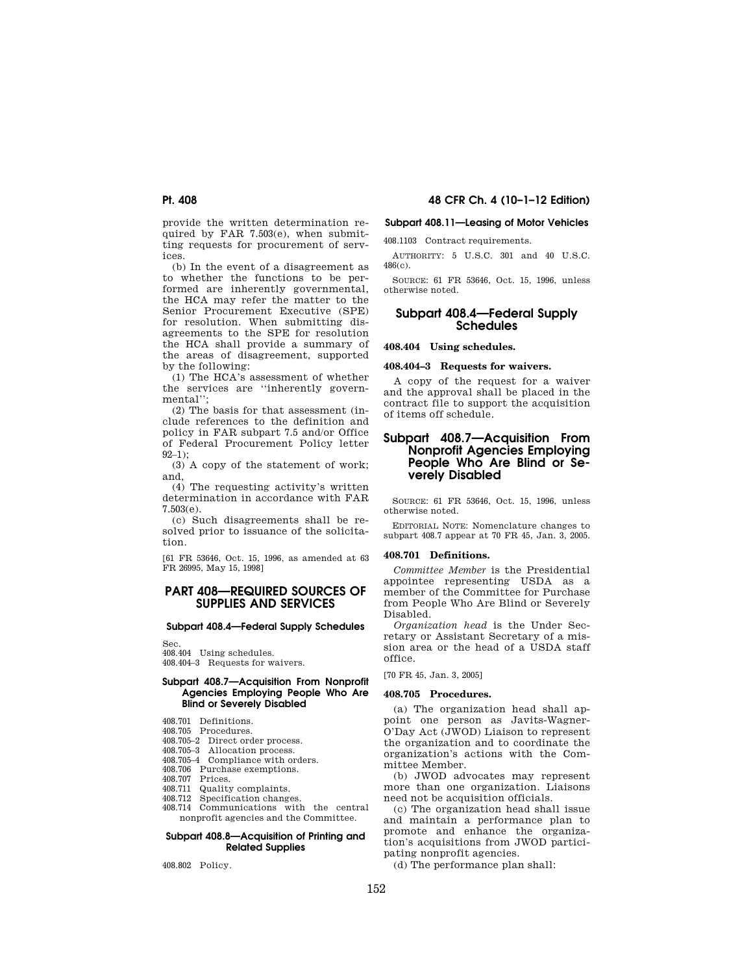provide the written determination required by FAR 7.503(e), when submitting requests for procurement of services.

(b) In the event of a disagreement as to whether the functions to be performed are inherently governmental, the HCA may refer the matter to the Senior Procurement Executive (SPE) for resolution. When submitting disagreements to the SPE for resolution the HCA shall provide a summary of the areas of disagreement, supported by the following:

(1) The HCA's assessment of whether the services are ''inherently governmental'';

(2) The basis for that assessment (include references to the definition and policy in FAR subpart 7.5 and/or Office of Federal Procurement Policy letter 92–1);

(3) A copy of the statement of work; and,

(4) The requesting activity's written determination in accordance with FAR 7.503(e).

(c) Such disagreements shall be resolved prior to issuance of the solicitation.

[61 FR 53646, Oct. 15, 1996, as amended at 63 FR 26995, May 15, 1998]

## **PART 408—REQUIRED SOURCES OF SUPPLIES AND SERVICES**

# **Subpart 408.4—Federal Supply Schedules**

Sec.

408.404 Using schedules. 408.404–3 Requests for waivers.

#### **Subpart 408.7—Acquisition From Nonprofit Agencies Employing People Who Are Blind or Severely Disabled**

- 408.701 Definitions. 408.705 Procedures.
- 
- 408.705–2 Direct order process.
- 408.705–3 Allocation process.
- 408.705–4 Compliance with orders. 408.706 Purchase exemptions.
- 408.707 Prices.
- 408.711 Quality complaints.
- 408.712 Specification changes.
- 
- 408.714 Communications with the central nonprofit agencies and the Committee.

#### **Subpart 408.8—Acquisition of Printing and Related Supplies**

408.802 Policy.

## **Pt. 408 48 CFR Ch. 4 (10–1–12 Edition)**

### **Subpart 408.11—Leasing of Motor Vehicles**

408.1103 Contract requirements.

AUTHORITY: 5 U.S.C. 301 and 40 U.S.C. 486(c).

SOURCE: 61 FR 53646, Oct. 15, 1996, unless otherwise noted.

## **Subpart 408.4—Federal Supply Schedules**

**408.404 Using schedules.** 

#### **408.404–3 Requests for waivers.**

A copy of the request for a waiver and the approval shall be placed in the contract file to support the acquisition of items off schedule.

## **Subpart 408.7—Acquisition From Nonprofit Agencies Employing People Who Are Blind or Severely Disabled**

SOURCE: 61 FR 53646, Oct. 15, 1996, unless otherwise noted.

EDITORIAL NOTE: Nomenclature changes to subpart 408.7 appear at 70 FR 45, Jan. 3, 2005.

#### **408.701 Definitions.**

*Committee Member* is the Presidential appointee representing USDA as a member of the Committee for Purchase from People Who Are Blind or Severely Disabled.

*Organization head* is the Under Secretary or Assistant Secretary of a mission area or the head of a USDA staff office.

[70 FR 45, Jan. 3, 2005]

#### **408.705 Procedures.**

(a) The organization head shall appoint one person as Javits-Wagner-O'Day Act (JWOD) Liaison to represent the organization and to coordinate the organization's actions with the Committee Member.

(b) JWOD advocates may represent more than one organization. Liaisons need not be acquisition officials.

(c) The organization head shall issue and maintain a performance plan to promote and enhance the organization's acquisitions from JWOD participating nonprofit agencies.

(d) The performance plan shall: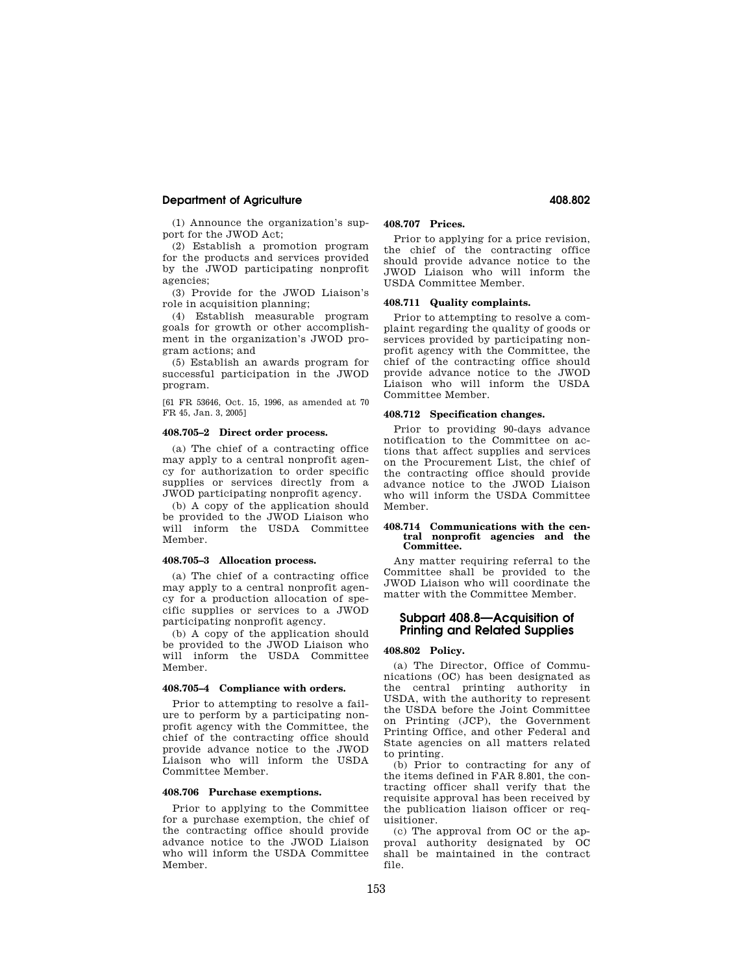## **Department of Agriculture 408.802**

(1) Announce the organization's support for the JWOD Act;

(2) Establish a promotion program for the products and services provided by the JWOD participating nonprofit agencies;

(3) Provide for the JWOD Liaison's role in acquisition planning;

(4) Establish measurable program goals for growth or other accomplishment in the organization's JWOD program actions; and

(5) Establish an awards program for successful participation in the JWOD program.

[61 FR 53646, Oct. 15, 1996, as amended at 70 FR 45, Jan. 3, 2005]

#### **408.705–2 Direct order process.**

(a) The chief of a contracting office may apply to a central nonprofit agency for authorization to order specific supplies or services directly from a JWOD participating nonprofit agency.

(b) A copy of the application should be provided to the JWOD Liaison who will inform the USDA Committee Member.

## **408.705–3 Allocation process.**

(a) The chief of a contracting office may apply to a central nonprofit agency for a production allocation of specific supplies or services to a JWOD participating nonprofit agency.

(b) A copy of the application should be provided to the JWOD Liaison who will inform the USDA Committee Member.

#### **408.705–4 Compliance with orders.**

Prior to attempting to resolve a failure to perform by a participating nonprofit agency with the Committee, the chief of the contracting office should provide advance notice to the JWOD Liaison who will inform the USDA Committee Member.

### **408.706 Purchase exemptions.**

Prior to applying to the Committee for a purchase exemption, the chief of the contracting office should provide advance notice to the JWOD Liaison who will inform the USDA Committee Member.

## **408.707 Prices.**

Prior to applying for a price revision, the chief of the contracting office should provide advance notice to the JWOD Liaison who will inform the USDA Committee Member.

#### **408.711 Quality complaints.**

Prior to attempting to resolve a complaint regarding the quality of goods or services provided by participating nonprofit agency with the Committee, the chief of the contracting office should provide advance notice to the JWOD Liaison who will inform the USDA Committee Member.

#### **408.712 Specification changes.**

Prior to providing 90-days advance notification to the Committee on actions that affect supplies and services on the Procurement List, the chief of the contracting office should provide advance notice to the JWOD Liaison who will inform the USDA Committee Member.

#### **408.714 Communications with the central nonprofit agencies and the Committee.**

Any matter requiring referral to the Committee shall be provided to the JWOD Liaison who will coordinate the matter with the Committee Member.

## **Subpart 408.8—Acquisition of Printing and Related Supplies**

#### **408.802 Policy.**

(a) The Director, Office of Communications (OC) has been designated as the central printing authority in USDA, with the authority to represent the USDA before the Joint Committee on Printing (JCP), the Government Printing Office, and other Federal and State agencies on all matters related to printing.

(b) Prior to contracting for any of the items defined in FAR 8.801, the contracting officer shall verify that the requisite approval has been received by the publication liaison officer or requisitioner.

(c) The approval from OC or the approval authority designated by OC shall be maintained in the contract file.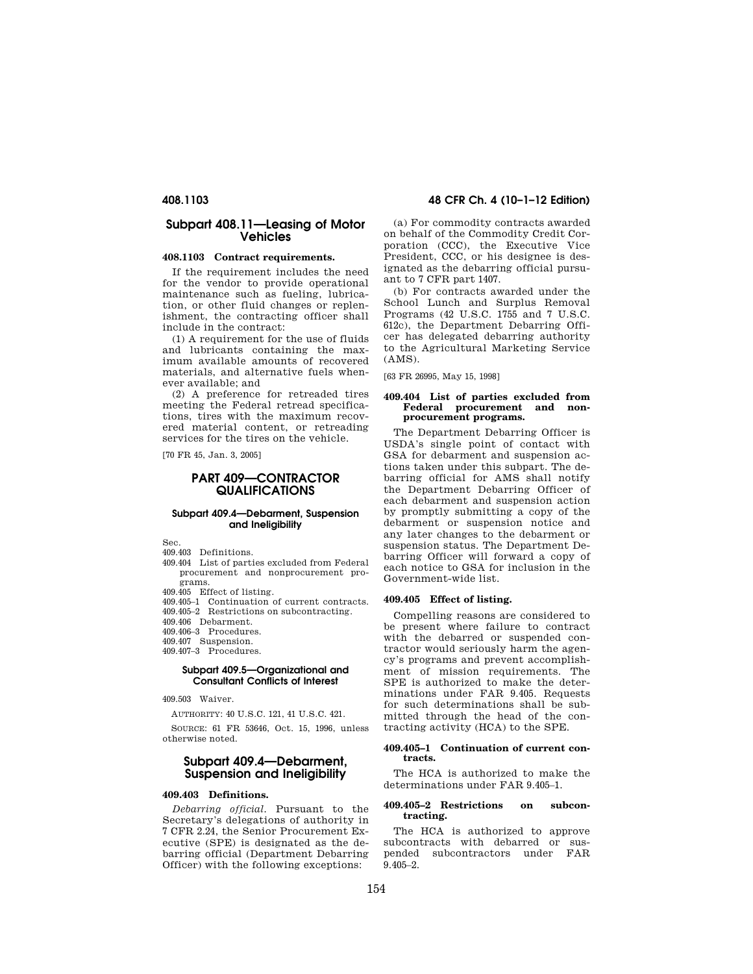## **Subpart 408.11—Leasing of Motor Vehicles**

## **408.1103 Contract requirements.**

If the requirement includes the need for the vendor to provide operational maintenance such as fueling, lubrication, or other fluid changes or replenishment, the contracting officer shall include in the contract:

(1) A requirement for the use of fluids and lubricants containing the maximum available amounts of recovered materials, and alternative fuels whenever available; and

(2) A preference for retreaded tires meeting the Federal retread specifications, tires with the maximum recovered material content, or retreading services for the tires on the vehicle.

[70 FR 45, Jan. 3, 2005]

## **PART 409—CONTRACTOR QUALIFICATIONS**

## **Subpart 409.4—Debarment, Suspension and Ineligibility**

Sec.

- 409.403 Definitions.
- 409.404 List of parties excluded from Federal procurement and nonprocurement programs.
- 409.405 Effect of listing.
- 409.405–1 Continuation of current contracts.
- 409.405–2 Restrictions on subcontracting.
- 409.406 Debarment.
- 409.406–3 Procedures.
- 409.407 Suspension.
- 409.407–3 Procedures.

#### **Subpart 409.5—Organizational and Consultant Conflicts of Interest**

409.503 Waiver.

AUTHORITY: 40 U.S.C. 121, 41 U.S.C. 421.

SOURCE: 61 FR 53646, Oct. 15, 1996, unless otherwise noted.

## **Subpart 409.4—Debarment, Suspension and Ineligibility**

#### **409.403 Definitions.**

*Debarring official.* Pursuant to the Secretary's delegations of authority in 7 CFR 2.24, the Senior Procurement Executive (SPE) is designated as the debarring official (Department Debarring Officer) with the following exceptions:

(a) For commodity contracts awarded on behalf of the Commodity Credit Corporation (CCC), the Executive Vice President, CCC, or his designee is designated as the debarring official pursuant to 7 CFR part 1407.

(b) For contracts awarded under the School Lunch and Surplus Removal Programs (42 U.S.C. 1755 and 7 U.S.C. 612c), the Department Debarring Officer has delegated debarring authority to the Agricultural Marketing Service (AMS).

[63 FR 26995, May 15, 1998]

#### **409.404 List of parties excluded from Federal procurement and nonprocurement programs.**

The Department Debarring Officer is USDA's single point of contact with GSA for debarment and suspension actions taken under this subpart. The debarring official for AMS shall notify the Department Debarring Officer of each debarment and suspension action by promptly submitting a copy of the debarment or suspension notice and any later changes to the debarment or suspension status. The Department Debarring Officer will forward a copy of each notice to GSA for inclusion in the Government-wide list.

#### **409.405 Effect of listing.**

Compelling reasons are considered to be present where failure to contract with the debarred or suspended contractor would seriously harm the agency's programs and prevent accomplishment of mission requirements. The SPE is authorized to make the determinations under FAR 9.405. Requests for such determinations shall be submitted through the head of the contracting activity (HCA) to the SPE.

#### **409.405–1 Continuation of current contracts.**

The HCA is authorized to make the determinations under FAR 9.405–1.

#### **409.405–2 Restrictions on subcontracting.**

The HCA is authorized to approve subcontracts with debarred or suspended subcontractors under FAR  $9.405 - 2.$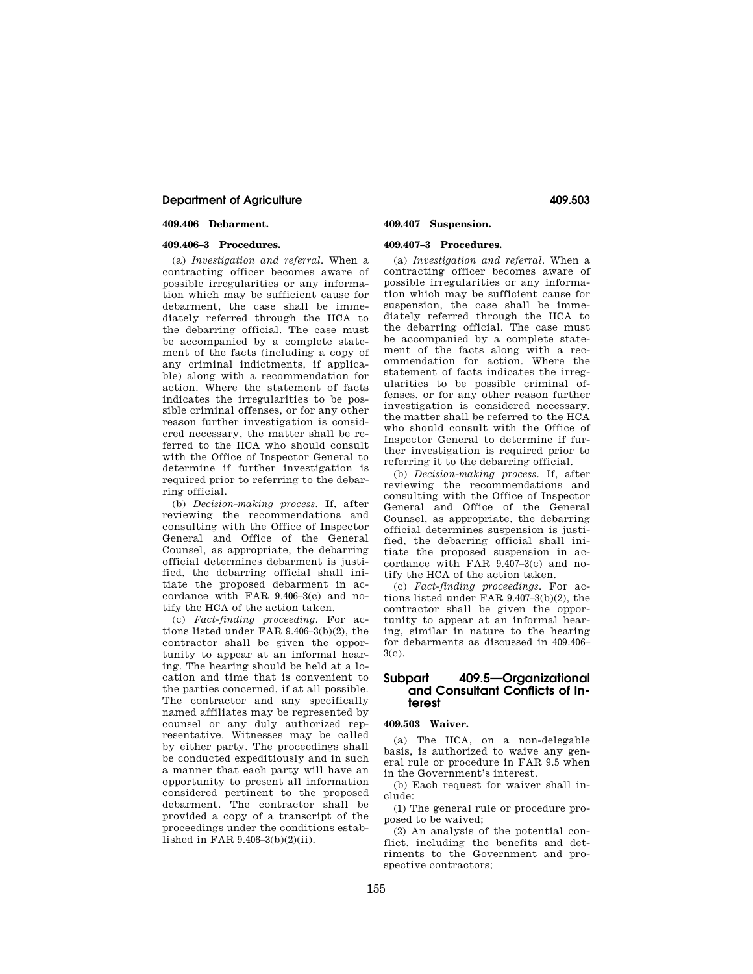## **Department of Agriculture 409.503**

### **409.406 Debarment.**

## **409.406–3 Procedures.**

(a) *Investigation and referral.* When a contracting officer becomes aware of possible irregularities or any information which may be sufficient cause for debarment, the case shall be immediately referred through the HCA to the debarring official. The case must be accompanied by a complete statement of the facts (including a copy of any criminal indictments, if applicable) along with a recommendation for action. Where the statement of facts indicates the irregularities to be possible criminal offenses, or for any other reason further investigation is considered necessary, the matter shall be referred to the HCA who should consult with the Office of Inspector General to determine if further investigation is required prior to referring to the debarring official.

(b) *Decision-making process.* If, after reviewing the recommendations and consulting with the Office of Inspector General and Office of the General Counsel, as appropriate, the debarring official determines debarment is justified, the debarring official shall initiate the proposed debarment in accordance with FAR 9.406–3(c) and notify the HCA of the action taken.

(c) *Fact-finding proceeding.* For actions listed under FAR 9.406–3(b)(2), the contractor shall be given the opportunity to appear at an informal hearing. The hearing should be held at a location and time that is convenient to the parties concerned, if at all possible. The contractor and any specifically named affiliates may be represented by counsel or any duly authorized representative. Witnesses may be called by either party. The proceedings shall be conducted expeditiously and in such a manner that each party will have an opportunity to present all information considered pertinent to the proposed debarment. The contractor shall be provided a copy of a transcript of the proceedings under the conditions established in FAR 9.406–3(b)(2)(ii).

## **409.407 Suspension.**

### **409.407–3 Procedures.**

(a) *Investigation and referral.* When a contracting officer becomes aware of possible irregularities or any information which may be sufficient cause for suspension, the case shall be immediately referred through the HCA to the debarring official. The case must be accompanied by a complete statement of the facts along with a recommendation for action. Where the statement of facts indicates the irregularities to be possible criminal offenses, or for any other reason further investigation is considered necessary, the matter shall be referred to the HCA who should consult with the Office of Inspector General to determine if further investigation is required prior to referring it to the debarring official.

(b) *Decision-making process.* If, after reviewing the recommendations and consulting with the Office of Inspector General and Office of the General Counsel, as appropriate, the debarring official determines suspension is justified, the debarring official shall initiate the proposed suspension in accordance with FAR 9.407–3(c) and notify the HCA of the action taken.

(c) *Fact-finding proceedings.* For actions listed under FAR 9.407–3(b)(2), the contractor shall be given the opportunity to appear at an informal hearing, similar in nature to the hearing for debarments as discussed in 409.406–  $3(c)$ .

## **Subpart 409.5—Organizational and Consultant Conflicts of Interest**

## **409.503 Waiver.**

(a) The HCA, on a non-delegable basis, is authorized to waive any general rule or procedure in FAR 9.5 when in the Government's interest.

(b) Each request for waiver shall include:

(1) The general rule or procedure proposed to be waived;

(2) An analysis of the potential conflict, including the benefits and detriments to the Government and prospective contractors;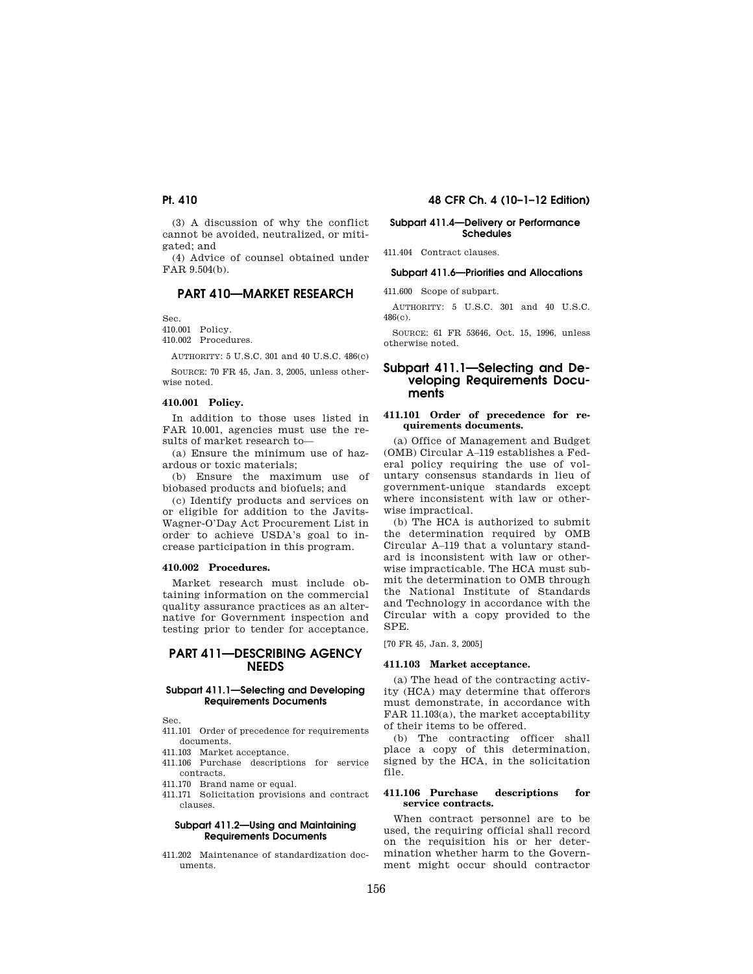(3) A discussion of why the conflict cannot be avoided, neutralized, or mitigated; and

(4) Advice of counsel obtained under FAR 9.504(b).

## **PART 410—MARKET RESEARCH**

Sec.

410.001 Policy.

410.002 Procedures.

AUTHORITY:  $5$  U.S.C. 301 and 40 U.S.C. 486(c)

SOURCE: 70 FR 45, Jan. 3, 2005, unless otherwise noted.

## **410.001 Policy.**

In addition to those uses listed in FAR 10.001, agencies must use the results of market research to—

(a) Ensure the minimum use of hazardous or toxic materials;

(b) Ensure the maximum use of biobased products and biofuels; and

(c) Identify products and services on or eligible for addition to the Javits-Wagner-O'Day Act Procurement List in order to achieve USDA's goal to increase participation in this program.

#### **410.002 Procedures.**

Market research must include obtaining information on the commercial quality assurance practices as an alternative for Government inspection and testing prior to tender for acceptance.

## **PART 411—DESCRIBING AGENCY NEEDS**

#### **Subpart 411.1—Selecting and Developing Requirements Documents**

Sec.

- 411.101 Order of precedence for requirements documents.
- 411.103 Market acceptance.
- 411.106 Purchase descriptions for service contracts.
- 411.170 Brand name or equal.
- 411.171 Solicitation provisions and contract clauses.

#### **Subpart 411.2—Using and Maintaining Requirements Documents**

411.202 Maintenance of standardization documents.

## **Pt. 410 48 CFR Ch. 4 (10–1–12 Edition)**

#### **Subpart 411.4—Delivery or Performance Schedules**

411.404 Contract clauses.

#### **Subpart 411.6—Priorities and Allocations**

411.600 Scope of subpart.

AUTHORITY: 5 U.S.C. 301 and 40 U.S.C. 486(c).

SOURCE: 61 FR 53646, Oct. 15, 1996, unless otherwise noted.

## **Subpart 411.1—Selecting and Developing Requirements Documents**

#### **411.101 Order of precedence for requirements documents.**

(a) Office of Management and Budget (OMB) Circular A–119 establishes a Federal policy requiring the use of voluntary consensus standards in lieu of government-unique standards except where inconsistent with law or otherwise impractical.

(b) The HCA is authorized to submit the determination required by OMB Circular A–119 that a voluntary standard is inconsistent with law or otherwise impracticable. The HCA must submit the determination to OMB through the National Institute of Standards and Technology in accordance with the Circular with a copy provided to the SPE.

[70 FR 45, Jan. 3, 2005]

#### **411.103 Market acceptance.**

(a) The head of the contracting activity (HCA) may determine that offerors must demonstrate, in accordance with FAR 11.103(a), the market acceptability of their items to be offered.

(b) The contracting officer shall place a copy of this determination, signed by the HCA, in the solicitation file.

#### **411.106 Purchase descriptions for service contracts.**

When contract personnel are to be used, the requiring official shall record on the requisition his or her determination whether harm to the Government might occur should contractor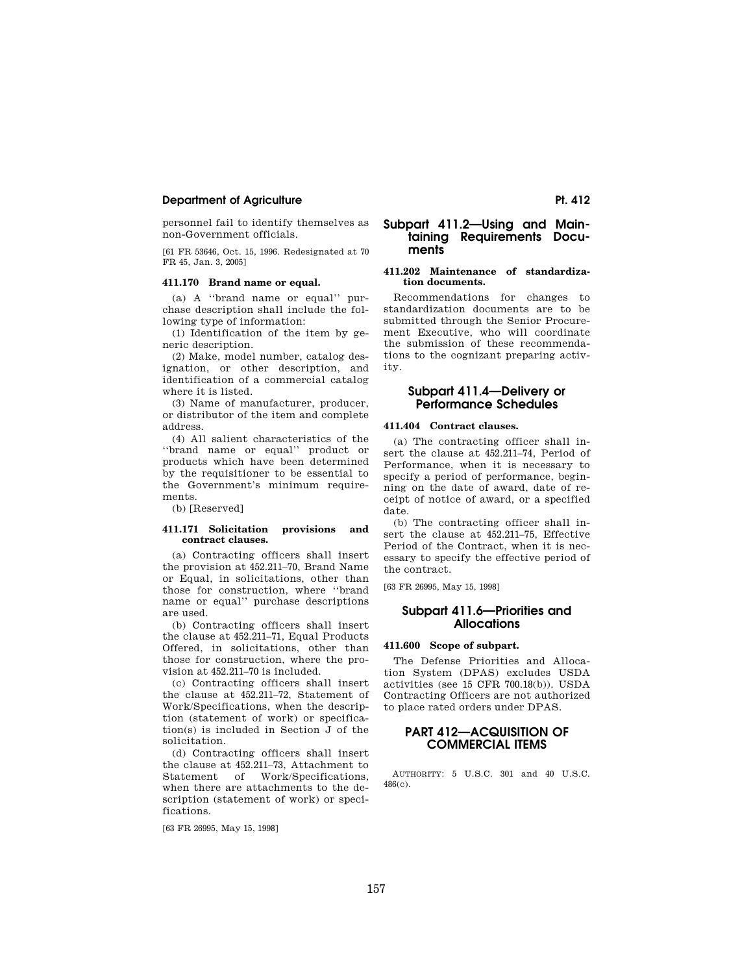## **Department of Agriculture Pt. 412**

personnel fail to identify themselves as non-Government officials.

[61 FR 53646, Oct. 15, 1996. Redesignated at 70 FR 45, Jan. 3, 2005]

#### **411.170 Brand name or equal.**

(a) A ''brand name or equal'' purchase description shall include the following type of information:

(1) Identification of the item by generic description.

(2) Make, model number, catalog designation, or other description, and identification of a commercial catalog where it is listed.

(3) Name of manufacturer, producer, or distributor of the item and complete address.

(4) All salient characteristics of the ''brand name or equal'' product or products which have been determined by the requisitioner to be essential to the Government's minimum requirements.

(b) [Reserved]

#### **411.171 Solicitation provisions and contract clauses.**

(a) Contracting officers shall insert the provision at 452.211–70, Brand Name or Equal, in solicitations, other than those for construction, where ''brand name or equal'' purchase descriptions are used.

(b) Contracting officers shall insert the clause at 452.211–71, Equal Products Offered, in solicitations, other than those for construction, where the provision at 452.211–70 is included.

(c) Contracting officers shall insert the clause at 452.211–72, Statement of Work/Specifications, when the description (statement of work) or specification(s) is included in Section J of the solicitation.

(d) Contracting officers shall insert the clause at 452.211–73, Attachment to Statement of Work/Specifications, when there are attachments to the description (statement of work) or specifications.

[63 FR 26995, May 15, 1998]

## **Subpart 411.2—Using and Maintaining Requirements Documents**

## **411.202 Maintenance of standardization documents.**

Recommendations for changes to standardization documents are to be submitted through the Senior Procurement Executive, who will coordinate the submission of these recommendations to the cognizant preparing activity.

## **Subpart 411.4—Delivery or Performance Schedules**

## **411.404 Contract clauses.**

(a) The contracting officer shall insert the clause at 452.211–74, Period of Performance, when it is necessary to specify a period of performance, beginning on the date of award, date of receipt of notice of award, or a specified date.

(b) The contracting officer shall insert the clause at 452.211–75, Effective Period of the Contract, when it is necessary to specify the effective period of the contract.

[63 FR 26995, May 15, 1998]

## **Subpart 411.6—Priorities and Allocations**

#### **411.600 Scope of subpart.**

The Defense Priorities and Allocation System (DPAS) excludes USDA activities (see 15 CFR 700.18(b)). USDA Contracting Officers are not authorized to place rated orders under DPAS.

## **PART 412—ACQUISITION OF COMMERCIAL ITEMS**

AUTHORITY: 5 U.S.C. 301 and 40 U.S.C. 486(c).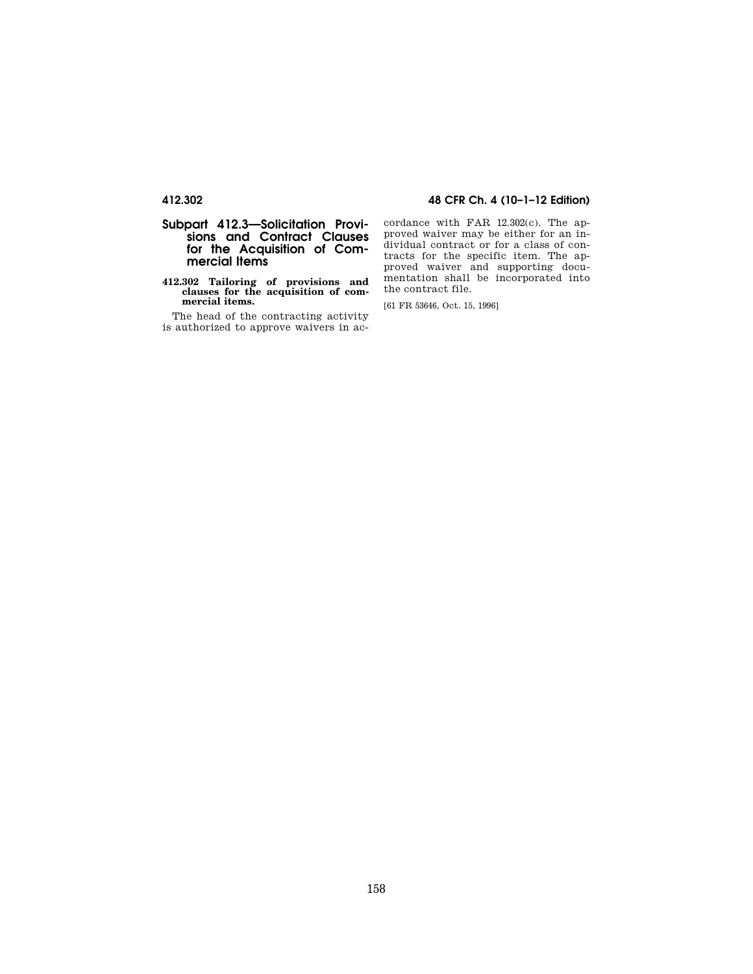## **Subpart 412.3—Solicitation Provisions and Contract Clauses for the Acquisition of Commercial Items**

#### **412.302 Tailoring of provisions and clauses for the acquisition of commercial items.**

The head of the contracting activity is authorized to approve waivers in ac-

## **412.302 48 CFR Ch. 4 (10–1–12 Edition)**

cordance with FAR 12.302(c). The approved waiver may be either for an individual contract or for a class of contracts for the specific item. The approved waiver and supporting documentation shall be incorporated into the contract file.

[61 FR 53646, Oct. 15, 1996]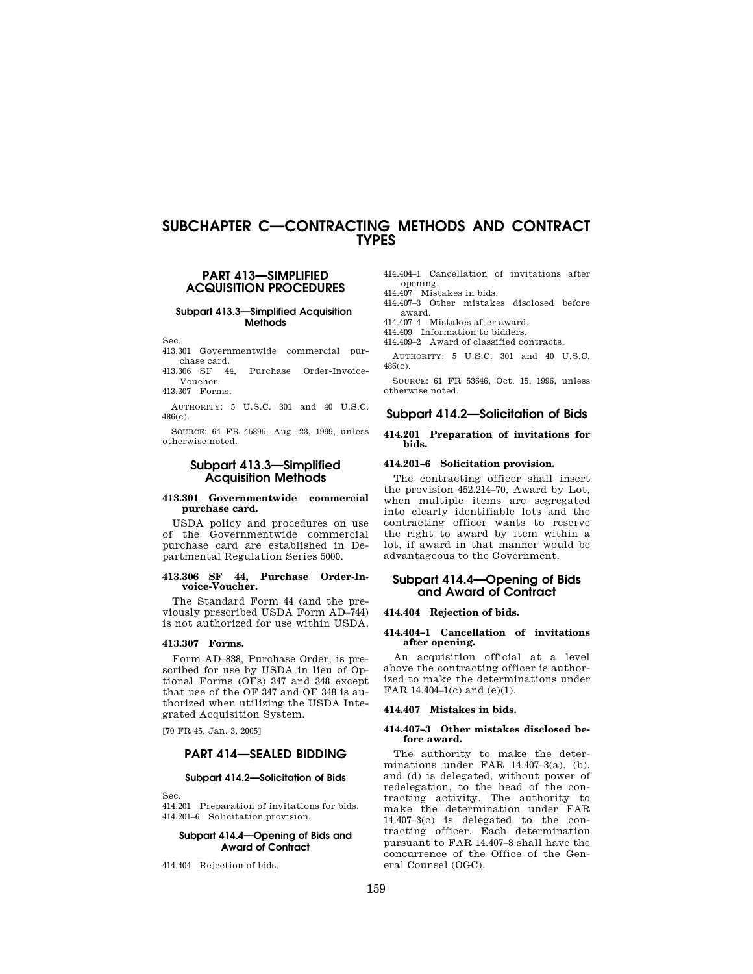# **SUBCHAPTER C—CONTRACTING METHODS AND CONTRACT TYPES**

## **PART 413—SIMPLIFIED ACQUISITION PROCEDURES**

**Subpart 413.3—Simplified Acquisition Methods** 

Sec.

- 413.301 Governmentwide commercial purchase card.<br>413.306 SF 44.
- Purchase Order-Invoice-Voucher.

413.307 Forms.

AUTHORITY: 5 U.S.C. 301 and 40 U.S.C. 486(c).

SOURCE: 64 FR 45895, Aug. 23, 1999, unless otherwise noted.

## **Subpart 413.3—Simplified Acquisition Methods**

### **413.301 Governmentwide commercial purchase card.**

USDA policy and procedures on use of the Governmentwide commercial purchase card are established in Departmental Regulation Series 5000.

## **413.306 SF 44, Purchase Order-Invoice-Voucher.**

The Standard Form 44 (and the previously prescribed USDA Form AD–744) is not authorized for use within USDA.

#### **413.307 Forms.**

Form AD–838, Purchase Order, is prescribed for use by USDA in lieu of Optional Forms (OFs) 347 and 348 except that use of the OF 347 and OF 348 is authorized when utilizing the USDA Integrated Acquisition System.

[70 FR 45, Jan. 3, 2005]

## **PART 414—SEALED BIDDING**

#### **Subpart 414.2—Solicitation of Bids**

Sec.

414.201 Preparation of invitations for bids. 414.201–6 Solicitation provision.

#### **Subpart 414.4—Opening of Bids and Award of Contract**

414.404 Rejection of bids.

- 414.404–1 Cancellation of invitations after
- opening. 414.407 Mistakes in bids.
- 414.407–3 Other mistakes disclosed before award.
- 414.407–4 Mistakes after award.

414.409 Information to bidders. 414.409–2 Award of classified contracts.

AUTHORITY: 5 U.S.C. 301 and 40 U.S.C.

486(c). SOURCE: 61 FR 53646, Oct. 15, 1996, unless

otherwise noted.

## **Subpart 414.2—Solicitation of Bids**

#### **414.201 Preparation of invitations for bids.**

### **414.201–6 Solicitation provision.**

The contracting officer shall insert the provision 452.214–70, Award by Lot, when multiple items are segregated into clearly identifiable lots and the contracting officer wants to reserve the right to award by item within a lot, if award in that manner would be advantageous to the Government.

## **Subpart 414.4—Opening of Bids and Award of Contract**

#### **414.404 Rejection of bids.**

#### **414.404–1 Cancellation of invitations after opening.**

An acquisition official at a level above the contracting officer is authorized to make the determinations under FAR 14.404–1(c) and (e)(1).

#### **414.407 Mistakes in bids.**

#### **414.407–3 Other mistakes disclosed before award.**

The authority to make the determinations under FAR  $14.407-3(a)$ , (b), and (d) is delegated, without power of redelegation, to the head of the contracting activity. The authority to make the determination under FAR 14.407–3(c) is delegated to the contracting officer. Each determination pursuant to FAR 14.407–3 shall have the concurrence of the Office of the General Counsel (OGC).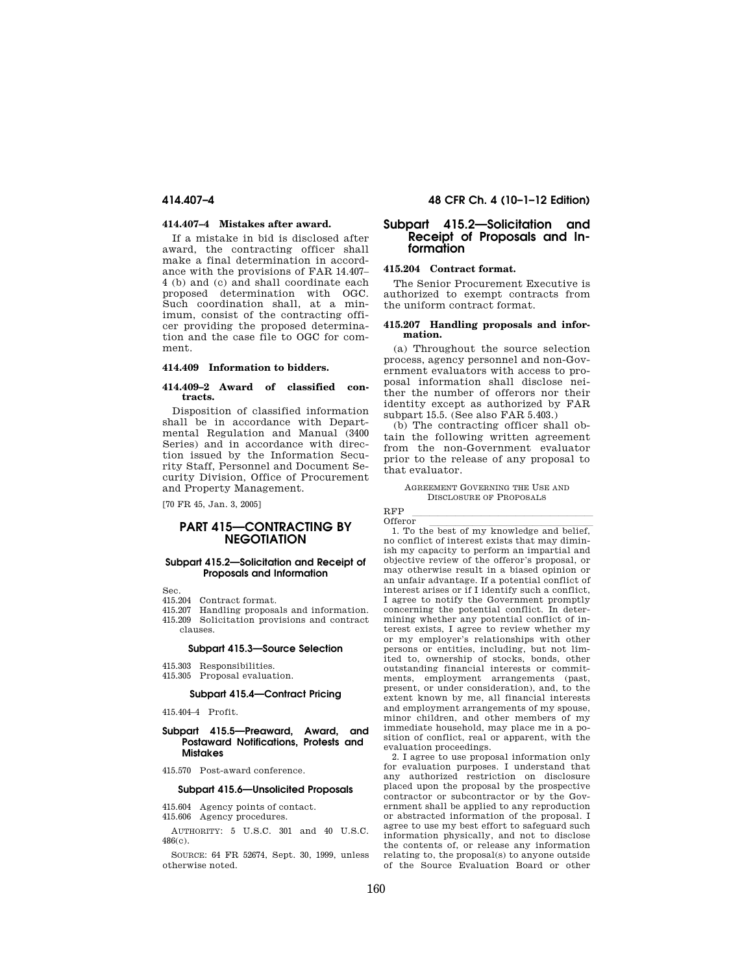#### **414.407–4 Mistakes after award.**

If a mistake in bid is disclosed after award, the contracting officer shall make a final determination in accordance with the provisions of FAR 14.407– 4 (b) and (c) and shall coordinate each proposed determination with OGC. Such coordination shall, at a minimum, consist of the contracting officer providing the proposed determination and the case file to OGC for comment.

#### **414.409 Information to bidders.**

#### **414.409–2 Award of classified contracts.**

Disposition of classified information shall be in accordance with Departmental Regulation and Manual (3400 Series) and in accordance with direction issued by the Information Security Staff, Personnel and Document Security Division, Office of Procurement and Property Management.

[70 FR 45, Jan. 3, 2005]

## **PART 415—CONTRACTING BY NEGOTIATION**

#### **Subpart 415.2—Solicitation and Receipt of Proposals and Information**

Sec.

- 415.204 Contract format.
- 415.207 Handling proposals and information.
- 415.209 Solicitation provisions and contract clauses.

#### **Subpart 415.3—Source Selection**

- 415.303 Responsibilities.
- 415.305 Proposal evaluation.

#### **Subpart 415.4—Contract Pricing**

415.404–4 Profit.

#### **Subpart 415.5—Preaward, Award, and Postaward Notifications, Protests and Mistakes**

415.570 Post-award conference.

## **Subpart 415.6—Unsolicited Proposals**

415.604 Agency points of contact. 415.606 Agency procedures.

AUTHORITY: 5 U.S.C. 301 and 40 U.S.C. 486(c).

SOURCE: 64 FR 52674, Sept. 30, 1999, unless otherwise noted.

## **414.407–4 48 CFR Ch. 4 (10–1–12 Edition)**

## **Subpart 415.2—Solicitation and Receipt of Proposals and Information**

### **415.204 Contract format.**

The Senior Procurement Executive is authorized to exempt contracts from the uniform contract format.

#### **415.207 Handling proposals and information.**

(a) Throughout the source selection process, agency personnel and non-Government evaluators with access to proposal information shall disclose neither the number of offerors nor their identity except as authorized by FAR subpart 15.5. (See also FAR 5.403.)

(b) The contracting officer shall obtain the following written agreement from the non-Government evaluator prior to the release of any proposal to that evaluator.

AGREEMENT GOVERNING THE USE AND DISCLOSURE OF PROPOSALS

RFP<br>Offeror

Offeror  $\frac{1}{1}$ . To the best of my knowledge and belief, no conflict of interest exists that may diminish my capacity to perform an impartial and objective review of the offeror's proposal, or may otherwise result in a biased opinion or an unfair advantage. If a potential conflict of interest arises or if I identify such a conflict, I agree to notify the Government promptly concerning the potential conflict. In determining whether any potential conflict of interest exists, I agree to review whether my or my employer's relationships with other persons or entities, including, but not limited to, ownership of stocks, bonds, other outstanding financial interests or commitments, employment arrangements (past, present, or under consideration), and, to the extent known by me, all financial interests and employment arrangements of my spouse, minor children, and other members of my immediate household, may place me in a position of conflict, real or apparent, with the evaluation proceedings.

2. I agree to use proposal information only for evaluation purposes. I understand that any authorized restriction on disclosure placed upon the proposal by the prospective contractor or subcontractor or by the Government shall be applied to any reproduction or abstracted information of the proposal. I agree to use my best effort to safeguard such information physically, and not to disclose the contents of, or release any information relating to, the proposal(s) to anyone outside of the Source Evaluation Board or other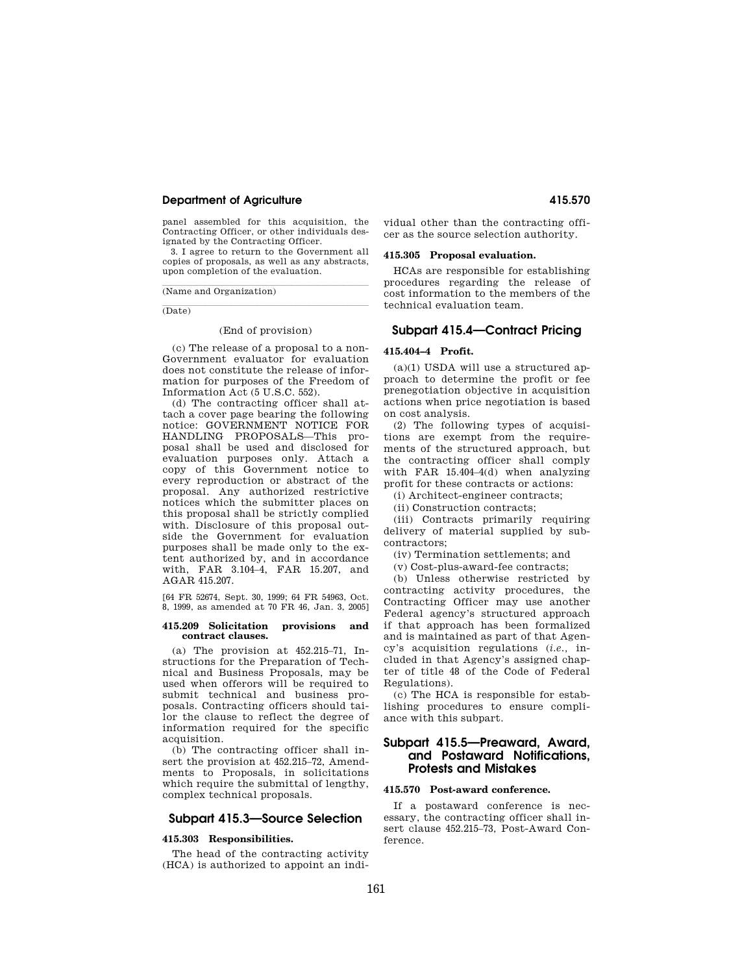### **Department of Agriculture 415.570**

panel assembled for this acquisition, the Contracting Officer, or other individuals designated by the Contracting Officer.

3. I agree to return to the Government all copies of proposals, as well as any abstracts, upon completion of the evaluation.

(Name and Organization)

(Date)

#### (End of provision)

(c) The release of a proposal to a non-Government evaluator for evaluation does not constitute the release of information for purposes of the Freedom of Information Act (5 U.S.C. 552).

(d) The contracting officer shall attach a cover page bearing the following notice: GOVERNMENT NOTICE FOR HANDLING PROPOSALS—This proposal shall be used and disclosed for evaluation purposes only. Attach a copy of this Government notice to every reproduction or abstract of the proposal. Any authorized restrictive notices which the submitter places on this proposal shall be strictly complied with. Disclosure of this proposal outside the Government for evaluation purposes shall be made only to the extent authorized by, and in accordance with, FAR 3.104–4, FAR 15.207, and AGAR 415.207.

[64 FR 52674, Sept. 30, 1999; 64 FR 54963, Oct. 8, 1999, as amended at 70 FR 46, Jan. 3, 2005]

#### **415.209 Solicitation provisions and contract clauses.**

(a) The provision at 452.215–71, Instructions for the Preparation of Technical and Business Proposals, may be used when offerors will be required to submit technical and business proposals. Contracting officers should tailor the clause to reflect the degree of information required for the specific acquisition.

(b) The contracting officer shall insert the provision at 452.215–72, Amendments to Proposals, in solicitations which require the submittal of lengthy, complex technical proposals.

## **Subpart 415.3—Source Selection**

#### **415.303 Responsibilities.**

The head of the contracting activity (HCA) is authorized to appoint an individual other than the contracting officer as the source selection authority.

#### **415.305 Proposal evaluation.**

HCAs are responsible for establishing procedures regarding the release of cost information to the members of the technical evaluation team.

## **Subpart 415.4—Contract Pricing**

## **415.404–4 Profit.**

 $(a)(1)$  USDA will use a structured approach to determine the profit or fee prenegotiation objective in acquisition actions when price negotiation is based on cost analysis.

(2) The following types of acquisitions are exempt from the requirements of the structured approach, but the contracting officer shall comply with FAR 15.404–4(d) when analyzing profit for these contracts or actions:

(i) Architect-engineer contracts;

(ii) Construction contracts;

(iii) Contracts primarily requiring delivery of material supplied by subcontractors;

(iv) Termination settlements; and

(v) Cost-plus-award-fee contracts;

(b) Unless otherwise restricted by contracting activity procedures, the Contracting Officer may use another Federal agency's structured approach if that approach has been formalized and is maintained as part of that Agency's acquisition regulations (*i.e.,* included in that Agency's assigned chapter of title 48 of the Code of Federal Regulations).

(c) The HCA is responsible for establishing procedures to ensure compliance with this subpart.

## **Subpart 415.5—Preaward, Award, and Postaward Notifications, Protests and Mistakes**

## **415.570 Post-award conference.**

If a postaward conference is necessary, the contracting officer shall insert clause 452.215–73, Post-Award Conference.

161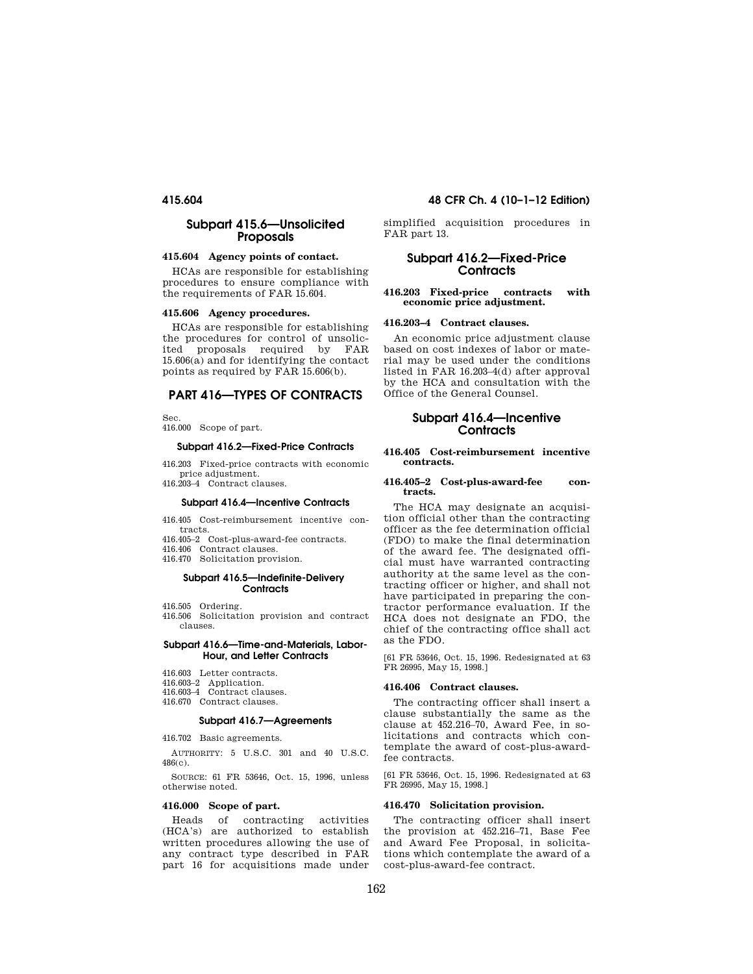## **Subpart 415.6—Unsolicited Proposals**

### **415.604 Agency points of contact.**

HCAs are responsible for establishing procedures to ensure compliance with the requirements of FAR 15.604.

#### **415.606 Agency procedures.**

HCAs are responsible for establishing the procedures for control of unsolicited proposals required by FAR 15.606(a) and for identifying the contact points as required by FAR 15.606(b).

## **PART 416—TYPES OF CONTRACTS**

Sec.

416.000 Scope of part.

## **Subpart 416.2—Fixed-Price Contracts**

416.203 Fixed-price contracts with economic price adjustment. 416.203–4 Contract clauses.

#### **Subpart 416.4—Incentive Contracts**

416.405 Cost-reimbursement incentive contracts.

416.405–2 Cost-plus-award-fee contracts.

416.406 Contract clauses.

416.470 Solicitation provision.

#### **Subpart 416.5—Indefinite-Delivery Contracts**

416.505 Ordering.

416.506 Solicitation provision and contract clauses.

#### **Subpart 416.6—Time-and-Materials, Labor-Hour, and Letter Contracts**

416.603 Letter contracts.

416.603–2 Application. 416.603–4 Contract clauses.

- 
- 416.670 Contract clauses.

## **Subpart 416.7—Agreements**

416.702 Basic agreements.

AUTHORITY: 5 U.S.C. 301 and 40 U.S.C. 486(c).

SOURCE: 61 FR 53646, Oct. 15, 1996, unless otherwise noted.

#### **416.000 Scope of part.**

Heads of contracting activities (HCA's) are authorized to establish written procedures allowing the use of any contract type described in FAR part 16 for acquisitions made under

## **415.604 48 CFR Ch. 4 (10–1–12 Edition)**

simplified acquisition procedures in FAR part 13.

## **Subpart 416.2—Fixed-Price Contracts**

#### **416.203 Fixed-price contracts with economic price adjustment.**

#### **416.203–4 Contract clauses.**

An economic price adjustment clause based on cost indexes of labor or material may be used under the conditions listed in FAR 16.203–4(d) after approval by the HCA and consultation with the Office of the General Counsel.

## **Subpart 416.4—Incentive Contracts**

#### **416.405 Cost-reimbursement incentive contracts.**

#### **416.405–2 Cost-plus-award-fee contracts.**

The HCA may designate an acquisition official other than the contracting officer as the fee determination official (FDO) to make the final determination of the award fee. The designated official must have warranted contracting authority at the same level as the contracting officer or higher, and shall not have participated in preparing the contractor performance evaluation. If the HCA does not designate an FDO, the chief of the contracting office shall act as the FDO.

[61 FR 53646, Oct. 15, 1996. Redesignated at 63 FR 26995, May 15, 1998.]

### **416.406 Contract clauses.**

The contracting officer shall insert a clause substantially the same as the clause at 452.216–70, Award Fee, in solicitations and contracts which contemplate the award of cost-plus-awardfee contracts.

[61 FR 53646, Oct. 15, 1996. Redesignated at 63 FR 26995, May 15, 1998.]

## **416.470 Solicitation provision.**

The contracting officer shall insert the provision at 452.216–71, Base Fee and Award Fee Proposal, in solicitations which contemplate the award of a cost-plus-award-fee contract.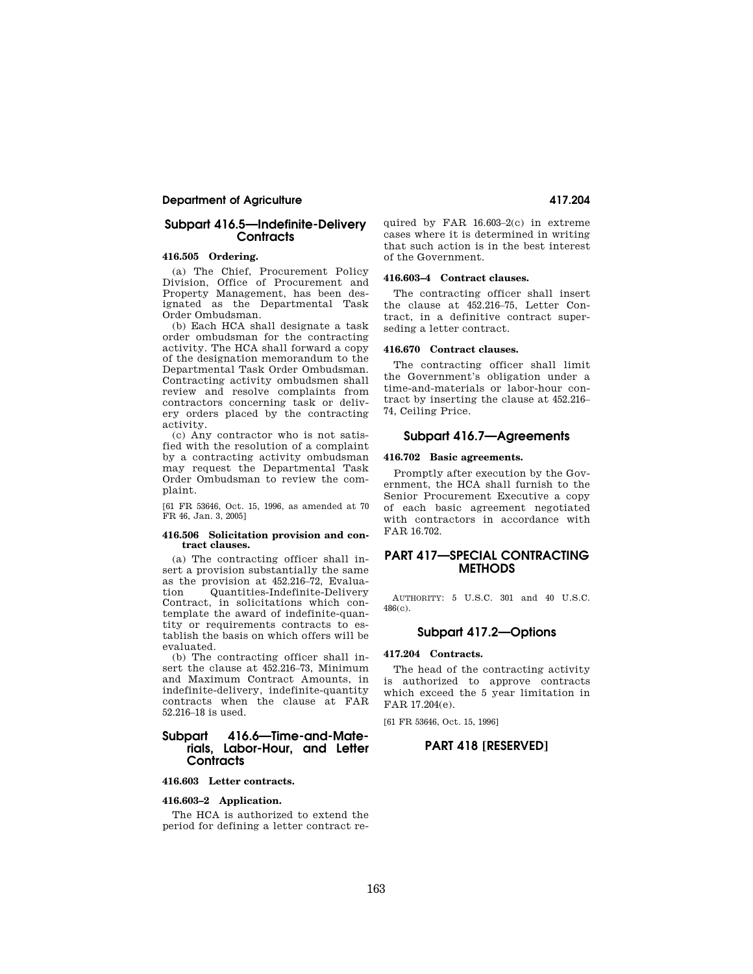## **Department of Agriculture 417.204**

## **Subpart 416.5—Indefinite-Delivery Contracts**

### **416.505 Ordering.**

(a) The Chief, Procurement Policy Division, Office of Procurement and Property Management, has been designated as the Departmental Task Order Ombudsman.

(b) Each HCA shall designate a task order ombudsman for the contracting activity. The HCA shall forward a copy of the designation memorandum to the Departmental Task Order Ombudsman. Contracting activity ombudsmen shall review and resolve complaints from contractors concerning task or delivery orders placed by the contracting activity.

(c) Any contractor who is not satisfied with the resolution of a complaint by a contracting activity ombudsman may request the Departmental Task Order Ombudsman to review the complaint.

[61 FR 53646, Oct. 15, 1996, as amended at 70 FR 46, Jan. 3, 2005]

#### **416.506 Solicitation provision and contract clauses.**

(a) The contracting officer shall insert a provision substantially the same as the provision at 452.216–72, Evaluation Quantities-Indefinite-Delivery Contract, in solicitations which contemplate the award of indefinite-quantity or requirements contracts to establish the basis on which offers will be evaluated.

(b) The contracting officer shall insert the clause at 452.216–73, Minimum and Maximum Contract Amounts, in indefinite-delivery, indefinite-quantity contracts when the clause at FAR 52.216–18 is used.

## **Subpart 416.6—Time-and-Materials, Labor-Hour, and Letter Contracts**

#### **416.603 Letter contracts.**

#### **416.603–2 Application.**

The HCA is authorized to extend the period for defining a letter contract required by FAR 16.603–2(c) in extreme cases where it is determined in writing that such action is in the best interest of the Government.

#### **416.603–4 Contract clauses.**

The contracting officer shall insert the clause at 452.216–75, Letter Contract, in a definitive contract superseding a letter contract.

#### **416.670 Contract clauses.**

The contracting officer shall limit the Government's obligation under a time-and-materials or labor-hour contract by inserting the clause at 452.216– 74, Ceiling Price.

## **Subpart 416.7—Agreements**

#### **416.702 Basic agreements.**

Promptly after execution by the Government, the HCA shall furnish to the Senior Procurement Executive a copy of each basic agreement negotiated with contractors in accordance with FAR 16.702.

## **PART 417—SPECIAL CONTRACTING METHODS**

AUTHORITY: 5 U.S.C. 301 and 40 U.S.C. 486(c).

## **Subpart 417.2—Options**

### **417.204 Contracts.**

The head of the contracting activity is authorized to approve contracts which exceed the 5 year limitation in FAR 17.204(e).

[61 FR 53646, Oct. 15, 1996]

## **PART 418 [RESERVED]**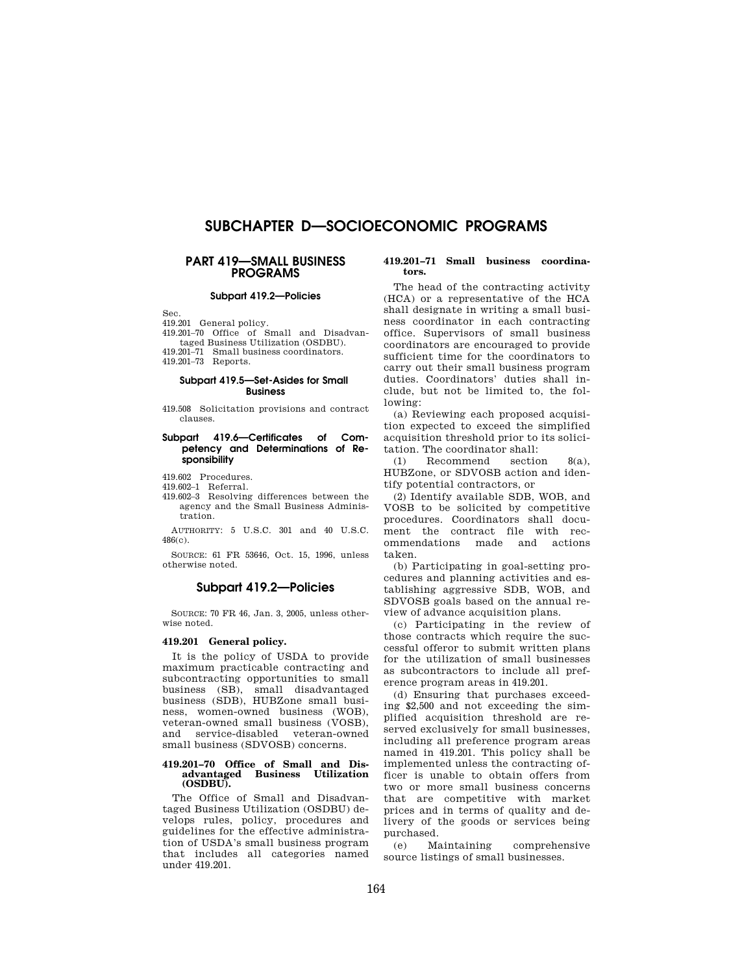# **SUBCHAPTER D—SOCIOECONOMIC PROGRAMS**

## **PART 419—SMALL BUSINESS PROGRAMS**

### **Subpart 419.2—Policies**

Sec.

419.201 General policy.

419.201–70 Office of Small and Disadvantaged Business Utilization (OSDBU).

419.201–71 Small business coordinators. 419.201–73 Reports.

#### **Subpart 419.5—Set-Asides for Small Business**

419.508 Solicitation provisions and contract clauses.

### **Subpart 419.6—Certificates of Competency and Determinations of Responsibility**

419.602 Procedures.

419.602–1 Referral.

419.602–3 Resolving differences between the agency and the Small Business Administration.

AUTHORITY: 5 U.S.C. 301 and 40 U.S.C. 486(c).

SOURCE: 61 FR 53646, Oct. 15, 1996, unless otherwise noted.

## **Subpart 419.2—Policies**

SOURCE: 70 FR 46, Jan. 3, 2005, unless otherwise noted.

#### **419.201 General policy.**

It is the policy of USDA to provide maximum practicable contracting and subcontracting opportunities to small business (SB), small disadvantaged business (SDB), HUBZone small business, women-owned business (WOB), veteran-owned small business (VOSB), and service-disabled veteran-owned small business (SDVOSB) concerns.

#### **419.201–70 Office of Small and Disadvantaged Business Utilization (OSDBU).**

The Office of Small and Disadvantaged Business Utilization (OSDBU) develops rules, policy, procedures and guidelines for the effective administration of USDA's small business program that includes all categories named under 419.201.

#### **419.201–71 Small business coordinators.**

The head of the contracting activity (HCA) or a representative of the HCA shall designate in writing a small business coordinator in each contracting office. Supervisors of small business coordinators are encouraged to provide sufficient time for the coordinators to carry out their small business program duties. Coordinators' duties shall include, but not be limited to, the following:

(a) Reviewing each proposed acquisition expected to exceed the simplified acquisition threshold prior to its solicitation. The coordinator shall:

(1) Recommend section 8(a), HUBZone, or SDVOSB action and identify potential contractors, or

(2) Identify available SDB, WOB, and VOSB to be solicited by competitive procedures. Coordinators shall document the contract file with recommendations made and actions taken.

(b) Participating in goal-setting procedures and planning activities and establishing aggressive SDB, WOB, and SDVOSB goals based on the annual review of advance acquisition plans.

(c) Participating in the review of those contracts which require the successful offeror to submit written plans for the utilization of small businesses as subcontractors to include all preference program areas in 419.201.

(d) Ensuring that purchases exceeding \$2,500 and not exceeding the simplified acquisition threshold are reserved exclusively for small businesses, including all preference program areas named in 419.201. This policy shall be implemented unless the contracting officer is unable to obtain offers from two or more small business concerns that are competitive with market prices and in terms of quality and delivery of the goods or services being purchased.<br>(e) Maintaining

(e) Maintaining comprehensive source listings of small businesses.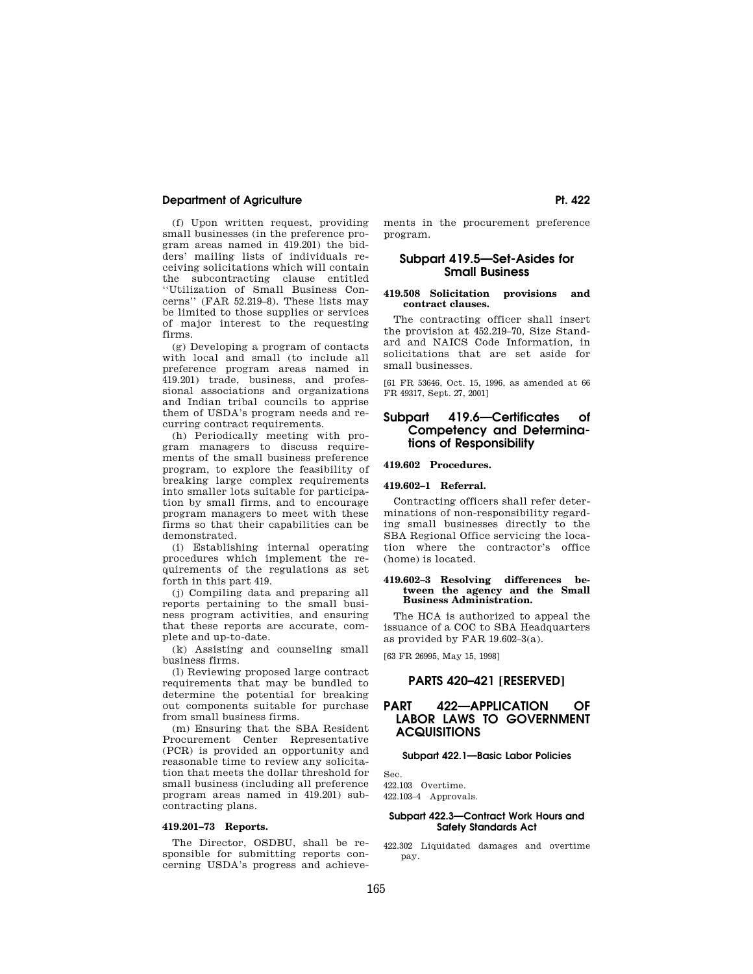## **Department of Agriculture Pt. 422 Pt. 422**

(f) Upon written request, providing small businesses (in the preference program areas named in 419.201) the bidders' mailing lists of individuals receiving solicitations which will contain the subcontracting clause entitled ''Utilization of Small Business Concerns'' (FAR 52.219–8). These lists may be limited to those supplies or services of major interest to the requesting firms.

(g) Developing a program of contacts with local and small (to include all preference program areas named in 419.201) trade, business, and professional associations and organizations and Indian tribal councils to apprise them of USDA's program needs and recurring contract requirements.

(h) Periodically meeting with program managers to discuss requirements of the small business preference program, to explore the feasibility of breaking large complex requirements into smaller lots suitable for participation by small firms, and to encourage program managers to meet with these firms so that their capabilities can be demonstrated.

(i) Establishing internal operating procedures which implement the requirements of the regulations as set forth in this part 419.

(j) Compiling data and preparing all reports pertaining to the small business program activities, and ensuring that these reports are accurate, complete and up-to-date.

(k) Assisting and counseling small business firms.

(l) Reviewing proposed large contract requirements that may be bundled to determine the potential for breaking out components suitable for purchase from small business firms.

(m) Ensuring that the SBA Resident Procurement Center Representative (PCR) is provided an opportunity and reasonable time to review any solicitation that meets the dollar threshold for small business (including all preference program areas named in 419.201) subcontracting plans.

#### **419.201–73 Reports.**

The Director, OSDBU, shall be responsible for submitting reports concerning USDA's progress and achievements in the procurement preference program.

### **Subpart 419.5—Set-Asides for Small Business**

### **419.508 Solicitation provisions and contract clauses.**

The contracting officer shall insert the provision at 452.219–70, Size Standard and NAICS Code Information, in solicitations that are set aside for small businesses.

[61 FR 53646, Oct. 15, 1996, as amended at 66 FR 49317, Sept. 27, 2001]

## **Subpart 419.6—Certificates of Competency and Determinations of Responsibility**

**419.602 Procedures.** 

## **419.602–1 Referral.**

Contracting officers shall refer determinations of non-responsibility regarding small businesses directly to the SBA Regional Office servicing the location where the contractor's office (home) is located.

#### **419.602–3 Resolving differences between the agency and the Small Business Administration.**

The HCA is authorized to appeal the issuance of a COC to SBA Headquarters as provided by FAR 19.602–3(a).

[63 FR 26995, May 15, 1998]

#### **PARTS 420–421 [RESERVED]**

## **PART 422—APPLICATION OF LABOR LAWS TO GOVERNMENT ACQUISITIONS**

#### **Subpart 422.1—Basic Labor Policies**

Sec. 422.103 Overtime. 422.103–4 Approvals.

### **Subpart 422.3—Contract Work Hours and Safety Standards Act**

422.302 Liquidated damages and overtime pay.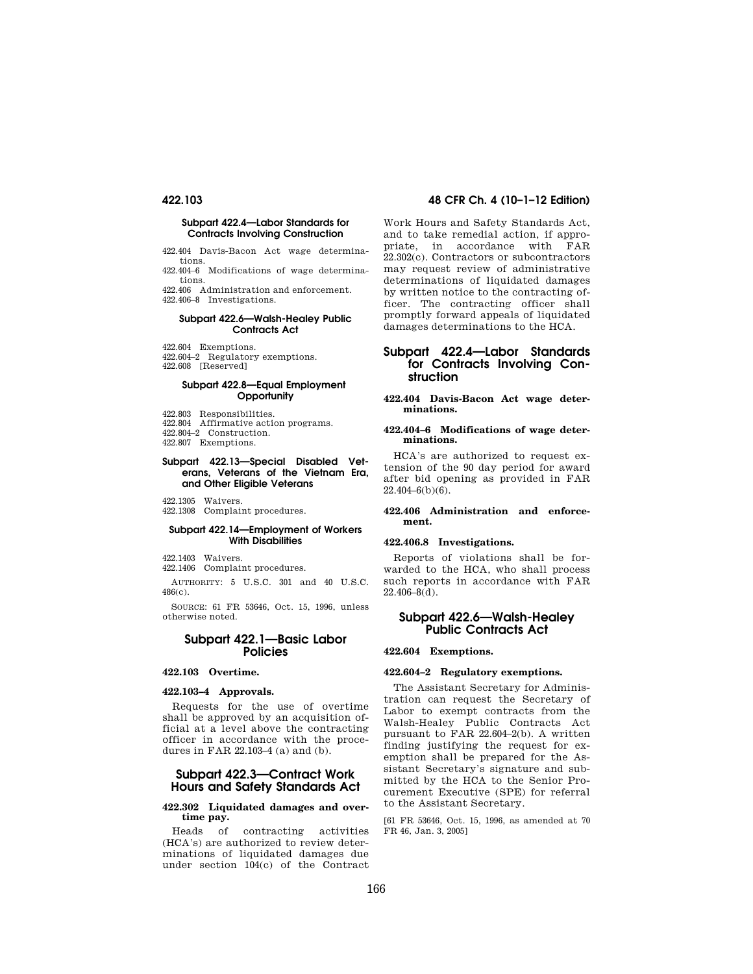#### **Subpart 422.4—Labor Standards for Contracts Involving Construction**

422.404 Davis-Bacon Act wage determinations.

422.404–6 Modifications of wage determinations.

422.406 Administration and enforcement. 422.406–8 Investigations.

#### **Subpart 422.6—Walsh-Healey Public Contracts Act**

422.604 Exemptions.

422.604–2 Regulatory exemptions.

422.608 [Reserved]

## **Subpart 422.8—Equal Employment Opportunity**

- 422.803 Responsibilities.
- 422.804 Affirmative action programs.

422.804–2 Construction.

422.807 Exemptions.

### **Subpart 422.13—Special Disabled Veterans, Veterans of the Vietnam Era, and Other Eligible Veterans**

422.1305 Waivers.

422.1308 Complaint procedures.

#### **Subpart 422.14—Employment of Workers With Disabilities**

422.1403 Waivers.

422.1406 Complaint procedures.

AUTHORITY: 5 U.S.C. 301 and 40 U.S.C. 486(c).

SOURCE: 61 FR 53646, Oct. 15, 1996, unless otherwise noted.

## **Subpart 422.1—Basic Labor Policies**

#### **422.103 Overtime.**

#### **422.103–4 Approvals.**

Requests for the use of overtime shall be approved by an acquisition official at a level above the contracting officer in accordance with the procedures in FAR 22.103–4 (a) and (b).

## **Subpart 422.3—Contract Work Hours and Safety Standards Act**

## **422.302 Liquidated damages and overtime pay.**

Heads of contracting activities (HCA's) are authorized to review determinations of liquidated damages due under section 104(c) of the Contract

## **422.103 48 CFR Ch. 4 (10–1–12 Edition)**

Work Hours and Safety Standards Act, and to take remedial action, if appropriate, in accordance with FAR 22.302(c). Contractors or subcontractors may request review of administrative determinations of liquidated damages by written notice to the contracting officer. The contracting officer shall promptly forward appeals of liquidated damages determinations to the HCA.

## **Subpart 422.4—Labor Standards for Contracts Involving Construction**

#### **422.404 Davis-Bacon Act wage determinations.**

#### **422.404–6 Modifications of wage determinations.**

HCA's are authorized to request extension of the 90 day period for award after bid opening as provided in FAR  $22.404 - 6(b)(6)$ .

## **422.406 Administration and enforcement.**

#### **422.406.8 Investigations.**

Reports of violations shall be forwarded to the HCA, who shall process such reports in accordance with FAR  $22.406 - 8(d)$ .

## **Subpart 422.6—Walsh-Healey Public Contracts Act**

### **422.604 Exemptions.**

#### **422.604–2 Regulatory exemptions.**

The Assistant Secretary for Administration can request the Secretary of Labor to exempt contracts from the Walsh-Healey Public Contracts Act pursuant to FAR 22.604–2(b). A written finding justifying the request for exemption shall be prepared for the Assistant Secretary's signature and submitted by the HCA to the Senior Procurement Executive (SPE) for referral to the Assistant Secretary.

[61 FR 53646, Oct. 15, 1996, as amended at 70 FR 46, Jan. 3, 2005]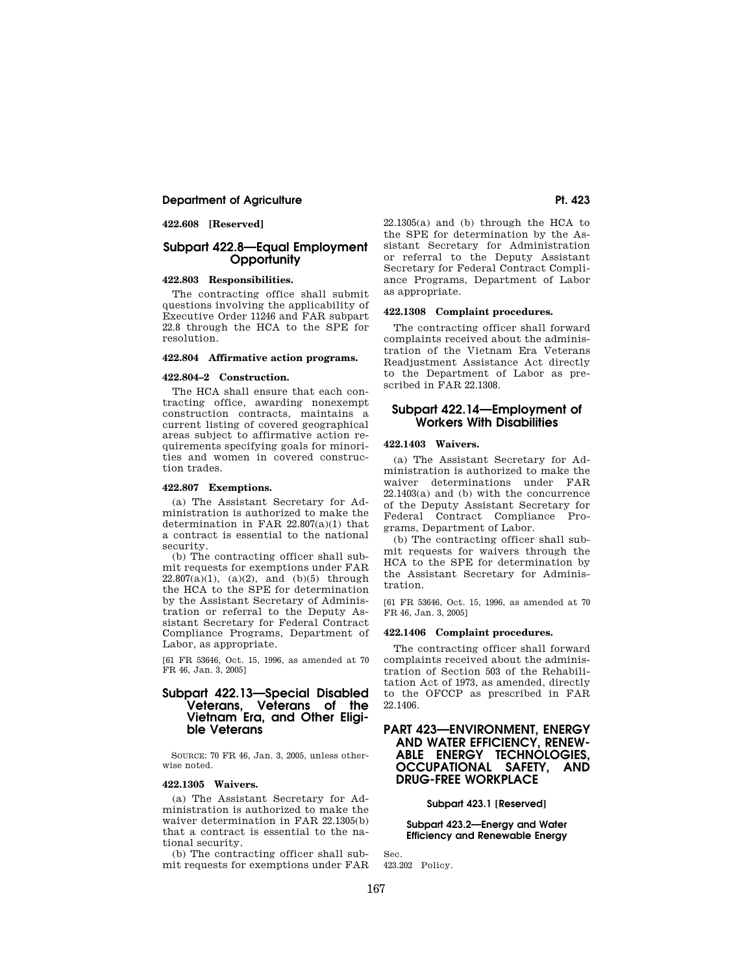## **Department of Agriculture Pt. 423**

**422.608 [Reserved]** 

## **Subpart 422.8—Equal Employment Opportunity**

## **422.803 Responsibilities.**

The contracting office shall submit questions involving the applicability of Executive Order 11246 and FAR subpart 22.8 through the HCA to the SPE for resolution.

## **422.804 Affirmative action programs.**

### **422.804–2 Construction.**

The HCA shall ensure that each contracting office, awarding nonexempt construction contracts, maintains a current listing of covered geographical areas subject to affirmative action requirements specifying goals for minorities and women in covered construction trades.

### **422.807 Exemptions.**

(a) The Assistant Secretary for Administration is authorized to make the determination in FAR 22.807(a)(1) that a contract is essential to the national security.

(b) The contracting officer shall submit requests for exemptions under FAR  $22.807(a)(1)$ ,  $(a)(2)$ , and  $(b)(5)$  through the HCA to the SPE for determination by the Assistant Secretary of Administration or referral to the Deputy Assistant Secretary for Federal Contract Compliance Programs, Department of Labor, as appropriate.

[61 FR 53646, Oct. 15, 1996, as amended at 70 FR 46, Jan. 3, 2005]

## **Subpart 422.13—Special Disabled Veterans, Veterans of the Vietnam Era, and Other Eligible Veterans**

SOURCE: 70 FR 46, Jan. 3, 2005, unless otherwise noted.

#### **422.1305 Waivers.**

(a) The Assistant Secretary for Administration is authorized to make the waiver determination in FAR 22.1305(b) that a contract is essential to the national security.

(b) The contracting officer shall submit requests for exemptions under FAR

22.1305(a) and (b) through the HCA to the SPE for determination by the Assistant Secretary for Administration or referral to the Deputy Assistant Secretary for Federal Contract Compliance Programs, Department of Labor as appropriate.

### **422.1308 Complaint procedures.**

The contracting officer shall forward complaints received about the administration of the Vietnam Era Veterans Readjustment Assistance Act directly to the Department of Labor as prescribed in FAR 22.1308.

## **Subpart 422.14—Employment of Workers With Disabilities**

#### **422.1403 Waivers.**

(a) The Assistant Secretary for Administration is authorized to make the waiver determinations under FAR 22.1403(a) and (b) with the concurrence of the Deputy Assistant Secretary for Federal Contract Compliance Programs, Department of Labor.

(b) The contracting officer shall submit requests for waivers through the HCA to the SPE for determination by the Assistant Secretary for Administration.

[61 FR 53646, Oct. 15, 1996, as amended at 70 FR 46, Jan. 3, 2005]

#### **422.1406 Complaint procedures.**

The contracting officer shall forward complaints received about the administration of Section 503 of the Rehabilitation Act of 1973, as amended, directly to the OFCCP as prescribed in FAR 22.1406.

## **PART 423—ENVIRONMENT, ENERGY AND WATER EFFICIENCY, RENEW-ABLE ENERGY TECHNOLOGIES, OCCUPATIONAL SAFETY, AND DRUG-FREE WORKPLACE**

### **Subpart 423.1 [Reserved]**

**Subpart 423.2—Energy and Water Efficiency and Renewable Energy** 

423.202 Policy.

Sec.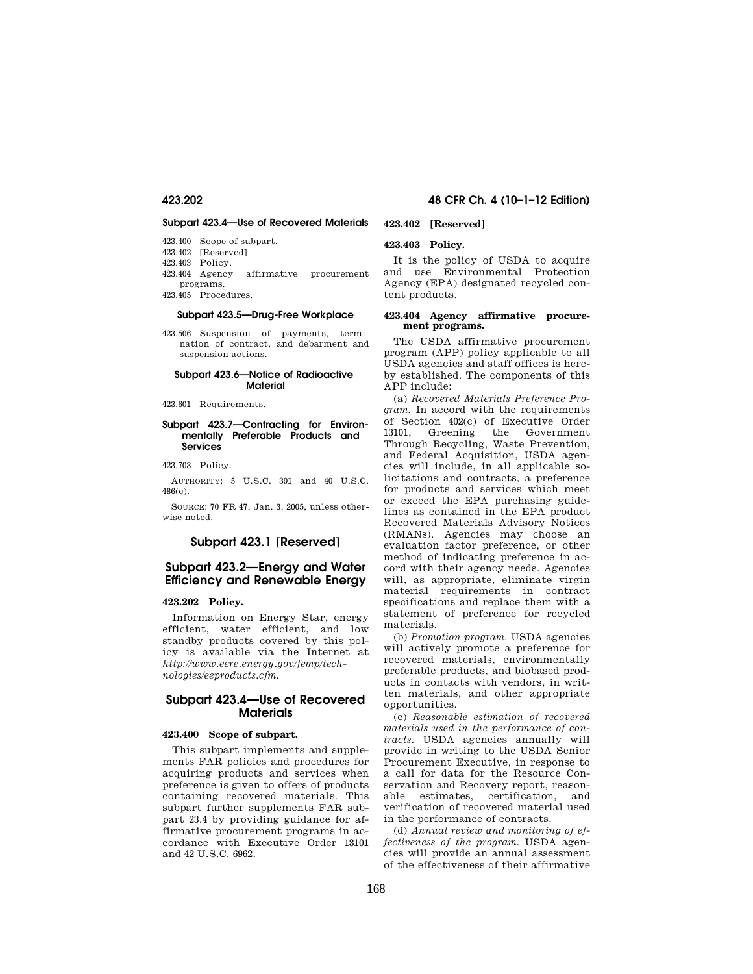#### **Subpart 423.4—Use of Recovered Materials**

- 423.400 Scope of subpart.
- 423.402 [Reserved]
- 423.403 Policy.<br>423.404 Agency
- affirmative procurement programs.

423.405 Procedures.

## **Subpart 423.5—Drug-Free Workplace**

423.506 Suspension of payments, termination of contract, and debarment and suspension actions.

## **Subpart 423.6—Notice of Radioactive Material**

423.601 Requirements.

#### **Subpart 423.7—Contracting for Environmentally Preferable Products and Services**

423.703 Policy.

AUTHORITY: 5 U.S.C. 301 and 40 U.S.C. 486(c).

SOURCE: 70 FR 47, Jan. 3, 2005, unless otherwise noted.

## **Subpart 423.1 [Reserved]**

## **Subpart 423.2—Energy and Water Efficiency and Renewable Energy**

## **423.202 Policy.**

Information on Energy Star, energy efficient, water efficient, and low standby products covered by this policy is available via the Internet at *http://www.eere.energy.gov/femp/technologies/eeproducts.cfm.* 

## **Subpart 423.4—Use of Recovered Materials**

#### **423.400 Scope of subpart.**

This subpart implements and supplements FAR policies and procedures for acquiring products and services when preference is given to offers of products containing recovered materials. This subpart further supplements FAR subpart 23.4 by providing guidance for affirmative procurement programs in accordance with Executive Order 13101 and 42 U.S.C. 6962.

## **423.202 48 CFR Ch. 4 (10–1–12 Edition)**

## **423.402 [Reserved]**

## **423.403 Policy.**

It is the policy of USDA to acquire and use Environmental Protection Agency (EPA) designated recycled content products.

#### **423.404 Agency affirmative procurement programs.**

The USDA affirmative procurement program (APP) policy applicable to all USDA agencies and staff offices is hereby established. The components of this APP include:

(a) *Recovered Materials Preference Program.* In accord with the requirements of Section 402(c) of Executive Order 13101, Greening the Government Through Recycling, Waste Prevention, and Federal Acquisition, USDA agencies will include, in all applicable solicitations and contracts, a preference for products and services which meet or exceed the EPA purchasing guidelines as contained in the EPA product Recovered Materials Advisory Notices (RMANs). Agencies may choose an evaluation factor preference, or other method of indicating preference in accord with their agency needs. Agencies will, as appropriate, eliminate virgin material requirements in contract specifications and replace them with a statement of preference for recycled materials.

(b) *Promotion program.* USDA agencies will actively promote a preference for recovered materials, environmentally preferable products, and biobased products in contacts with vendors, in written materials, and other appropriate opportunities.

(c) *Reasonable estimation of recovered materials used in the performance of contracts.* USDA agencies annually will provide in writing to the USDA Senior Procurement Executive, in response to a call for data for the Resource Conservation and Recovery report, reasonable estimates, certification, and verification of recovered material used in the performance of contracts.

(d) *Annual review and monitoring of effectiveness of the program.* USDA agencies will provide an annual assessment of the effectiveness of their affirmative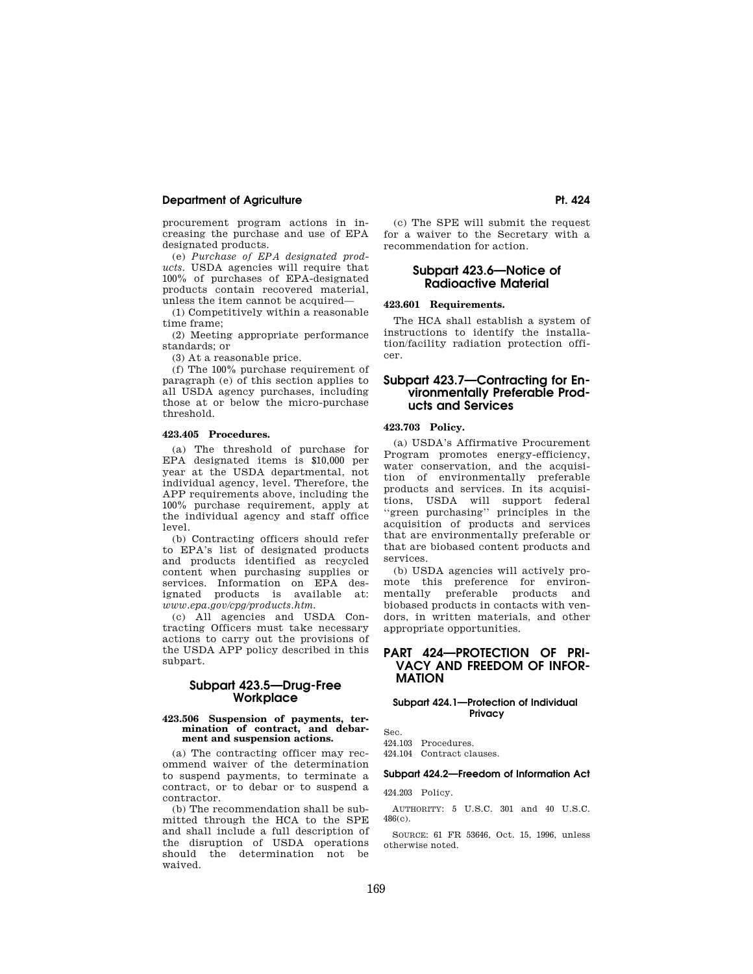## **Department of Agriculture Pt. 424 Pt. 424**

procurement program actions in increasing the purchase and use of EPA designated products.

(e) *Purchase of EPA designated products.* USDA agencies will require that 100% of purchases of EPA-designated products contain recovered material, unless the item cannot be acquired—

(1) Competitively within a reasonable time frame;

(2) Meeting appropriate performance standards; or

(3) At a reasonable price.

(f) The 100% purchase requirement of paragraph (e) of this section applies to all USDA agency purchases, including those at or below the micro-purchase threshold.

### **423.405 Procedures.**

(a) The threshold of purchase for EPA designated items is \$10,000 per year at the USDA departmental, not individual agency, level. Therefore, the APP requirements above, including the 100% purchase requirement, apply at the individual agency and staff office level.

(b) Contracting officers should refer to EPA's list of designated products and products identified as recycled content when purchasing supplies or services. Information on EPA designated products is available at: *www.epa.gov/cpg/products.htm.* 

(c) All agencies and USDA Contracting Officers must take necessary actions to carry out the provisions of the USDA APP policy described in this subpart.

## **Subpart 423.5—Drug-Free Workplace**

#### **423.506 Suspension of payments, termination of contract, and debarment and suspension actions.**

(a) The contracting officer may recommend waiver of the determination to suspend payments, to terminate a contract, or to debar or to suspend a contractor.

(b) The recommendation shall be submitted through the HCA to the SPE and shall include a full description of the disruption of USDA operations should the determination not be waived.

(c) The SPE will submit the request for a waiver to the Secretary with a recommendation for action.

## **Subpart 423.6—Notice of Radioactive Material**

## **423.601 Requirements.**

The HCA shall establish a system of instructions to identify the installation/facility radiation protection officer.

## **Subpart 423.7—Contracting for Environmentally Preferable Products and Services**

## **423.703 Policy.**

(a) USDA's Affirmative Procurement Program promotes energy-efficiency, water conservation, and the acquisition of environmentally preferable products and services. In its acquisitions, USDA will support federal ''green purchasing'' principles in the acquisition of products and services that are environmentally preferable or that are biobased content products and services.

(b) USDA agencies will actively promote this preference for environmentally preferable products and biobased products in contacts with vendors, in written materials, and other appropriate opportunities.

## **PART 424—PROTECTION OF PRI-VACY AND FREEDOM OF INFOR-MATION**

### **Subpart 424.1—Protection of Individual Privacy**

Sec. 424.103 Procedures.

424.104 Contract clauses.

## **Subpart 424.2—Freedom of Information Act**

424.203 Policy.

AUTHORITY: 5 U.S.C. 301 and 40 U.S.C. 486(c).

SOURCE: 61 FR 53646, Oct. 15, 1996, unless otherwise noted.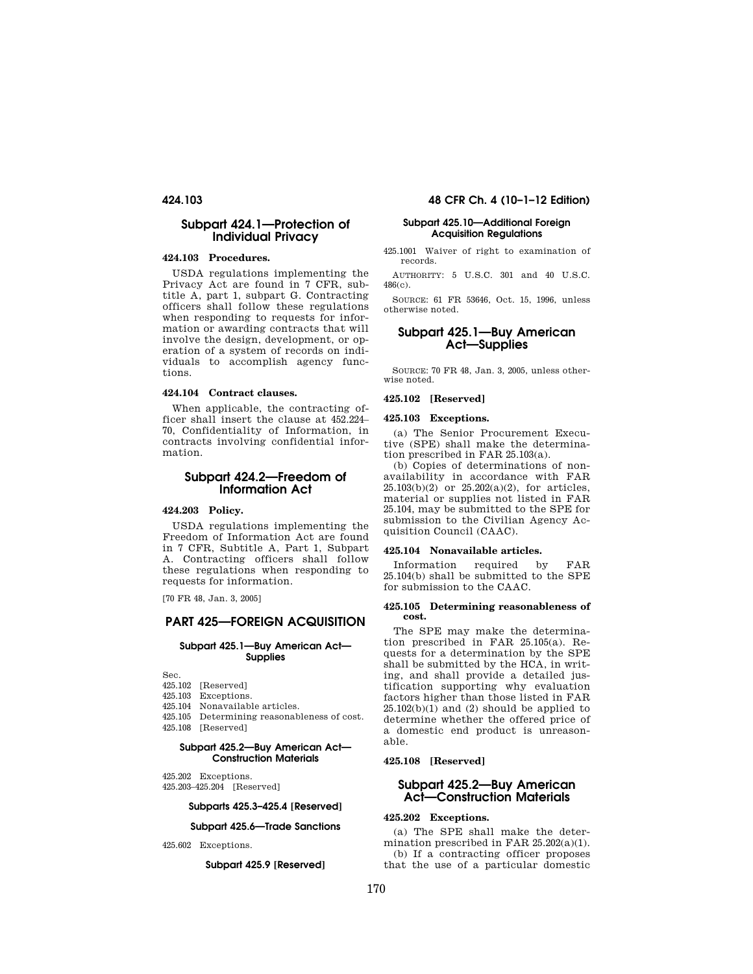## **Subpart 424.1—Protection of Individual Privacy**

#### **424.103 Procedures.**

USDA regulations implementing the Privacy Act are found in 7 CFR, subtitle A, part 1, subpart G. Contracting officers shall follow these regulations when responding to requests for information or awarding contracts that will involve the design, development, or operation of a system of records on individuals to accomplish agency functions.

### **424.104 Contract clauses.**

When applicable, the contracting officer shall insert the clause at 452.224– 70, Confidentiality of Information, in contracts involving confidential information.

## **Subpart 424.2—Freedom of Information Act**

## **424.203 Policy.**

USDA regulations implementing the Freedom of Information Act are found in 7 CFR, Subtitle A, Part 1, Subpart A. Contracting officers shall follow these regulations when responding to requests for information.

[70 FR 48, Jan. 3, 2005]

## **PART 425—FOREIGN ACQUISITION**

#### **Subpart 425.1—Buy American Act— Supplies**

Sec.

- 425.102 [Reserved]<br>425.103 Exceptions
- Exceptions.
- 425.104 Nonavailable articles.
- 425.105 Determining reasonableness of cost. 425.108 [Reserved]

## **Subpart 425.2—Buy American Act— Construction Materials**

- 425.202 Exceptions.
- 425.203–425.204 [Reserved]

## **Subparts 425.3–425.4 [Reserved]**

## **Subpart 425.6—Trade Sanctions**

425.602 Exceptions.

## **Subpart 425.9 [Reserved]**

## **424.103 48 CFR Ch. 4 (10–1–12 Edition)**

## **Subpart 425.10—Additional Foreign Acquisition Regulations**

425.1001 Waiver of right to examination of records.

AUTHORITY: 5 U.S.C. 301 and 40 U.S.C. 486(c).

SOURCE: 61 FR 53646, Oct. 15, 1996, unless otherwise noted.

## **Subpart 425.1—Buy American Act—Supplies**

SOURCE: 70 FR 48, Jan. 3, 2005, unless otherwise noted.

## **425.102 [Reserved]**

### **425.103 Exceptions.**

(a) The Senior Procurement Executive (SPE) shall make the determination prescribed in FAR 25.103(a).

(b) Copies of determinations of nonavailability in accordance with FAR  $25.103(b)(2)$  or  $25.202(a)(2)$ , for articles, material or supplies not listed in FAR 25.104, may be submitted to the SPE for submission to the Civilian Agency Acquisition Council (CAAC).

#### **425.104 Nonavailable articles.**

Information required by FAR 25.104(b) shall be submitted to the SPE for submission to the CAAC.

#### **425.105 Determining reasonableness of cost.**

The SPE may make the determination prescribed in FAR 25.105(a). Requests for a determination by the SPE shall be submitted by the HCA, in writing, and shall provide a detailed justification supporting why evaluation factors higher than those listed in FAR  $25.102(b)(1)$  and (2) should be applied to determine whether the offered price of a domestic end product is unreasonable.

### **425.108 [Reserved]**

## **Subpart 425.2—Buy American Act—Construction Materials**

## **425.202 Exceptions.**

(a) The SPE shall make the determination prescribed in FAR 25.202(a)(1). (b) If a contracting officer proposes that the use of a particular domestic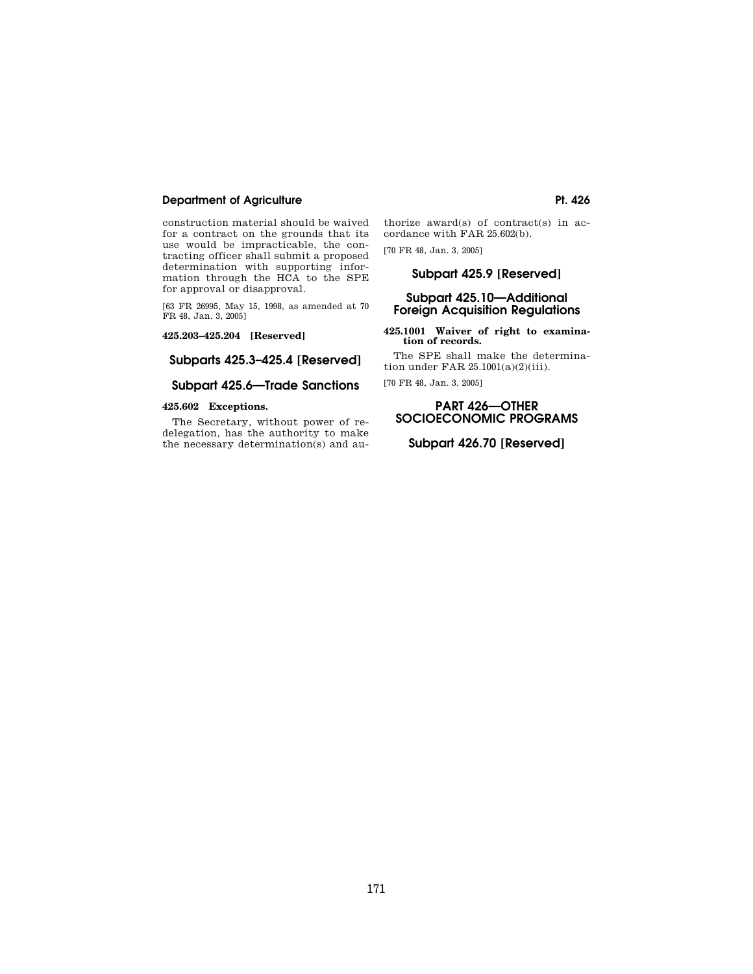## **Department of Agriculture Pt. 426**

construction material should be waived for a contract on the grounds that its use would be impracticable, the contracting officer shall submit a proposed determination with supporting information through the HCA to the SPE for approval or disapproval.

[63 FR 26995, May 15, 1998, as amended at 70 FR 48, Jan. 3, 2005]

**425.203–425.204 [Reserved]** 

## **Subparts 425.3–425.4 [Reserved]**

## **Subpart 425.6—Trade Sanctions**

## **425.602 Exceptions.**

The Secretary, without power of redelegation, has the authority to make the necessary determination(s) and authorize award(s) of contract(s) in accordance with FAR 25.602(b).

[70 FR 48, Jan. 3, 2005]

## **Subpart 425.9 [Reserved]**

## **Subpart 425.10—Additional Foreign Acquisition Regulations**

**425.1001 Waiver of right to examination of records.** 

The SPE shall make the determination under FAR 25.1001(a)(2)(iii).

[70 FR 48, Jan. 3, 2005]

## **PART 426—OTHER SOCIOECONOMIC PROGRAMS**

## **Subpart 426.70 [Reserved]**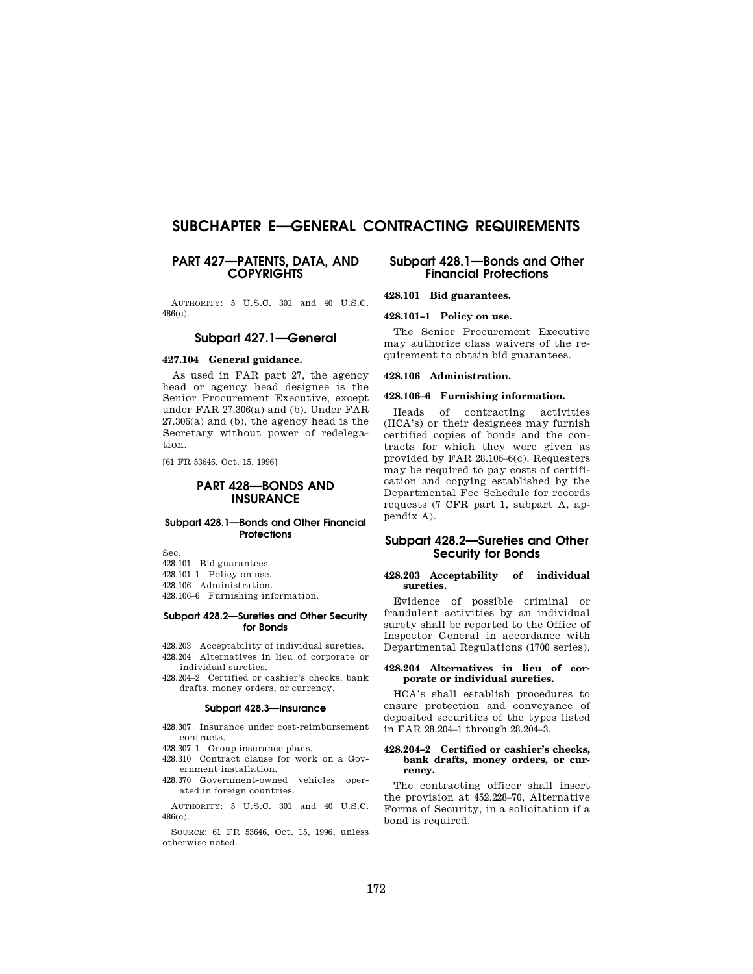# **SUBCHAPTER E—GENERAL CONTRACTING REQUIREMENTS**

## **PART 427—PATENTS, DATA, AND COPYRIGHTS**

AUTHORITY: 5 U.S.C. 301 and 40 U.S.C. 486(c).

## **Subpart 427.1—General**

## **427.104 General guidance.**

As used in FAR part 27, the agency head or agency head designee is the Senior Procurement Executive, except under FAR 27.306(a) and (b). Under FAR 27.306(a) and (b), the agency head is the Secretary without power of redelegation.

[61 FR 53646, Oct. 15, 1996]

## **PART 428—BONDS AND INSURANCE**

#### **Subpart 428.1—Bonds and Other Financial Protections**

Sec.

428.101 Bid guarantees.

428.101–1 Policy on use.

428.106 Administration.

428.106–6 Furnishing information.

## **Subpart 428.2—Sureties and Other Security for Bonds**

428.203 Acceptability of individual sureties. 428.204 Alternatives in lieu of corporate or individual sureties.

428.204–2 Certified or cashier's checks, bank drafts, money orders, or currency.

#### **Subpart 428.3—Insurance**

- 428.307 Insurance under cost-reimbursement contracts.
- 428.307–1 Group insurance plans. 428.310 Contract clause for work on a Gov-
- ernment installation.
- 428.370 Government-owned vehicles operated in foreign countries.

AUTHORITY: 5 U.S.C. 301 and 40 U.S.C. 486(c).

SOURCE: 61 FR 53646, Oct. 15, 1996, unless otherwise noted.

## **Subpart 428.1—Bonds and Other Financial Protections**

### **428.101 Bid guarantees.**

**428.101–1 Policy on use.** 

The Senior Procurement Executive may authorize class waivers of the requirement to obtain bid guarantees.

#### **428.106 Administration.**

## **428.106–6 Furnishing information.**

Heads of contracting activities (HCA's) or their designees may furnish certified copies of bonds and the contracts for which they were given as provided by FAR 28.106–6(c). Requesters may be required to pay costs of certification and copying established by the Departmental Fee Schedule for records requests (7 CFR part 1, subpart A, appendix A).

## **Subpart 428.2—Sureties and Other Security for Bonds**

#### **428.203 Acceptability of individual sureties.**

Evidence of possible criminal or fraudulent activities by an individual surety shall be reported to the Office of Inspector General in accordance with Departmental Regulations (1700 series).

#### **428.204 Alternatives in lieu of corporate or individual sureties.**

HCA's shall establish procedures to ensure protection and conveyance of deposited securities of the types listed in FAR 28.204–1 through 28.204–3.

#### **428.204–2 Certified or cashier's checks, bank drafts, money orders, or currency.**

The contracting officer shall insert the provision at 452.228–70, Alternative Forms of Security, in a solicitation if a bond is required.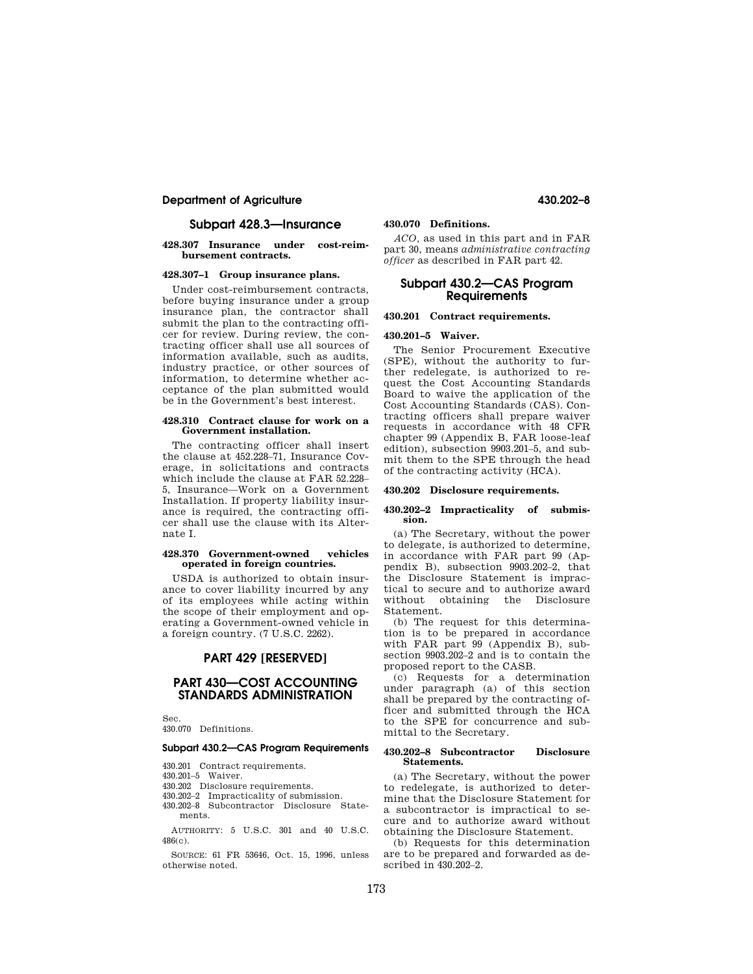## **Department of Agriculture 430.202–8**

## **Subpart 428.3—Insurance**

#### **428.307 Insurance under cost-reimbursement contracts.**

## **428.307–1 Group insurance plans.**

Under cost-reimbursement contracts, before buying insurance under a group insurance plan, the contractor shall submit the plan to the contracting officer for review. During review, the contracting officer shall use all sources of information available, such as audits, industry practice, or other sources of information, to determine whether acceptance of the plan submitted would be in the Government's best interest.

#### **428.310 Contract clause for work on a Government installation.**

The contracting officer shall insert the clause at 452.228–71, Insurance Coverage, in solicitations and contracts which include the clause at FAR 52.228– 5, Insurance—Work on a Government Installation. If property liability insurance is required, the contracting officer shall use the clause with its Alternate I.

#### **428.370 Government-owned vehicles operated in foreign countries.**

USDA is authorized to obtain insurance to cover liability incurred by any of its employees while acting within the scope of their employment and operating a Government-owned vehicle in a foreign country. (7 U.S.C. 2262).

## **PART 429 [RESERVED]**

## **PART 430—COST ACCOUNTING STANDARDS ADMINISTRATION**

Sec.

# 430.070 Definitions.

## **Subpart 430.2—CAS Program Requirements**

430.201 Contract requirements.

- 430.201–5 Waiver.
- 430.202 Disclosure requirements.
- 430.202–2 Impracticality of submission.
- 430.202–8 Subcontractor Disclosure Statements.

AUTHORITY: 5 U.S.C. 301 and 40 U.S.C. 486(c).

SOURCE: 61 FR 53646, Oct. 15, 1996, unless otherwise noted.

## **430.070 Definitions.**

*ACO,* as used in this part and in FAR part 30, means *administrative contracting officer* as described in FAR part 42.

## **Subpart 430.2—CAS Program Requirements**

## **430.201 Contract requirements.**

#### **430.201–5 Waiver.**

The Senior Procurement Executive (SPE), without the authority to further redelegate, is authorized to request the Cost Accounting Standards Board to waive the application of the Cost Accounting Standards (CAS). Contracting officers shall prepare waiver requests in accordance with 48 CFR chapter 99 (Appendix B, FAR loose-leaf edition), subsection 9903.201–5, and submit them to the SPE through the head of the contracting activity (HCA).

#### **430.202 Disclosure requirements.**

#### **430.202–2 Impracticality of submission.**

(a) The Secretary, without the power to delegate, is authorized to determine, in accordance with FAR part 99 (Appendix B), subsection 9903.202–2, that the Disclosure Statement is impractical to secure and to authorize award without obtaining the Disclosure Statement.

(b) The request for this determination is to be prepared in accordance with FAR part 99 (Appendix B), subsection 9903.202–2 and is to contain the proposed report to the CASB.

(c) Requests for a determination under paragraph (a) of this section shall be prepared by the contracting officer and submitted through the HCA to the SPE for concurrence and submittal to the Secretary.

#### **430.202–8 Subcontractor Disclosure Statements.**

(a) The Secretary, without the power to redelegate, is authorized to determine that the Disclosure Statement for a subcontractor is impractical to secure and to authorize award without obtaining the Disclosure Statement.

(b) Requests for this determination are to be prepared and forwarded as described in 430.202–2.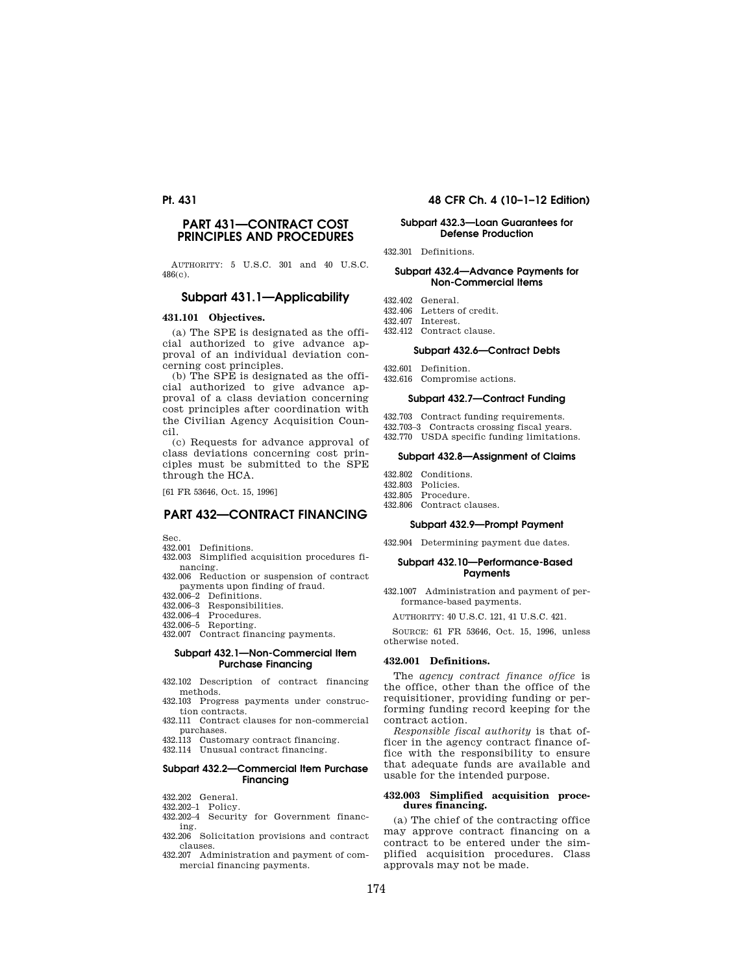## **PART 431—CONTRACT COST PRINCIPLES AND PROCEDURES**

AUTHORITY: 5 U.S.C. 301 and 40 U.S.C. 486(c).

## **Subpart 431.1—Applicability**

#### **431.101 Objectives.**

(a) The SPE is designated as the official authorized to give advance approval of an individual deviation concerning cost principles.

(b) The SPE is designated as the official authorized to give advance approval of a class deviation concerning cost principles after coordination with the Civilian Agency Acquisition Council.

(c) Requests for advance approval of class deviations concerning cost principles must be submitted to the SPE through the HCA.

[61 FR 53646, Oct. 15, 1996]

## **PART 432—CONTRACT FINANCING**

- 
- Sec. 432.001 Definitions. 432.003 Simplified acquisition procedures financing.
- 432.006 Reduction or suspension of contract payments upon finding of fraud.
- 432.006–2 Definitions.
- 432.006–3 Responsibilities. 432.006–4 Procedures.
- 
- 432.006–5 Reporting.
- 432.007 Contract financing payments.

#### **Subpart 432.1—Non-Commercial Item Purchase Financing**

- 432.102 Description of contract financing methods.
- 432.103 Progress payments under construction contracts.
- 432.111 Contract clauses for non-commercial purchases.
- 432.113 Customary contract financing.
- 432.114 Unusual contract financing.

### **Subpart 432.2—Commercial Item Purchase Financing**

- 432.202 General.
- 432.202–1 Policy.
- 432.202–4 Security for Government financing.
- 432.206 Solicitation provisions and contract clauses.
- 432.207 Administration and payment of commercial financing payments.

## **Pt. 431 48 CFR Ch. 4 (10–1–12 Edition)**

#### **Subpart 432.3—Loan Guarantees for Defense Production**

432.301 Definitions.

#### **Subpart 432.4—Advance Payments for Non-Commercial Items**

- 432.402 General.
- 432.406 Letters of credit. 432.407 Interest.
- 432.412 Contract clause.

#### **Subpart 432.6—Contract Debts**

- 432.601 Definition.
- 432.616 Compromise actions.

#### **Subpart 432.7—Contract Funding**

- 432.703 Contract funding requirements. 432.703–3 Contracts crossing fiscal years.
- 432.770 USDA specific funding limitations.

#### **Subpart 432.8—Assignment of Claims**

- 432.802 Conditions.<br>432.803 Policies
- Policies.
- 432.805 Procedure. 432.806 Contract clauses.
- 

#### **Subpart 432.9—Prompt Payment**

432.904 Determining payment due dates.

#### **Subpart 432.10—Performance-Based Payments**

432.1007 Administration and payment of performance-based payments.

AUTHORITY: 40 U.S.C. 121, 41 U.S.C. 421.

SOURCE: 61 FR 53646, Oct. 15, 1996, unless otherwise noted.

#### **432.001 Definitions.**

The *agency contract finance office* is the office, other than the office of the requisitioner, providing funding or performing funding record keeping for the contract action.

*Responsible fiscal authority* is that officer in the agency contract finance office with the responsibility to ensure that adequate funds are available and usable for the intended purpose.

#### **432.003 Simplified acquisition procedures financing.**

(a) The chief of the contracting office may approve contract financing on a contract to be entered under the simplified acquisition procedures. Class approvals may not be made.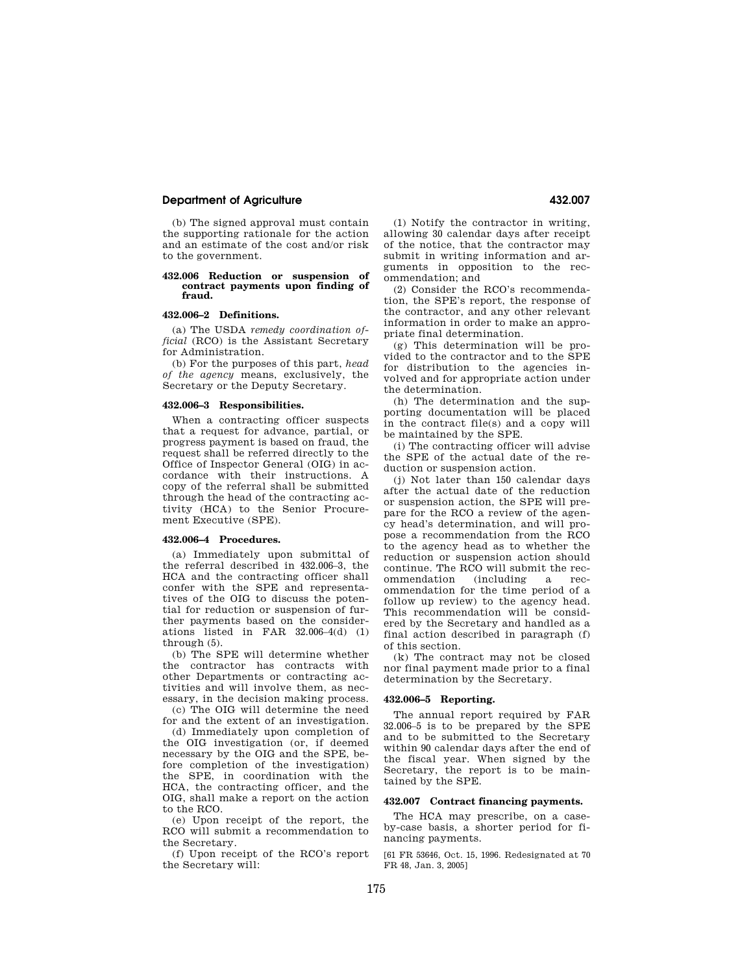## **Department of Agriculture 432.007**

(b) The signed approval must contain the supporting rationale for the action and an estimate of the cost and/or risk to the government.

#### **432.006 Reduction or suspension of contract payments upon finding of fraud.**

#### **432.006–2 Definitions.**

(a) The USDA *remedy coordination official* (RCO) is the Assistant Secretary for Administration.

(b) For the purposes of this part, *head of the agency* means, exclusively, the Secretary or the Deputy Secretary.

#### **432.006–3 Responsibilities.**

When a contracting officer suspects that a request for advance, partial, or progress payment is based on fraud, the request shall be referred directly to the Office of Inspector General (OIG) in accordance with their instructions. A copy of the referral shall be submitted through the head of the contracting activity (HCA) to the Senior Procurement Executive (SPE).

#### **432.006–4 Procedures.**

(a) Immediately upon submittal of the referral described in 432.006–3, the HCA and the contracting officer shall confer with the SPE and representatives of the OIG to discuss the potential for reduction or suspension of further payments based on the considerations listed in FAR  $32.006-4(d)$  (1) through (5).

(b) The SPE will determine whether the contractor has contracts with other Departments or contracting activities and will involve them, as necessary, in the decision making process.

(c) The OIG will determine the need for and the extent of an investigation.

(d) Immediately upon completion of the OIG investigation (or, if deemed necessary by the OIG and the SPE, before completion of the investigation) the SPE, in coordination with the HCA, the contracting officer, and the OIG, shall make a report on the action to the RCO.

(e) Upon receipt of the report, the RCO will submit a recommendation to the Secretary.

(f) Upon receipt of the RCO's report the Secretary will:

(1) Notify the contractor in writing, allowing 30 calendar days after receipt of the notice, that the contractor may submit in writing information and arguments in opposition to the recommendation; and

(2) Consider the RCO's recommendation, the SPE's report, the response of the contractor, and any other relevant information in order to make an appropriate final determination.

(g) This determination will be provided to the contractor and to the SPE for distribution to the agencies involved and for appropriate action under the determination.

(h) The determination and the supporting documentation will be placed in the contract file(s) and a copy will be maintained by the SPE.

(i) The contracting officer will advise the SPE of the actual date of the reduction or suspension action.

(j) Not later than 150 calendar days after the actual date of the reduction or suspension action, the SPE will prepare for the RCO a review of the agency head's determination, and will propose a recommendation from the RCO to the agency head as to whether the reduction or suspension action should continue. The RCO will submit the recommendation (including a recommendation for the time period of a follow up review) to the agency head. This recommendation will be considered by the Secretary and handled as a final action described in paragraph (f) of this section.

(k) The contract may not be closed nor final payment made prior to a final determination by the Secretary.

#### **432.006–5 Reporting.**

The annual report required by FAR 32.006–5 is to be prepared by the SPE and to be submitted to the Secretary within 90 calendar days after the end of the fiscal year. When signed by the Secretary, the report is to be maintained by the SPE.

#### **432.007 Contract financing payments.**

The HCA may prescribe, on a caseby-case basis, a shorter period for financing payments.

[61 FR 53646, Oct. 15, 1996. Redesignated at 70 FR 48, Jan. 3, 2005]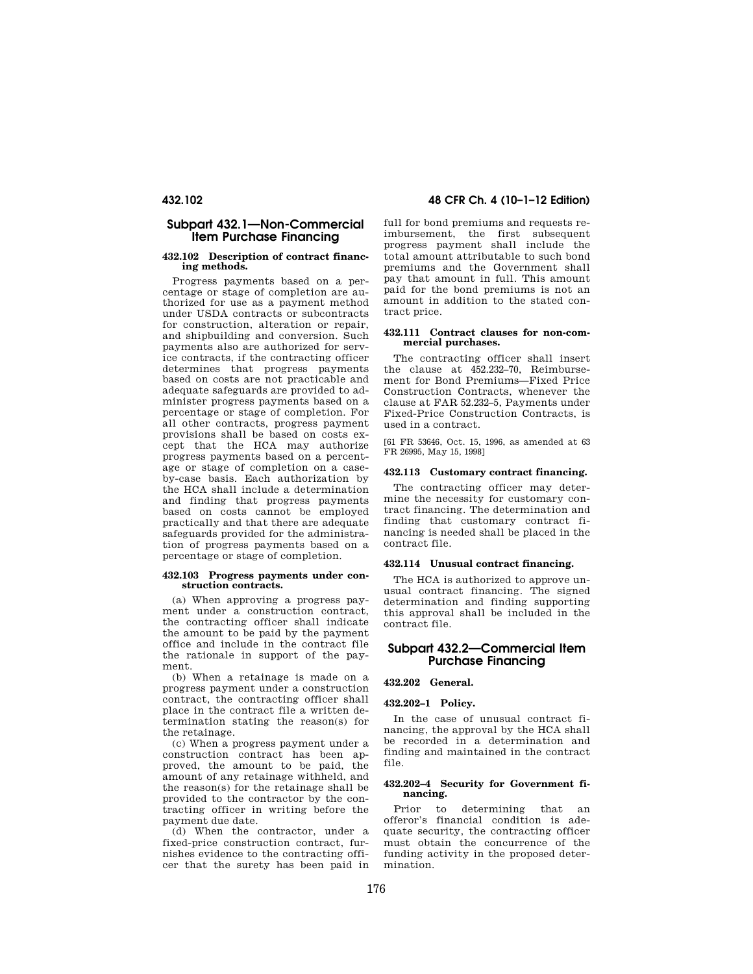## **Subpart 432.1—Non-Commercial Item Purchase Financing**

#### **432.102 Description of contract financing methods.**

Progress payments based on a percentage or stage of completion are authorized for use as a payment method under USDA contracts or subcontracts for construction, alteration or repair, and shipbuilding and conversion. Such payments also are authorized for service contracts, if the contracting officer determines that progress payments based on costs are not practicable and adequate safeguards are provided to administer progress payments based on a percentage or stage of completion. For all other contracts, progress payment provisions shall be based on costs except that the HCA may authorize progress payments based on a percentage or stage of completion on a caseby-case basis. Each authorization by the HCA shall include a determination and finding that progress payments based on costs cannot be employed practically and that there are adequate safeguards provided for the administration of progress payments based on a percentage or stage of completion.

#### **432.103 Progress payments under construction contracts.**

(a) When approving a progress payment under a construction contract, the contracting officer shall indicate the amount to be paid by the payment office and include in the contract file the rationale in support of the payment.

(b) When a retainage is made on a progress payment under a construction contract, the contracting officer shall place in the contract file a written determination stating the reason(s) for the retainage.

(c) When a progress payment under a construction contract has been approved, the amount to be paid, the amount of any retainage withheld, and the reason(s) for the retainage shall be provided to the contractor by the contracting officer in writing before the payment due date.

(d) When the contractor, under a fixed-price construction contract, furnishes evidence to the contracting officer that the surety has been paid in

**432.102 48 CFR Ch. 4 (10–1–12 Edition)** 

full for bond premiums and requests reimbursement, the first subsequent progress payment shall include the total amount attributable to such bond premiums and the Government shall pay that amount in full. This amount paid for the bond premiums is not an amount in addition to the stated contract price.

#### **432.111 Contract clauses for non-commercial purchases.**

The contracting officer shall insert the clause at 452.232–70, Reimbursement for Bond Premiums—Fixed Price Construction Contracts, whenever the clause at FAR 52.232–5, Payments under Fixed-Price Construction Contracts, is used in a contract.

[61 FR 53646, Oct. 15, 1996, as amended at 63 FR 26995, May 15, 1998]

## **432.113 Customary contract financing.**

The contracting officer may determine the necessity for customary contract financing. The determination and finding that customary contract financing is needed shall be placed in the contract file.

#### **432.114 Unusual contract financing.**

The HCA is authorized to approve unusual contract financing. The signed determination and finding supporting this approval shall be included in the contract file.

## **Subpart 432.2—Commercial Item Purchase Financing**

**432.202 General.** 

#### **432.202–1 Policy.**

In the case of unusual contract financing, the approval by the HCA shall be recorded in a determination and finding and maintained in the contract file.

### **432.202–4 Security for Government financing.**

Prior to determining that an offeror's financial condition is adequate security, the contracting officer must obtain the concurrence of the funding activity in the proposed determination.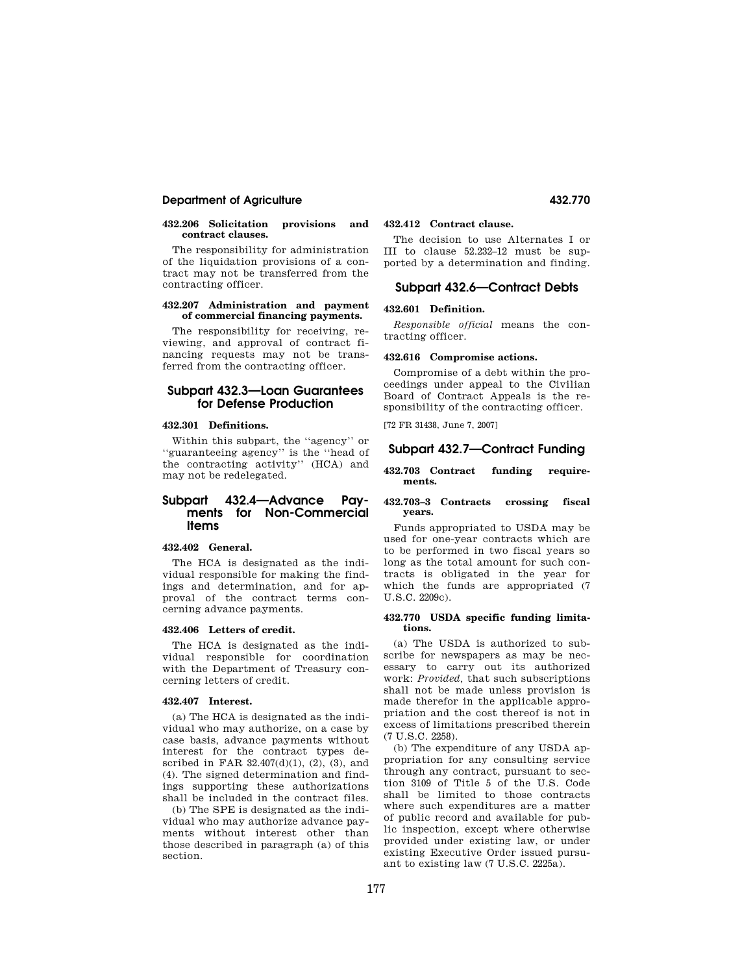## **Department of Agriculture 432.770**

#### **432.206 Solicitation provisions and contract clauses.**

The responsibility for administration of the liquidation provisions of a contract may not be transferred from the contracting officer.

#### **432.207 Administration and payment of commercial financing payments.**

The responsibility for receiving, reviewing, and approval of contract financing requests may not be transferred from the contracting officer.

## **Subpart 432.3—Loan Guarantees for Defense Production**

## **432.301 Definitions.**

Within this subpart, the ''agency'' or ''guaranteeing agency'' is the ''head of the contracting activity'' (HCA) and may not be redelegated.

## **Subpart 432.4—Advance Payments for Non-Commercial Items**

## **432.402 General.**

The HCA is designated as the individual responsible for making the findings and determination, and for approval of the contract terms concerning advance payments.

#### **432.406 Letters of credit.**

The HCA is designated as the individual responsible for coordination with the Department of Treasury concerning letters of credit.

### **432.407 Interest.**

(a) The HCA is designated as the individual who may authorize, on a case by case basis, advance payments without interest for the contract types described in FAR  $32.407(d)(1)$ ,  $(2)$ ,  $(3)$ , and (4). The signed determination and findings supporting these authorizations shall be included in the contract files.

(b) The SPE is designated as the individual who may authorize advance payments without interest other than those described in paragraph (a) of this section.

## **432.412 Contract clause.**

The decision to use Alternates I or III to clause 52.232–12 must be supported by a determination and finding.

## **Subpart 432.6—Contract Debts**

#### **432.601 Definition.**

*Responsible official* means the contracting officer.

#### **432.616 Compromise actions.**

Compromise of a debt within the proceedings under appeal to the Civilian Board of Contract Appeals is the responsibility of the contracting officer.

[72 FR 31438, June 7, 2007]

## **Subpart 432.7—Contract Funding**

#### **432.703 Contract funding requirements.**

#### **432.703–3 Contracts crossing fiscal years.**

Funds appropriated to USDA may be used for one-year contracts which are to be performed in two fiscal years so long as the total amount for such contracts is obligated in the year for which the funds are appropriated (7 U.S.C. 2209c).

#### **432.770 USDA specific funding limitations.**

(a) The USDA is authorized to subscribe for newspapers as may be necessary to carry out its authorized work: *Provided,* that such subscriptions shall not be made unless provision is made therefor in the applicable appropriation and the cost thereof is not in excess of limitations prescribed therein (7 U.S.C. 2258).

(b) The expenditure of any USDA appropriation for any consulting service through any contract, pursuant to section 3109 of Title 5 of the U.S. Code shall be limited to those contracts where such expenditures are a matter of public record and available for public inspection, except where otherwise provided under existing law, or under existing Executive Order issued pursuant to existing law (7 U.S.C. 2225a).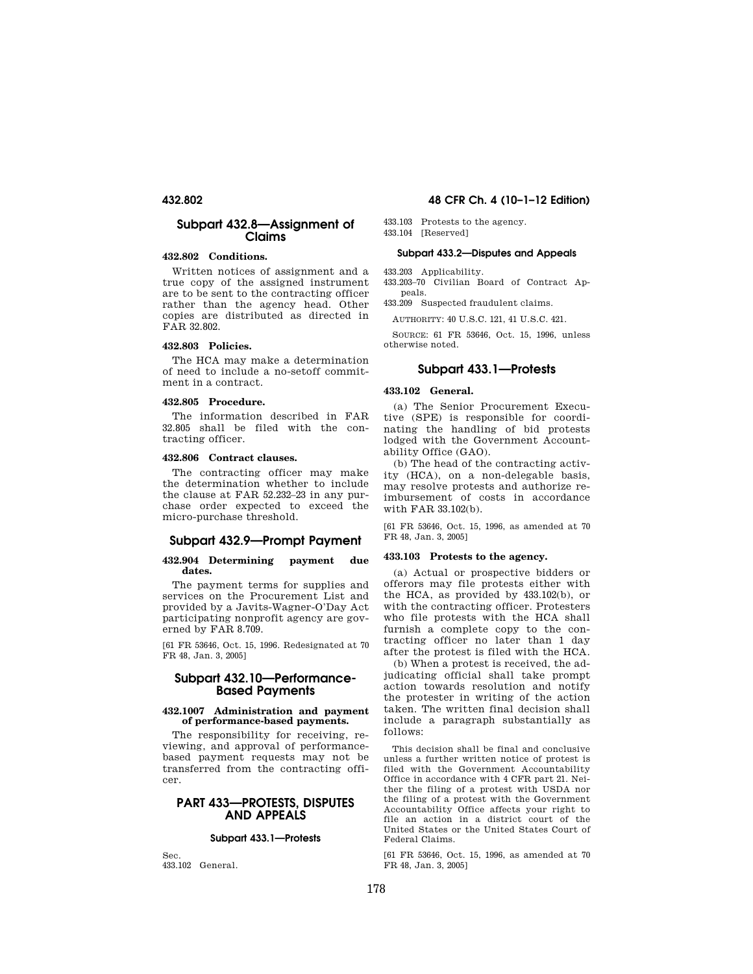## **Subpart 432.8—Assignment of Claims**

## **432.802 Conditions.**

Written notices of assignment and a true copy of the assigned instrument are to be sent to the contracting officer rather than the agency head. Other copies are distributed as directed in FAR 32.802.

#### **432.803 Policies.**

The HCA may make a determination of need to include a no-setoff commitment in a contract.

#### **432.805 Procedure.**

The information described in FAR 32.805 shall be filed with the contracting officer.

## **432.806 Contract clauses.**

The contracting officer may make the determination whether to include the clause at FAR 52.232–23 in any purchase order expected to exceed the micro-purchase threshold.

## **Subpart 432.9—Prompt Payment**

#### **432.904 Determining payment due dates.**

The payment terms for supplies and services on the Procurement List and provided by a Javits-Wagner-O'Day Act participating nonprofit agency are governed by FAR 8.709.

[61 FR 53646, Oct. 15, 1996. Redesignated at 70 FR 48, Jan. 3, 2005]

## **Subpart 432.10—Performance-Based Payments**

#### **432.1007 Administration and payment of performance-based payments.**

The responsibility for receiving, reviewing, and approval of performancebased payment requests may not be transferred from the contracting officer.

## **PART 433—PROTESTS, DISPUTES AND APPEALS**

## **Subpart 433.1—Protests**

Sec. 433.102 General.

## **432.802 48 CFR Ch. 4 (10–1–12 Edition)**

433.103 Protests to the agency. 433.104 [Reserved]

# **Subpart 433.2—Disputes and Appeals**

433.203 Applicability.

433.203–70 Civilian Board of Contract Appeals. 433.209 Suspected fraudulent claims.

AUTHORITY: 40 U.S.C. 121, 41 U.S.C. 421.

SOURCE: 61 FR 53646, Oct. 15, 1996, unless otherwise noted.

## **Subpart 433.1—Protests**

#### **433.102 General.**

(a) The Senior Procurement Executive (SPE) is responsible for coordinating the handling of bid protests lodged with the Government Accountability Office (GAO).

(b) The head of the contracting activity (HCA), on a non-delegable basis, may resolve protests and authorize reimbursement of costs in accordance with FAR 33.102(b).

[61 FR 53646, Oct. 15, 1996, as amended at 70 FR 48, Jan. 3, 2005]

#### **433.103 Protests to the agency.**

(a) Actual or prospective bidders or offerors may file protests either with the HCA, as provided by 433.102(b), or with the contracting officer. Protesters who file protests with the HCA shall furnish a complete copy to the contracting officer no later than 1 day after the protest is filed with the HCA.

(b) When a protest is received, the adjudicating official shall take prompt action towards resolution and notify the protester in writing of the action taken. The written final decision shall include a paragraph substantially as follows:

This decision shall be final and conclusive unless a further written notice of protest is filed with the Government Accountability Office in accordance with 4 CFR part 21. Neither the filing of a protest with USDA nor the filing of a protest with the Government Accountability Office affects your right to file an action in a district court of the United States or the United States Court of Federal Claims.

[61 FR 53646, Oct. 15, 1996, as amended at 70 FR 48, Jan. 3, 2005]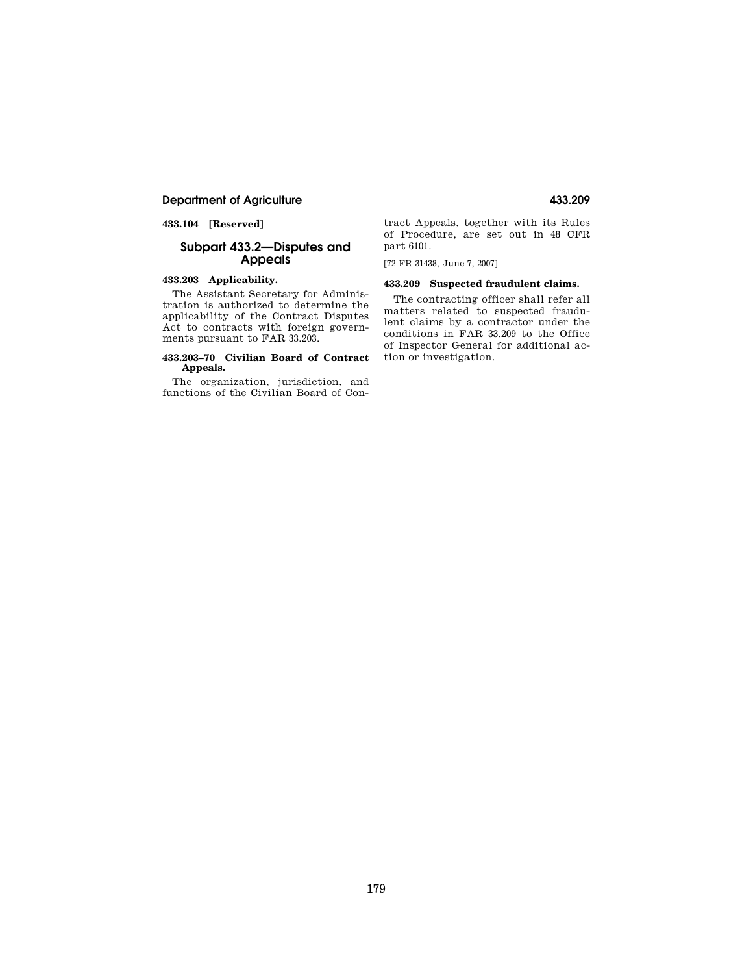## **Department of Agriculture 433.209**

**433.104 [Reserved]** 

## **Subpart 433.2—Disputes and Appeals**

## **433.203 Applicability.**

The Assistant Secretary for Administration is authorized to determine the applicability of the Contract Disputes Act to contracts with foreign governments pursuant to FAR 33.203.

#### **433.203–70 Civilian Board of Contract Appeals.**

The organization, jurisdiction, and functions of the Civilian Board of Contract Appeals, together with its Rules of Procedure, are set out in 48 CFR part 6101.

[72 FR 31438, June 7, 2007]

## **433.209 Suspected fraudulent claims.**

The contracting officer shall refer all matters related to suspected fraudulent claims by a contractor under the conditions in FAR 33.209 to the Office of Inspector General for additional action or investigation.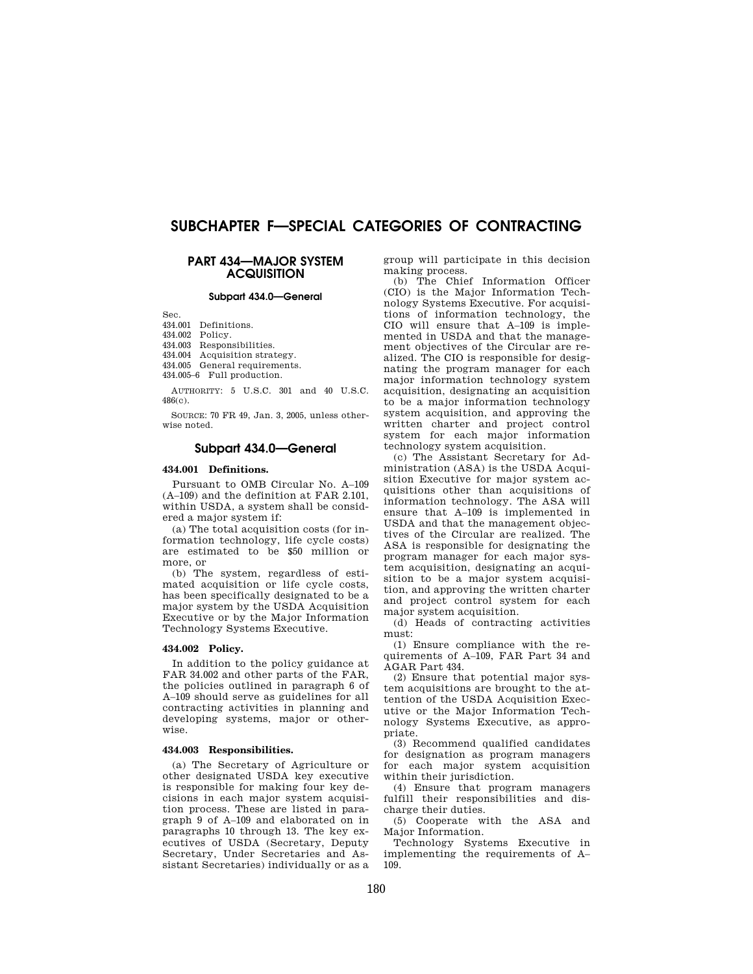# **SUBCHAPTER F—SPECIAL CATEGORIES OF CONTRACTING**

## **PART 434—MAJOR SYSTEM ACQUISITION**

#### **Subpart 434.0—General**

Sec.

434.001 Definitions.

434.002 Policy.

434.003 Responsibilities.

434.004 Acquisition strategy.

434.005 General requirements.

434.005–6 Full production.

AUTHORITY: 5 U.S.C. 301 and 40 U.S.C.  $486(c)$ 

SOURCE: 70 FR 49, Jan. 3, 2005, unless otherwise noted.

## **Subpart 434.0—General**

#### **434.001 Definitions.**

Pursuant to OMB Circular No. A–109 (A–109) and the definition at FAR 2.101, within USDA, a system shall be considered a major system if:

(a) The total acquisition costs (for information technology, life cycle costs) are estimated to be \$50 million or more, or

(b) The system, regardless of estimated acquisition or life cycle costs, has been specifically designated to be a major system by the USDA Acquisition Executive or by the Major Information Technology Systems Executive.

#### **434.002 Policy.**

In addition to the policy guidance at FAR 34.002 and other parts of the FAR, the policies outlined in paragraph 6 of A–109 should serve as guidelines for all contracting activities in planning and developing systems, major or otherwise.

#### **434.003 Responsibilities.**

(a) The Secretary of Agriculture or other designated USDA key executive is responsible for making four key decisions in each major system acquisition process. These are listed in paragraph 9 of A–109 and elaborated on in paragraphs 10 through 13. The key executives of USDA (Secretary, Deputy Secretary, Under Secretaries and Assistant Secretaries) individually or as a

group will participate in this decision making process.

(b) The Chief Information Officer (CIO) is the Major Information Technology Systems Executive. For acquisitions of information technology, the CIO will ensure that A–109 is implemented in USDA and that the management objectives of the Circular are realized. The CIO is responsible for designating the program manager for each major information technology system acquisition, designating an acquisition to be a major information technology system acquisition, and approving the written charter and project control system for each major information technology system acquisition.

(c) The Assistant Secretary for Administration (ASA) is the USDA Acquisition Executive for major system acquisitions other than acquisitions of information technology. The ASA will ensure that A–109 is implemented in USDA and that the management objectives of the Circular are realized. The ASA is responsible for designating the program manager for each major system acquisition, designating an acquisition to be a major system acquisition, and approving the written charter and project control system for each major system acquisition.

(d) Heads of contracting activities must:

(1) Ensure compliance with the requirements of A–109, FAR Part 34 and AGAR Part 434.

(2) Ensure that potential major system acquisitions are brought to the attention of the USDA Acquisition Executive or the Major Information Technology Systems Executive, as appropriate.

(3) Recommend qualified candidates for designation as program managers for each major system acquisition within their jurisdiction.

(4) Ensure that program managers fulfill their responsibilities and discharge their duties.

(5) Cooperate with the ASA and Major Information.

Technology Systems Executive in implementing the requirements of A– 109.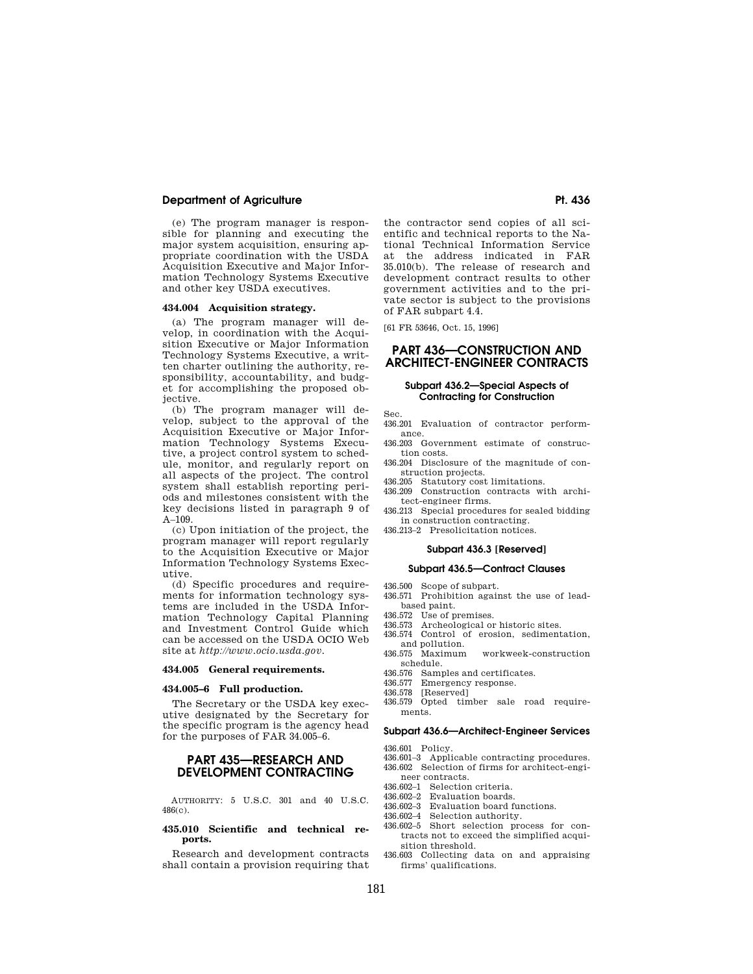## **Department of Agriculture Pt. 436 Pt. 436**

(e) The program manager is responsible for planning and executing the major system acquisition, ensuring appropriate coordination with the USDA Acquisition Executive and Major Information Technology Systems Executive and other key USDA executives.

#### **434.004 Acquisition strategy.**

(a) The program manager will develop, in coordination with the Acquisition Executive or Major Information Technology Systems Executive, a written charter outlining the authority, responsibility, accountability, and budget for accomplishing the proposed objective.

(b) The program manager will develop, subject to the approval of the Acquisition Executive or Major Information Technology Systems Executive, a project control system to schedule, monitor, and regularly report on all aspects of the project. The control system shall establish reporting periods and milestones consistent with the key decisions listed in paragraph 9 of  $A-109$ .

(c) Upon initiation of the project, the program manager will report regularly to the Acquisition Executive or Major Information Technology Systems Executive.

(d) Specific procedures and requirements for information technology systems are included in the USDA Information Technology Capital Planning and Investment Control Guide which can be accessed on the USDA OCIO Web site at *http://www.ocio.usda.gov.* 

#### **434.005 General requirements.**

#### **434.005–6 Full production.**

The Secretary or the USDA key executive designated by the Secretary for the specific program is the agency head for the purposes of FAR 34.005–6.

## **PART 435—RESEARCH AND DEVELOPMENT CONTRACTING**

AUTHORITY: 5 U.S.C. 301 and 40 U.S.C. 486(c).

#### **435.010 Scientific and technical reports.**

Research and development contracts shall contain a provision requiring that

the contractor send copies of all scientific and technical reports to the National Technical Information Service at the address indicated in FAR 35.010(b). The release of research and development contract results to other government activities and to the private sector is subject to the provisions of FAR subpart 4.4.

[61 FR 53646, Oct. 15, 1996]

## **PART 436—CONSTRUCTION AND ARCHITECT-ENGINEER CONTRACTS**

#### **Subpart 436.2—Special Aspects of Contracting for Construction**

Sec.

- 436.201 Evaluation of contractor performance.
- 436.203 Government estimate of construction costs.
- 436.204 Disclosure of the magnitude of construction projects.
- 436.205 Statutory cost limitations.
- 436.209 Construction contracts with architect-engineer firms.
- 436.213 Special procedures for sealed bidding in construction contracting.
- 436.213–2 Presolicitation notices.

#### **Subpart 436.3 [Reserved]**

#### **Subpart 436.5—Contract Clauses**

- 436.500 Scope of subpart.
- 436.571 Prohibition against the use of leadbased paint.
- 436.572 Use of premises.
- 436.573 Archeological or historic sites.
- 436.574 Control of erosion, sedimentation, and pollution.<br>436.575 Maximum
- 436.575 Maximum workweek-construction schedule.
- 436.576 Samples and certificates.<br>436.577 Emergency response.
- 436.577 Emergency response.<br>436.578 [Reserved]
- [Reserved]
- 436.579 Opted timber sale road requirements.

## **Subpart 436.6—Architect-Engineer Services**

436.601 Policy.

- 436.601–3 Applicable contracting procedures. 436.602 Selection of firms for architect-engi-
- 
- neer contracts.<br>436.602-1 Selection Selection criteria.
- 436.602–2 Evaluation boards.
- 436.602–3 Evaluation board functions.
- 436.602–4 Selection authority.
- 436.602–5 Short selection process for contracts not to exceed the simplified acquisition threshold.
- 436.603 Collecting data on and appraising firms' qualifications.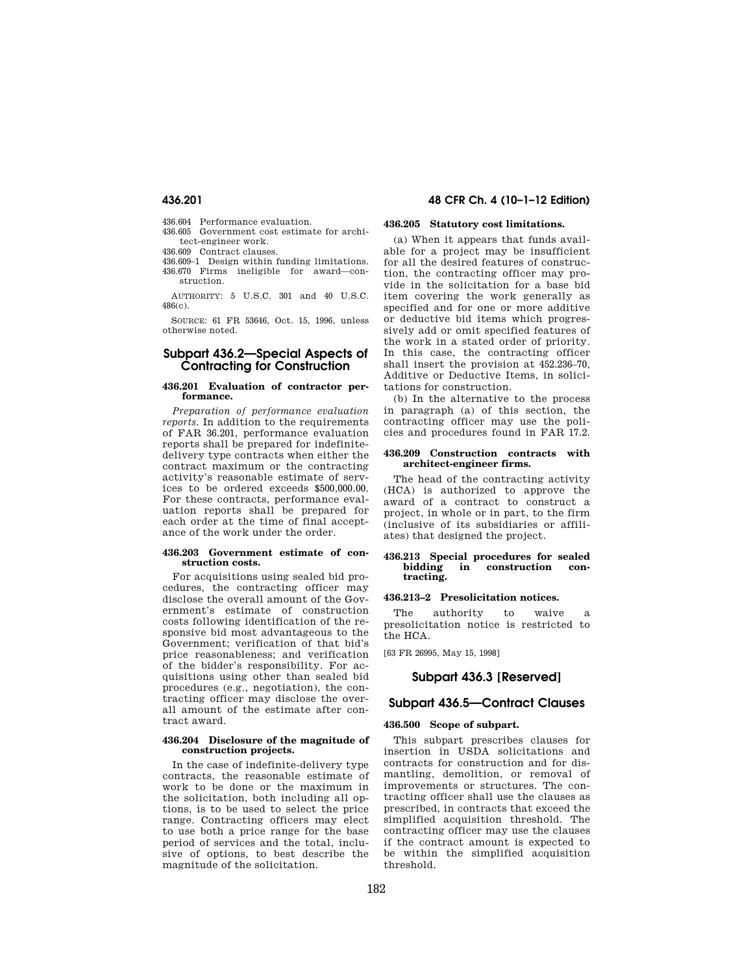- 436.604 Performance evaluation.
- 436.605 Government cost estimate for architect-engineer work.
- 436.609 Contract clauses.
- 436.609–1 Design within funding limitations. 436.670 Firms ineligible for award—construction.

AUTHORITY: 5 U.S.C. 301 and 40 U.S.C. 486(c).

SOURCE: 61 FR 53646, Oct. 15, 1996, unless otherwise noted.

## **Subpart 436.2—Special Aspects of Contracting for Construction**

#### **436.201 Evaluation of contractor performance.**

*Preparation of performance evaluation reports.* In addition to the requirements of FAR 36.201, performance evaluation reports shall be prepared for indefinitedelivery type contracts when either the contract maximum or the contracting activity's reasonable estimate of services to be ordered exceeds \$500,000.00. For these contracts, performance evaluation reports shall be prepared for each order at the time of final acceptance of the work under the order.

#### **436.203 Government estimate of construction costs.**

For acquisitions using sealed bid procedures, the contracting officer may disclose the overall amount of the Government's estimate of construction costs following identification of the responsive bid most advantageous to the Government; verification of that bid's price reasonableness; and verification of the bidder's responsibility. For acquisitions using other than sealed bid procedures (e.g., negotiation), the contracting officer may disclose the overall amount of the estimate after contract award.

#### **436.204 Disclosure of the magnitude of construction projects.**

In the case of indefinite-delivery type contracts, the reasonable estimate of work to be done or the maximum in the solicitation, both including all options, is to be used to select the price range. Contracting officers may elect to use both a price range for the base period of services and the total, inclusive of options, to best describe the magnitude of the solicitation.

## **436.201 48 CFR Ch. 4 (10–1–12 Edition)**

## **436.205 Statutory cost limitations.**

(a) When it appears that funds available for a project may be insufficient for all the desired features of construction, the contracting officer may provide in the solicitation for a base bid item covering the work generally as specified and for one or more additive or deductive bid items which progressively add or omit specified features of the work in a stated order of priority. In this case, the contracting officer shall insert the provision at 452.236–70, Additive or Deductive Items, in solicitations for construction.

(b) In the alternative to the process in paragraph (a) of this section, the contracting officer may use the policies and procedures found in FAR 17.2.

#### **436.209 Construction contracts with architect-engineer firms.**

The head of the contracting activity (HCA) is authorized to approve the award of a contract to construct a project, in whole or in part, to the firm (inclusive of its subsidiaries or affiliates) that designed the project.

#### **436.213 Special procedures for sealed bidding in construction contracting.**

#### **436.213–2 Presolicitation notices.**

The authority to waive a presolicitation notice is restricted to the HCA.

[63 FR 26995, May 15, 1998]

## **Subpart 436.3 [Reserved]**

## **Subpart 436.5—Contract Clauses**

#### **436.500 Scope of subpart.**

This subpart prescribes clauses for insertion in USDA solicitations and contracts for construction and for dismantling, demolition, or removal of improvements or structures. The contracting officer shall use the clauses as prescribed, in contracts that exceed the simplified acquisition threshold. The contracting officer may use the clauses if the contract amount is expected to be within the simplified acquisition threshold.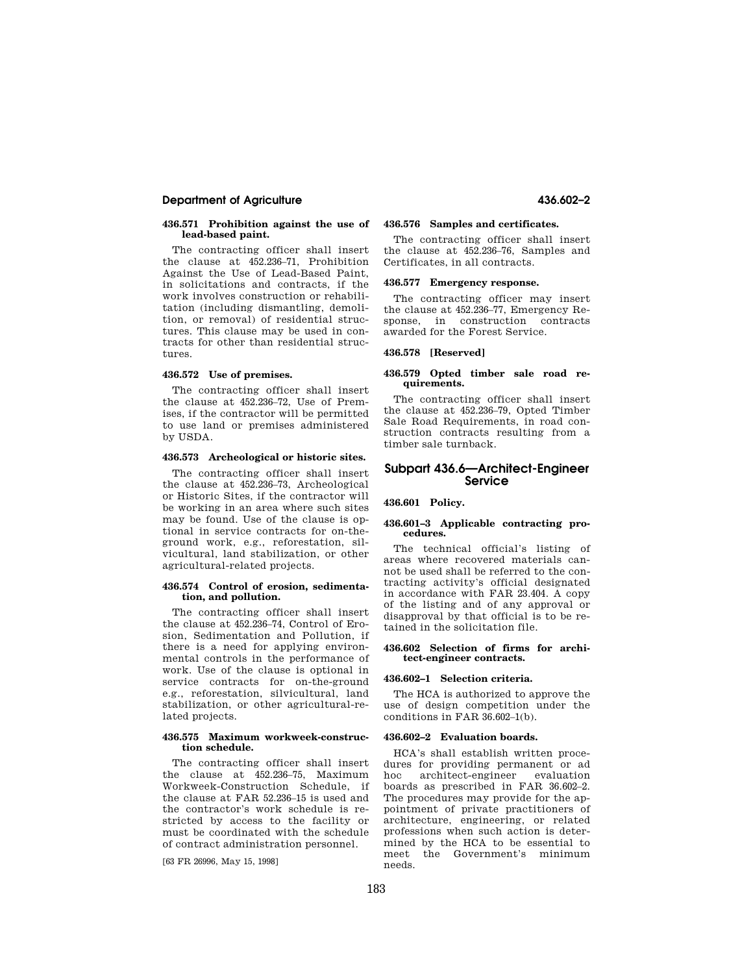## **Department of Agriculture 436.602–2**

#### **436.571 Prohibition against the use of lead-based paint.**

The contracting officer shall insert the clause at 452.236–71, Prohibition Against the Use of Lead-Based Paint, in solicitations and contracts, if the work involves construction or rehabilitation (including dismantling, demolition, or removal) of residential structures. This clause may be used in contracts for other than residential structures.

#### **436.572 Use of premises.**

The contracting officer shall insert the clause at 452.236–72, Use of Premises, if the contractor will be permitted to use land or premises administered by USDA.

### **436.573 Archeological or historic sites.**

The contracting officer shall insert the clause at 452.236–73, Archeological or Historic Sites, if the contractor will be working in an area where such sites may be found. Use of the clause is optional in service contracts for on-theground work, e.g., reforestation, silvicultural, land stabilization, or other agricultural-related projects.

#### **436.574 Control of erosion, sedimentation, and pollution.**

The contracting officer shall insert the clause at 452.236–74, Control of Erosion, Sedimentation and Pollution, if there is a need for applying environmental controls in the performance of work. Use of the clause is optional in service contracts for on-the-ground e.g., reforestation, silvicultural, land stabilization, or other agricultural-related projects.

#### **436.575 Maximum workweek-construction schedule.**

The contracting officer shall insert the clause at 452.236–75, Maximum Workweek-Construction Schedule, if the clause at FAR 52.236–15 is used and the contractor's work schedule is restricted by access to the facility or must be coordinated with the schedule of contract administration personnel.

[63 FR 26996, May 15, 1998]

## **436.576 Samples and certificates.**

The contracting officer shall insert the clause at 452.236–76, Samples and Certificates, in all contracts.

### **436.577 Emergency response.**

The contracting officer may insert the clause at 452.236–77, Emergency Response, in construction contracts awarded for the Forest Service.

#### **436.578 [Reserved]**

#### **436.579 Opted timber sale road requirements.**

The contracting officer shall insert the clause at 452.236–79, Opted Timber Sale Road Requirements, in road construction contracts resulting from a timber sale turnback.

## **Subpart 436.6—Architect-Engineer Service**

### **436.601 Policy.**

#### **436.601–3 Applicable contracting procedures.**

The technical official's listing of areas where recovered materials cannot be used shall be referred to the contracting activity's official designated in accordance with FAR 23.404. A copy of the listing and of any approval or disapproval by that official is to be retained in the solicitation file.

#### **436.602 Selection of firms for architect-engineer contracts.**

#### **436.602–1 Selection criteria.**

The HCA is authorized to approve the use of design competition under the conditions in FAR 36.602–1(b).

#### **436.602–2 Evaluation boards.**

HCA's shall establish written procedures for providing permanent or ad hoc architect-engineer evaluation boards as prescribed in FAR 36.602–2. The procedures may provide for the appointment of private practitioners of architecture, engineering, or related professions when such action is determined by the HCA to be essential to meet the Government's minimum needs.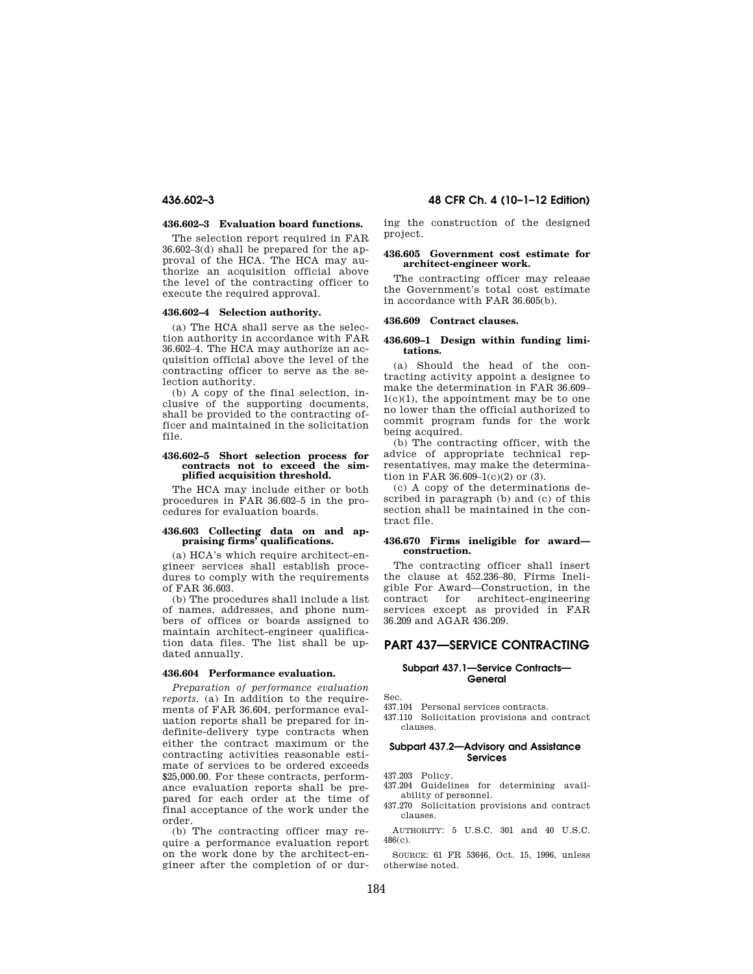## **436.602–3 Evaluation board functions.**

The selection report required in FAR 36.602–3(d) shall be prepared for the approval of the HCA. The HCA may authorize an acquisition official above the level of the contracting officer to execute the required approval.

#### **436.602–4 Selection authority.**

(a) The HCA shall serve as the selection authority in accordance with FAR 36.602–4. The HCA may authorize an acquisition official above the level of the contracting officer to serve as the selection authority.

(b) A copy of the final selection, inclusive of the supporting documents, shall be provided to the contracting officer and maintained in the solicitation file.

#### **436.602–5 Short selection process for contracts not to exceed the simplified acquisition threshold.**

The HCA may include either or both procedures in FAR 36.602–5 in the procedures for evaluation boards.

# **436.603 Collecting data on and ap-praising firms' qualifications.**

(a) HCA's which require architect-engineer services shall establish procedures to comply with the requirements of FAR 36.603.

(b) The procedures shall include a list of names, addresses, and phone numbers of offices or boards assigned to maintain architect-engineer qualification data files. The list shall be updated annually.

#### **436.604 Performance evaluation.**

*Preparation of performance evaluation reports.* (a) In addition to the requirements of FAR 36.604, performance evaluation reports shall be prepared for indefinite-delivery type contracts when either the contract maximum or the contracting activities reasonable estimate of services to be ordered exceeds \$25,000.00. For these contracts, performance evaluation reports shall be prepared for each order at the time of final acceptance of the work under the order.

(b) The contracting officer may require a performance evaluation report on the work done by the architect-engineer after the completion of or during the construction of the designed project.

#### **436.605 Government cost estimate for architect-engineer work.**

The contracting officer may release the Government's total cost estimate in accordance with FAR 36.605(b).

#### **436.609 Contract clauses.**

#### **436.609–1 Design within funding limitations.**

(a) Should the head of the contracting activity appoint a designee to make the determination in FAR 36.609– 1(c)(1), the appointment may be to one no lower than the official authorized to commit program funds for the work being acquired.

(b) The contracting officer, with the advice of appropriate technical representatives, may make the determination in FAR  $36.609-1(c)(2)$  or  $(3)$ .

(c) A copy of the determinations described in paragraph (b) and (c) of this section shall be maintained in the contract file.

#### **436.670 Firms ineligible for award construction.**

The contracting officer shall insert the clause at 452.236–80, Firms Ineligible For Award—Construction, in the contract for architect-engineering services except as provided in FAR 36.209 and AGAR 436.209.

## **PART 437—SERVICE CONTRACTING**

#### **Subpart 437.1—Service Contracts— General**

Sec.

- 437.104 Personal services contracts.
- 437.110 Solicitation provisions and contract clauses.

#### **Subpart 437.2—Advisory and Assistance Services**

437.203 Policy.

- 437.204 Guidelines for determining availability of personnel.
- 437.270 Solicitation provisions and contract clauses.

AUTHORITY: 5 U.S.C. 301 and 40 U.S.C. 486(c).

SOURCE: 61 FR 53646, Oct. 15, 1996, unless otherwise noted.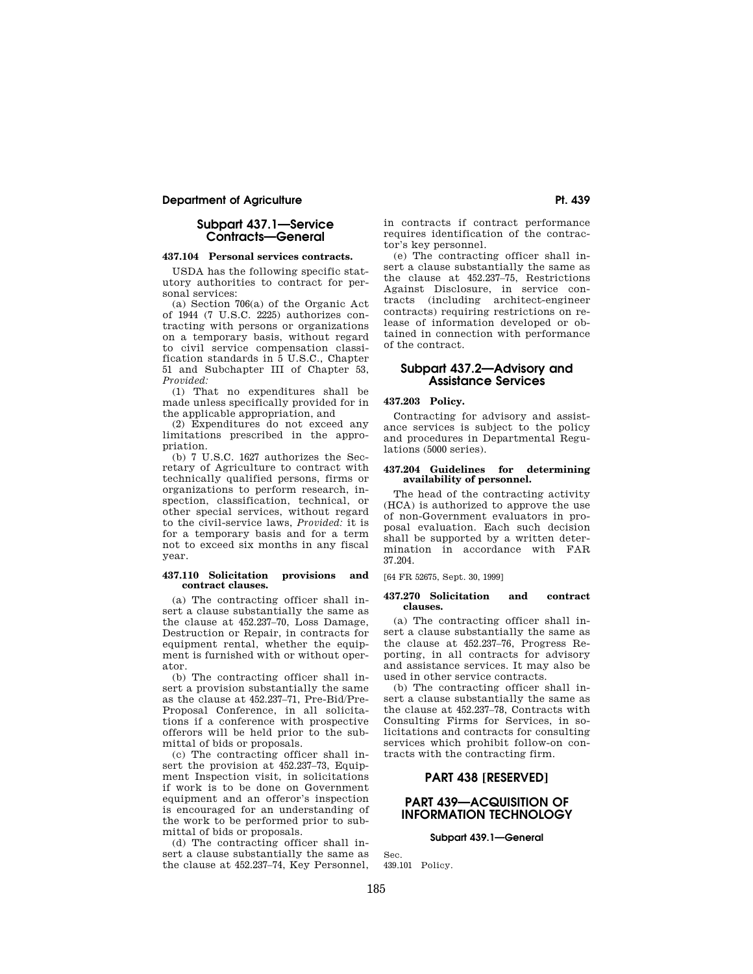## **Department of Agriculture Pt. 439 Pt. 439**

## **Subpart 437.1—Service Contracts—General**

#### **437.104 Personal services contracts.**

USDA has the following specific statutory authorities to contract for personal services:

(a) Section 706(a) of the Organic Act of 1944 (7 U.S.C. 2225) authorizes contracting with persons or organizations on a temporary basis, without regard to civil service compensation classification standards in 5 U.S.C., Chapter 51 and Subchapter III of Chapter 53, *Provided:* 

(1) That no expenditures shall be made unless specifically provided for in the applicable appropriation, and

(2) Expenditures do not exceed any limitations prescribed in the appropriation.

(b) 7 U.S.C. 1627 authorizes the Secretary of Agriculture to contract with technically qualified persons, firms or organizations to perform research, inspection, classification, technical, or other special services, without regard to the civil-service laws, *Provided:* it is for a temporary basis and for a term not to exceed six months in any fiscal year.

#### **437.110 Solicitation provisions and contract clauses.**

(a) The contracting officer shall insert a clause substantially the same as the clause at 452.237–70, Loss Damage, Destruction or Repair, in contracts for equipment rental, whether the equipment is furnished with or without operator.

(b) The contracting officer shall insert a provision substantially the same as the clause at 452.237–71, Pre-Bid/Pre-Proposal Conference, in all solicitations if a conference with prospective offerors will be held prior to the submittal of bids or proposals.

(c) The contracting officer shall insert the provision at 452.237–73, Equipment Inspection visit, in solicitations if work is to be done on Government equipment and an offeror's inspection is encouraged for an understanding of the work to be performed prior to submittal of bids or proposals.

(d) The contracting officer shall insert a clause substantially the same as the clause at 452.237–74, Key Personnel, in contracts if contract performance requires identification of the contractor's key personnel.

(e) The contracting officer shall insert a clause substantially the same as the clause at 452.237–75, Restrictions Against Disclosure, in service contracts (including architect-engineer contracts) requiring restrictions on release of information developed or obtained in connection with performance of the contract.

## **Subpart 437.2—Advisory and Assistance Services**

## **437.203 Policy.**

Contracting for advisory and assistance services is subject to the policy and procedures in Departmental Regulations (5000 series).

#### **437.204 Guidelines for determining availability of personnel.**

The head of the contracting activity (HCA) is authorized to approve the use of non-Government evaluators in proposal evaluation. Each such decision shall be supported by a written determination in accordance with FAR 37.204.

[64 FR 52675, Sept. 30, 1999]

#### **437.270 Solicitation and contract clauses.**

(a) The contracting officer shall insert a clause substantially the same as the clause at 452.237–76, Progress Reporting, in all contracts for advisory and assistance services. It may also be used in other service contracts.

(b) The contracting officer shall insert a clause substantially the same as the clause at 452.237–78, Contracts with Consulting Firms for Services, in solicitations and contracts for consulting services which prohibit follow-on contracts with the contracting firm.

## **PART 438 [RESERVED]**

## **PART 439—ACQUISITION OF INFORMATION TECHNOLOGY**

## **Subpart 439.1—General**

Sec. 439.101 Policy.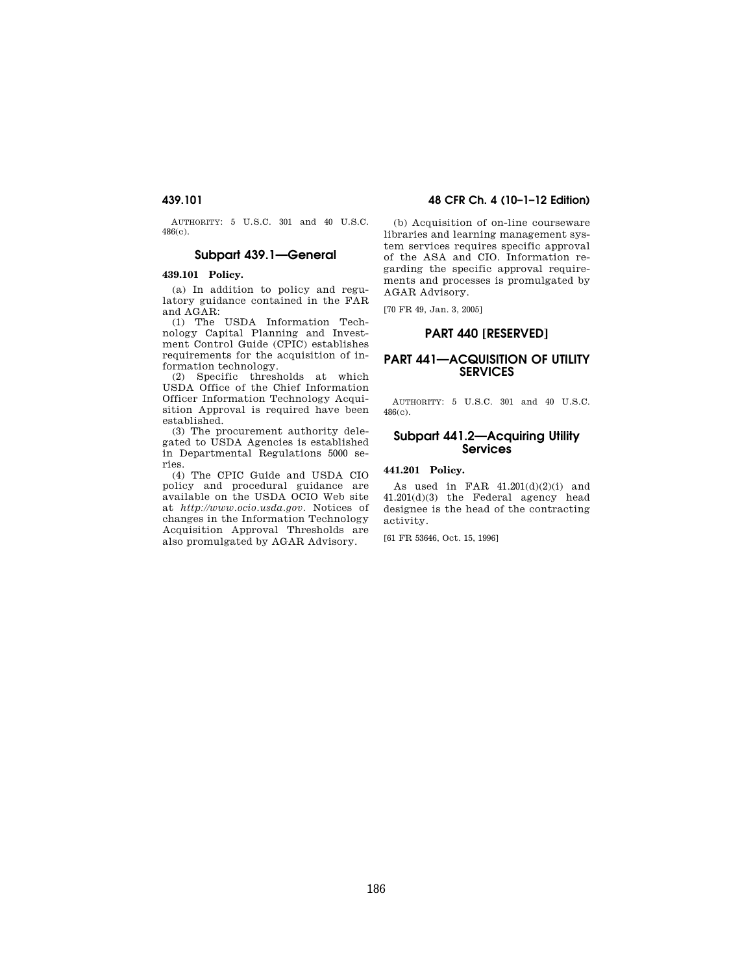AUTHORITY: 5 U.S.C. 301 and 40 U.S.C. 486(c).

## **Subpart 439.1—General**

## **439.101 Policy.**

(a) In addition to policy and regulatory guidance contained in the FAR and AGAR:

(1) The USDA Information Technology Capital Planning and Investment Control Guide (CPIC) establishes requirements for the acquisition of information technology.

(2) Specific thresholds at which USDA Office of the Chief Information Officer Information Technology Acquisition Approval is required have been established.

(3) The procurement authority delegated to USDA Agencies is established in Departmental Regulations 5000 series.

(4) The CPIC Guide and USDA CIO policy and procedural guidance are available on the USDA OCIO Web site at *http://www.ocio.usda.gov.* Notices of changes in the Information Technology Acquisition Approval Thresholds are also promulgated by AGAR Advisory.

## **439.101 48 CFR Ch. 4 (10–1–12 Edition)**

(b) Acquisition of on-line courseware libraries and learning management system services requires specific approval of the ASA and CIO. Information regarding the specific approval requirements and processes is promulgated by AGAR Advisory.

[70 FR 49, Jan. 3, 2005]

## **PART 440 [RESERVED]**

## **PART 441—ACQUISITION OF UTILITY SERVICES**

AUTHORITY: 5 U.S.C. 301 and 40 U.S.C. 486(c).

## **Subpart 441.2—Acquiring Utility Services**

### **441.201 Policy.**

As used in FAR 41.201(d)(2)(i) and 41.201(d)(3) the Federal agency head designee is the head of the contracting activity.

[61 FR 53646, Oct. 15, 1996]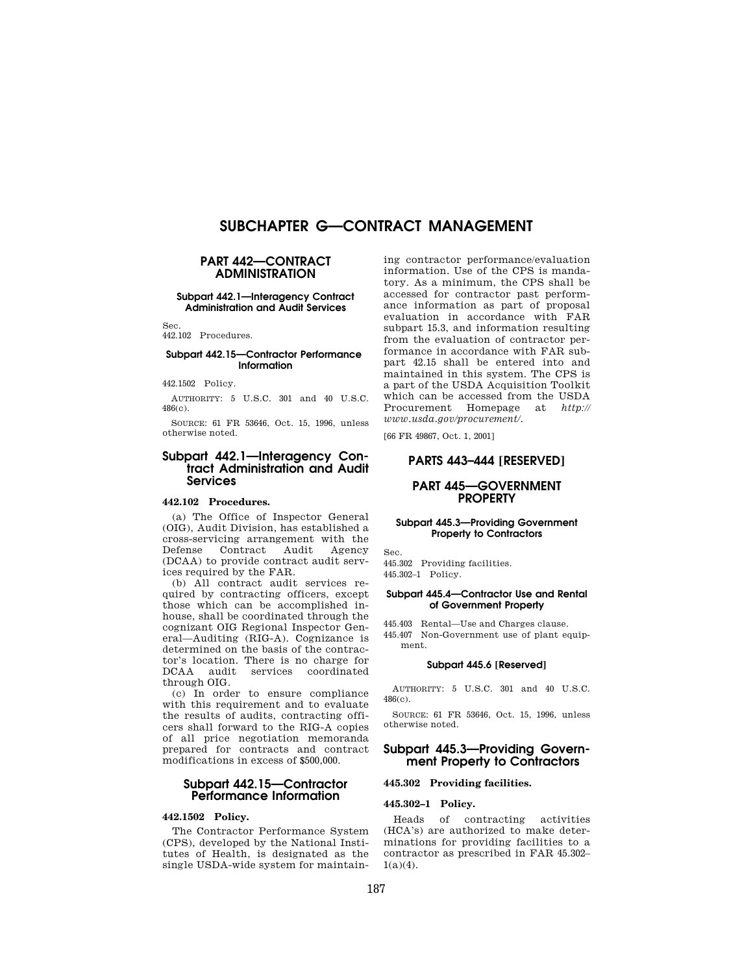# **SUBCHAPTER G—CONTRACT MANAGEMENT**

## **PART 442—CONTRACT ADMINISTRATION**

### **Subpart 442.1—Interagency Contract Administration and Audit Services**

Sec.

442.102 Procedures.

## **Subpart 442.15—Contractor Performance Information**

442.1502 Policy.

AUTHORITY: 5 U.S.C. 301 and 40 U.S.C. 486(c).

SOURCE: 61 FR 53646, Oct. 15, 1996, unless otherwise noted.

## **Subpart 442.1—Interagency Contract Administration and Audit Services**

## **442.102 Procedures.**

(a) The Office of Inspector General (OIG), Audit Division, has established a cross-servicing arrangement with the Defense Contract Audit Agency (DCAA) to provide contract audit services required by the FAR.

(b) All contract audit services required by contracting officers, except those which can be accomplished inhouse, shall be coordinated through the cognizant OIG Regional Inspector General—Auditing (RIG-A). Cognizance is determined on the basis of the contractor's location. There is no charge for DCAA audit services coordinated through OIG.

(c) In order to ensure compliance with this requirement and to evaluate the results of audits, contracting officers shall forward to the RIG-A copies of all price negotiation memoranda prepared for contracts and contract modifications in excess of \$500,000.

## **Subpart 442.15—Contractor Performance Information**

## **442.1502 Policy.**

The Contractor Performance System (CPS), developed by the National Institutes of Health, is designated as the single USDA-wide system for maintain-

ing contractor performance/evaluation information. Use of the CPS is mandatory. As a minimum, the CPS shall be accessed for contractor past performance information as part of proposal evaluation in accordance with FAR subpart 15.3, and information resulting from the evaluation of contractor performance in accordance with FAR subpart 42.15 shall be entered into and maintained in this system. The CPS is a part of the USDA Acquisition Toolkit which can be accessed from the USDA Procurement Homepage at *http:// www.usda.gov/procurement/.* 

[66 FR 49867, Oct. 1, 2001]

## **PARTS 443–444 [RESERVED]**

## **PART 445—GOVERNMENT PROPERTY**

#### **Subpart 445.3—Providing Government Property to Contractors**

Sec.

445.302 Providing facilities. 445.302–1 Policy.

#### **Subpart 445.4—Contractor Use and Rental of Government Property**

445.403 Rental—Use and Charges clause. 445.407 Non-Government use of plant equipment.

#### **Subpart 445.6 [Reserved]**

AUTHORITY: 5 U.S.C. 301 and 40 U.S.C. 486(c).

SOURCE: 61 FR 53646, Oct. 15, 1996, unless otherwise noted.

## **Subpart 445.3—Providing Government Property to Contractors**

## **445.302 Providing facilities.**

**445.302–1 Policy.** 

Heads of contracting activities (HCA's) are authorized to make determinations for providing facilities to a contractor as prescribed in FAR 45.302–  $1(a)(4)$ .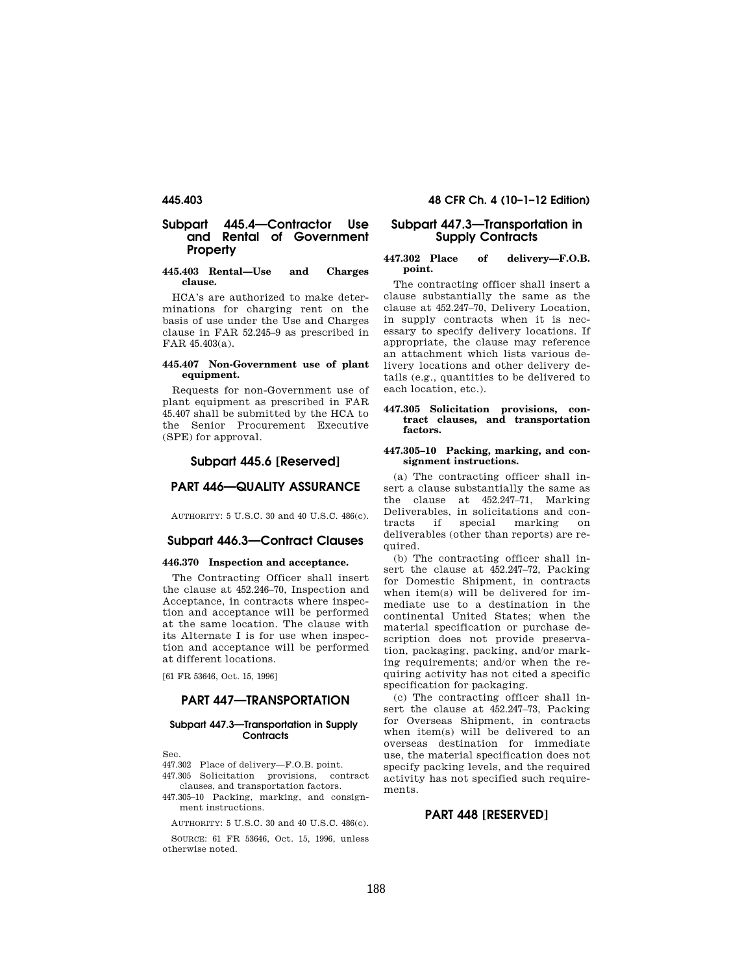## **Subpart 445.4—Contractor Use and Rental of Government Property**

## **445.403 Rental—Use and Charges clause.**

HCA's are authorized to make determinations for charging rent on the basis of use under the Use and Charges clause in FAR 52.245–9 as prescribed in FAR 45.403(a).

#### **445.407 Non-Government use of plant equipment.**

Requests for non-Government use of plant equipment as prescribed in FAR 45.407 shall be submitted by the HCA to the Senior Procurement Executive (SPE) for approval.

## **Subpart 445.6 [Reserved]**

## **PART 446—QUALITY ASSURANCE**

AUTHORITY: 5 U.S.C. 30 and 40 U.S.C. 486(c).

## **Subpart 446.3—Contract Clauses**

### **446.370 Inspection and acceptance.**

The Contracting Officer shall insert the clause at 452.246–70, Inspection and Acceptance, in contracts where inspection and acceptance will be performed at the same location. The clause with its Alternate I is for use when inspection and acceptance will be performed at different locations.

[61 FR 53646, Oct. 15, 1996]

## **PART 447—TRANSPORTATION**

#### **Subpart 447.3—Transportation in Supply Contracts**

Sec.

447.302 Place of delivery—F.O.B. point.

- 447.305 Solicitation provisions, contract clauses, and transportation factors.
- 447.305–10 Packing, marking, and consignment instructions.

AUTHORITY: 5 U.S.C. 30 and 40 U.S.C. 486(c).

SOURCE: 61 FR 53646, Oct. 15, 1996, unless otherwise noted.

## **445.403 48 CFR Ch. 4 (10–1–12 Edition)**

## **Subpart 447.3—Transportation in Supply Contracts**

#### **447.302 Place of delivery—F.O.B. point.**

The contracting officer shall insert a clause substantially the same as the clause at 452.247–70, Delivery Location, in supply contracts when it is necessary to specify delivery locations. If appropriate, the clause may reference an attachment which lists various delivery locations and other delivery details (e.g., quantities to be delivered to each location, etc.).

#### **447.305 Solicitation provisions, contract clauses, and transportation factors.**

#### **447.305–10 Packing, marking, and consignment instructions.**

(a) The contracting officer shall insert a clause substantially the same as the clause at 452.247–71, Marking Deliverables, in solicitations and contracts if special marking on deliverables (other than reports) are required.

(b) The contracting officer shall insert the clause at 452.247–72, Packing for Domestic Shipment, in contracts when item(s) will be delivered for immediate use to a destination in the continental United States; when the material specification or purchase description does not provide preservation, packaging, packing, and/or marking requirements; and/or when the requiring activity has not cited a specific specification for packaging.

(c) The contracting officer shall insert the clause at 452.247–73, Packing for Overseas Shipment, in contracts when item(s) will be delivered to an overseas destination for immediate use, the material specification does not specify packing levels, and the required activity has not specified such requirements.

## **PART 448 [RESERVED]**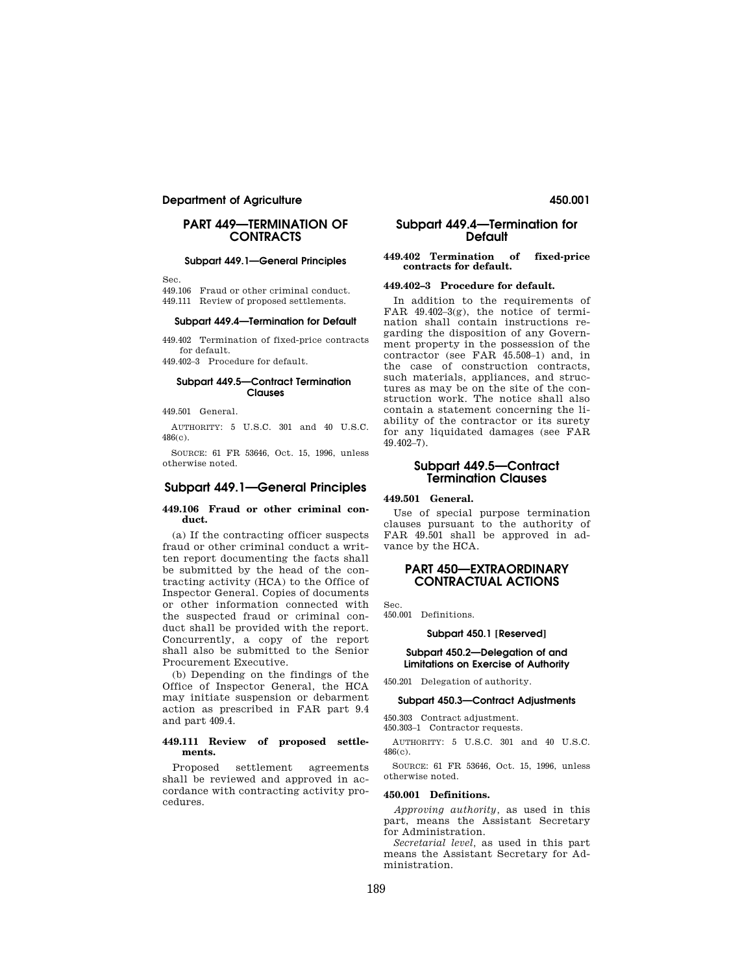## **Department of Agriculture 450.001**

## **PART 449—TERMINATION OF CONTRACTS**

#### **Subpart 449.1—General Principles**

Sec.

449.106 Fraud or other criminal conduct.

449.111 Review of proposed settlements.

## **Subpart 449.4—Termination for Default**

449.402 Termination of fixed-price contracts for default.

449.402–3 Procedure for default.

#### **Subpart 449.5—Contract Termination Clauses**

449.501 General.

AUTHORITY: 5 U.S.C. 301 and 40 U.S.C. 486(c).

SOURCE: 61 FR 53646, Oct. 15, 1996, unless otherwise noted.

## **Subpart 449.1—General Principles**

#### **449.106 Fraud or other criminal conduct.**

(a) If the contracting officer suspects fraud or other criminal conduct a written report documenting the facts shall be submitted by the head of the contracting activity (HCA) to the Office of Inspector General. Copies of documents or other information connected with the suspected fraud or criminal conduct shall be provided with the report. Concurrently, a copy of the report shall also be submitted to the Senior Procurement Executive.

(b) Depending on the findings of the Office of Inspector General, the HCA may initiate suspension or debarment action as prescribed in FAR part 9.4 and part 409.4.

#### **449.111 Review of proposed settlements.**

Proposed settlement agreements shall be reviewed and approved in accordance with contracting activity procedures.

## **Subpart 449.4—Termination for Default**

#### **449.402 Termination of fixed-price contracts for default.**

#### **449.402–3 Procedure for default.**

In addition to the requirements of FAR 49.402–3(g), the notice of termination shall contain instructions regarding the disposition of any Government property in the possession of the contractor (see FAR 45.508–1) and, in the case of construction contracts, such materials, appliances, and structures as may be on the site of the construction work. The notice shall also contain a statement concerning the liability of the contractor or its surety for any liquidated damages (see FAR 49.402–7).

## **Subpart 449.5—Contract Termination Clauses**

**449.501 General.** 

Use of special purpose termination clauses pursuant to the authority of FAR 49.501 shall be approved in advance by the HCA.

## **PART 450—EXTRAORDINARY CONTRACTUAL ACTIONS**

Sec.

450.001 Definitions.

#### **Subpart 450.1 [Reserved]**

#### **Subpart 450.2—Delegation of and Limitations on Exercise of Authority**

450.201 Delegation of authority.

#### **Subpart 450.3—Contract Adjustments**

450.303 Contract adjustment. 450.303–1 Contractor requests.

AUTHORITY: 5 U.S.C. 301 and 40 U.S.C. 486(c).

SOURCE: 61 FR 53646, Oct. 15, 1996, unless otherwise noted.

#### **450.001 Definitions.**

*Approving authority,* as used in this part, means the Assistant Secretary for Administration.

*Secretarial level,* as used in this part means the Assistant Secretary for Administration.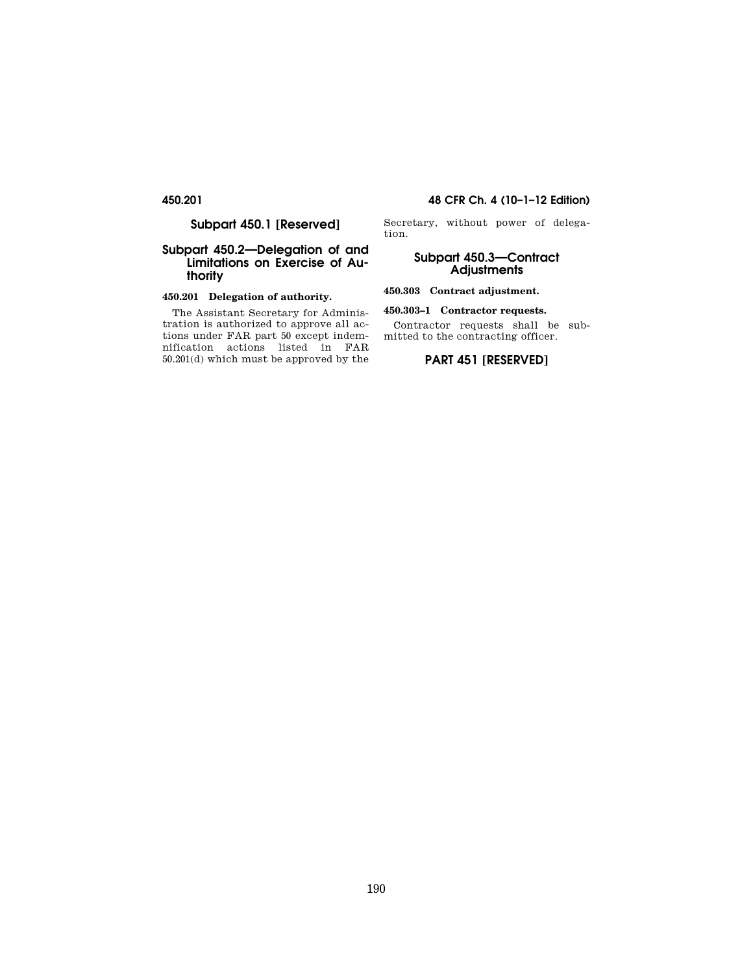## **Subpart 450.1 [Reserved]**

## **Subpart 450.2—Delegation of and Limitations on Exercise of Authority**

## **450.201 Delegation of authority.**

The Assistant Secretary for Administration is authorized to approve all actions under FAR part 50 except indemnification actions listed in FAR 50.201(d) which must be approved by the

## **450.201 48 CFR Ch. 4 (10–1–12 Edition)**

Secretary, without power of delegation.

## **Subpart 450.3—Contract Adjustments**

## **450.303 Contract adjustment.**

## **450.303–1 Contractor requests.**

Contractor requests shall be submitted to the contracting officer.

## **PART 451 [RESERVED]**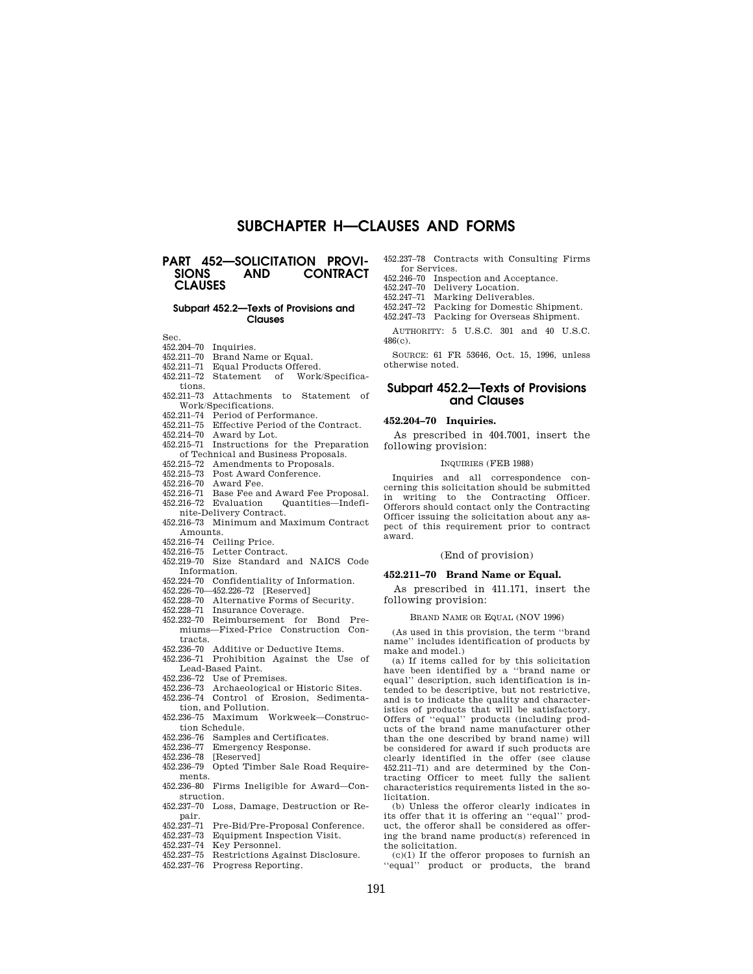# **SUBCHAPTER H—CLAUSES AND FORMS**

## **PART 452-SOLICITATION PROVI-**<br>SIONS AND CONTRACT **SIONS AND CONTRACT CLAUSES**

#### **Subpart 452.2—Texts of Provisions and Clauses**

Sec.

- 452.204–70 Inquiries.
- 452.211–70 Brand Name or Equal.
- 452.211–71 Equal Products Offered.
- of Work/Specifica-
- tions. 452.211–73 Attachments to Statement of Work/Specifications.
- 452.211–74 Period of Performance.
- 452.211–75 Effective Period of the Contract.
- 452.214–70 Award by Lot.
- 452.215–71 Instructions for the Preparation of Technical and Business Proposals.
- 452.215–72 Amendments to Proposals.
- 452.215–73 Post Award Conference.
- 452.216–70 Award Fee.
- 452.216–71 Base Fee and Award Fee Proposal. 452.216–72 Evaluation Quantities—Indefi-
- nite-Delivery Contract.
- 452.216–73 Minimum and Maximum Contract Amounts.
- 452.216–74 Ceiling Price.
- Letter Contract.
- 452.219–70 Size Standard and NAICS Code Information.
- 452.224–70 Confidentiality of Information.
- 452.226–70—452.226–72 [Reserved]
- 452.228–70 Alternative Forms of Security. 452.228–71 Insurance Coverage.
- 452.232–70 Reimbursement for Bond Premiums—Fixed-Price Construction Contracts.
- 452.236–70 Additive or Deductive Items. 452.236–71 Prohibition Against the Use of Lead-Based Paint.
- 452.236–72 Use of Premises.
- 452.236–73 Archaeological or Historic Sites.
- 452.236–74 Control of Erosion, Sedimentation, and Pollution.
- 452.236–75 Maximum Workweek—Construction Schedule.
- 452.236–76 Samples and Certificates.<br>452.236–77 Emergency Response.
- Emergency Response.
- 452.236–78 [Reserved]
- 452.236–79 Opted Timber Sale Road Requirements.
- 452.236–80 Firms Ineligible for Award—Construction.
- 452.237–70 Loss, Damage, Destruction or Repair.
- 452.237–71 Pre-Bid/Pre-Proposal Conference.
- Equipment Inspection Visit.
- 452.237–74 Key Personnel.
- 452.237–75 Restrictions Against Disclosure.
- 452.237–76 Progress Reporting.

452.237–78 Contracts with Consulting Firms for Services.

- 452.246–70 Inspection and Acceptance.
- 452.247–70 Delivery Location.
- 452.247–71 Marking Deliverables.
- 452.247–72 Packing for Domestic Shipment.
- 452.247–73 Packing for Overseas Shipment.

AUTHORITY: 5 U.S.C. 301 and 40 U.S.C. 486(c).

SOURCE: 61 FR 53646, Oct. 15, 1996, unless otherwise noted.

## **Subpart 452.2—Texts of Provisions and Clauses**

#### **452.204–70 Inquiries.**

As prescribed in 404.7001, insert the following provision:

#### INQUIRIES (FEB 1988)

Inquiries and all correspondence concerning this solicitation should be submitted in writing to the Contracting Officer. Offerors should contact only the Contracting Officer issuing the solicitation about any aspect of this requirement prior to contract award.

#### (End of provision)

#### **452.211–70 Brand Name or Equal.**

As prescribed in 411.171, insert the following provision:

#### BRAND NAME OR EQUAL (NOV 1996)

(As used in this provision, the term ''brand name'' includes identification of products by make and model.)

(a) If items called for by this solicitation have been identified by a ''brand name or equal'' description, such identification is intended to be descriptive, but not restrictive, and is to indicate the quality and characteristics of products that will be satisfactory. Offers of ''equal'' products (including products of the brand name manufacturer other than the one described by brand name) will be considered for award if such products are clearly identified in the offer (see clause 452.211–71) and are determined by the Contracting Officer to meet fully the salient characteristics requirements listed in the solicitation.

(b) Unless the offeror clearly indicates in its offer that it is offering an ''equal'' product, the offeror shall be considered as offering the brand name product(s) referenced in the solicitation.

 $(c)(1)$  If the offeror proposes to furnish an ''equal'' product or products, the brand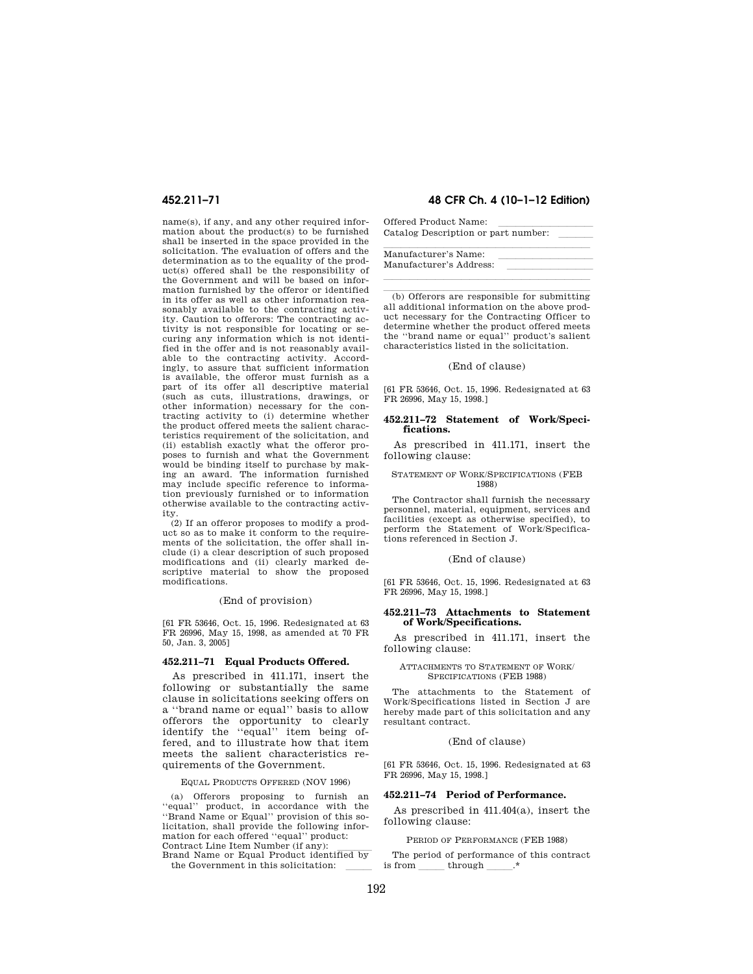name(s), if any, and any other required information about the product(s) to be furnished shall be inserted in the space provided in the solicitation. The evaluation of offers and the determination as to the equality of the product(s) offered shall be the responsibility of the Government and will be based on information furnished by the offeror or identified in its offer as well as other information reasonably available to the contracting activity. Caution to offerors: The contracting activity is not responsible for locating or securing any information which is not identified in the offer and is not reasonably available to the contracting activity. Accordingly, to assure that sufficient information is available, the offeror must furnish as a part of its offer all descriptive material (such as cuts, illustrations, drawings, or other information) necessary for the contracting activity to (i) determine whether the product offered meets the salient characteristics requirement of the solicitation, and (ii) establish exactly what the offeror proposes to furnish and what the Government would be binding itself to purchase by making an award. The information furnished may include specific reference to information previously furnished or to information otherwise available to the contracting activity.

(2) If an offeror proposes to modify a product so as to make it conform to the requirements of the solicitation, the offer shall include (i) a clear description of such proposed modifications and (ii) clearly marked descriptive material to show the proposed modifications.

#### (End of provision)

[61 FR 53646, Oct. 15, 1996. Redesignated at 63 FR 26996, May 15, 1998, as amended at 70 FR 50, Jan. 3, 2005]

#### **452.211–71 Equal Products Offered.**

As prescribed in 411.171, insert the following or substantially the same clause in solicitations seeking offers on a ''brand name or equal'' basis to allow offerors the opportunity to clearly identify the ''equal'' item being offered, and to illustrate how that item meets the salient characteristics requirements of the Government.

#### EQUAL PRODUCTS OFFERED (NOV 1996)

(a) Offerors proposing to furnish an ''equal'' product, in accordance with the ''Brand Name or Equal'' provision of this solicitation, shall provide the following information for each offered ''equal'' product: Contract Line Item Number (if any):

Brand Name or Equal Product identified by the Government in this solicitation:

## **452.211–71 48 CFR Ch. 4 (10–1–12 Edition)**

Offered Product Name:<br>Catalog Description or part number: Catalog Description or part number:

| Manufacturer's Name:    |  |
|-------------------------|--|
| Manufacturer's Address: |  |
|                         |  |

 $\lambda$  (b) Offerors are responsible for submitting all additional information on the above product necessary for the Contracting Officer to determine whether the product offered meets the ''brand name or equal'' product's salient characteristics listed in the solicitation.

#### (End of clause)

[61 FR 53646, Oct. 15, 1996. Redesignated at 63 FR 26996, May 15, 1998.]

#### **452.211–72 Statement of Work/Specifications.**

As prescribed in 411.171, insert the following clause:

### STATEMENT OF WORK/SPECIFICATIONS (FEB 1988)

The Contractor shall furnish the necessary personnel, material, equipment, services and facilities (except as otherwise specified), to perform the Statement of Work/Specifications referenced in Section J.

#### (End of clause)

[61 FR 53646, Oct. 15, 1996. Redesignated at 63 FR 26996, May 15, 1998.]

#### **452.211–73 Attachments to Statement of Work/Specifications.**

As prescribed in 411.171, insert the following clause:

#### ATTACHMENTS TO STATEMENT OF WORK/ SPECIFICATIONS (FEB 1988)

The attachments to the Statement of Work/Specifications listed in Section J are hereby made part of this solicitation and any resultant contract.

#### (End of clause)

[61 FR 53646, Oct. 15, 1996. Redesignated at 63 FR 26996, May 15, 1998.]

#### **452.211–74 Period of Performance.**

As prescribed in 411.404(a), insert the following clause:

#### PERIOD OF PERFORMANCE (FEB 1988)

The period of performance of this contract is from through  $\lambda^*$  $\overline{\phantom{a}}$  through  $\overline{\phantom{a}}$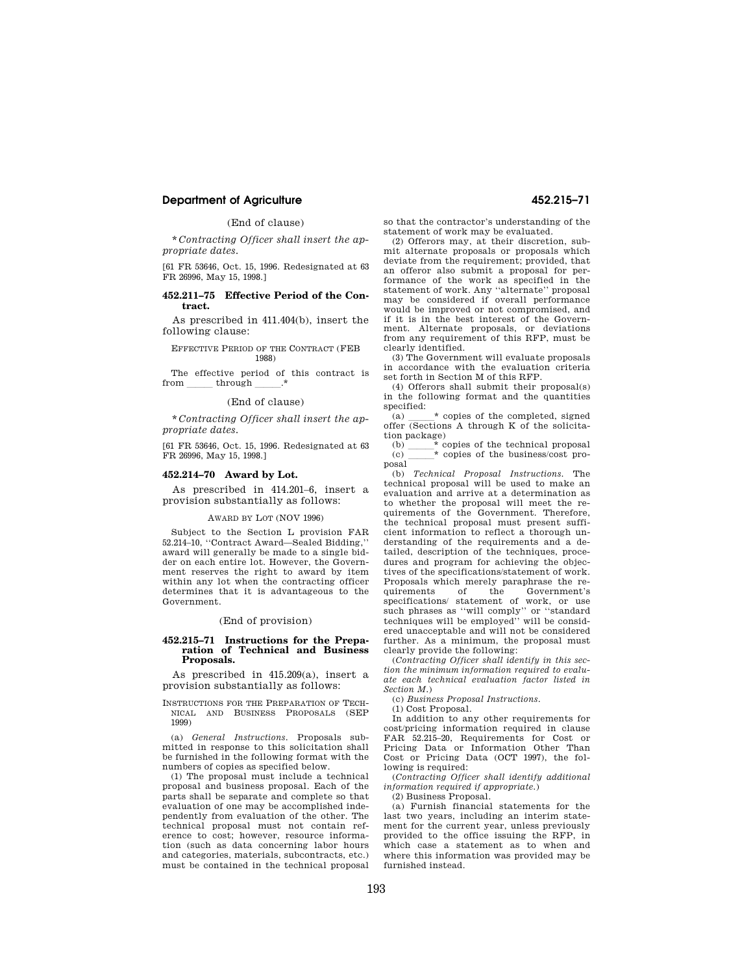## **Department of Agriculture 452.215–71**

### (End of clause)

\* *Contracting Officer shall insert the appropriate dates.* 

[61 FR 53646, Oct. 15, 1996. Redesignated at 63 FR 26996, May 15, 1998.]

#### **452.211–75 Effective Period of the Contract.**

As prescribed in 411.404(b), insert the following clause:

EFFECTIVE PERIOD OF THE CONTRACT (FEB 1988)

The effective period of this contract is from through  $.*$ through

#### (End of clause)

\* *Contracting Officer shall insert the appropriate dates.* 

[61 FR 53646, Oct. 15, 1996. Redesignated at 63 FR 26996, May 15, 1998.]

#### **452.214–70 Award by Lot.**

As prescribed in 414.201–6, insert a provision substantially as follows:

#### AWARD BY LOT (NOV 1996)

Subject to the Section L provision FAR 52.214–10, ''Contract Award—Sealed Bidding,'' award will generally be made to a single bidder on each entire lot. However, the Government reserves the right to award by item within any lot when the contracting officer determines that it is advantageous to the Government.

#### (End of provision)

#### **452.215–71 Instructions for the Preparation of Technical and Business Proposals.**

As prescribed in 415.209(a), insert a provision substantially as follows:

INSTRUCTIONS FOR THE PREPARATION OF TECH-NICAL AND BUSINESS PROPOSALS (SEP 1999)

(a) *General Instructions.* Proposals submitted in response to this solicitation shall be furnished in the following format with the numbers of copies as specified below.

(1) The proposal must include a technical proposal and business proposal. Each of the parts shall be separate and complete so that evaluation of one may be accomplished independently from evaluation of the other. The technical proposal must not contain reference to cost; however, resource information (such as data concerning labor hours and categories, materials, subcontracts, etc.) must be contained in the technical proposal

so that the contractor's understanding of the statement of work may be evaluated.

(2) Offerors may, at their discretion, submit alternate proposals or proposals which deviate from the requirement; provided, that an offeror also submit a proposal for performance of the work as specified in the statement of work. Any ''alternate'' proposal may be considered if overall performance would be improved or not compromised, and if it is in the best interest of the Government. Alternate proposals, or deviations from any requirement of this RFP, must be clearly identified.

(3) The Government will evaluate proposals in accordance with the evaluation criteria set forth in Section M of this RFP.

(4) Offerors shall submit their proposal(s) in the following format and the quantities specified:

(a)  $\bullet$  copies of the completed, signed offer (Sections A through K of the solicitation package)

(b)  $\overline{\phantom{0}}$   $\overline{\phantom{0}}$   $\overline{\phantom{0}}$  copies of the business/cost pro-(c) lll\* copies of the business/cost proposal

(b) *Technical Proposal Instructions.* The technical proposal will be used to make an evaluation and arrive at a determination as to whether the proposal will meet the requirements of the Government. Therefore, the technical proposal must present sufficient information to reflect a thorough understanding of the requirements and a detailed, description of the techniques, procedures and program for achieving the objectives of the specifications/statement of work. Proposals which merely paraphrase the requirements of the Government's specifications/ statement of work, or use such phrases as ''will comply'' or ''standard techniques will be employed'' will be considered unacceptable and will not be considered further. As a minimum, the proposal must clearly provide the following:

(*Contracting Officer shall identify in this section the minimum information required to evaluate each technical evaluation factor listed in Section M.*)

(c) *Business Proposal Instructions.* 

(1) Cost Proposal. In addition to any other requirements for

cost/pricing information required in clause FAR 52.215–20, Requirements for Cost or Pricing Data or Information Other Than Cost or Pricing Data (OCT 1997), the following is required:

(*Contracting Officer shall identify additional information required if appropriate.*)

(2) Business Proposal.

(a) Furnish financial statements for the last two years, including an interim statement for the current year, unless previously provided to the office issuing the RFP, in which case a statement as to when and where this information was provided may be furnished instead.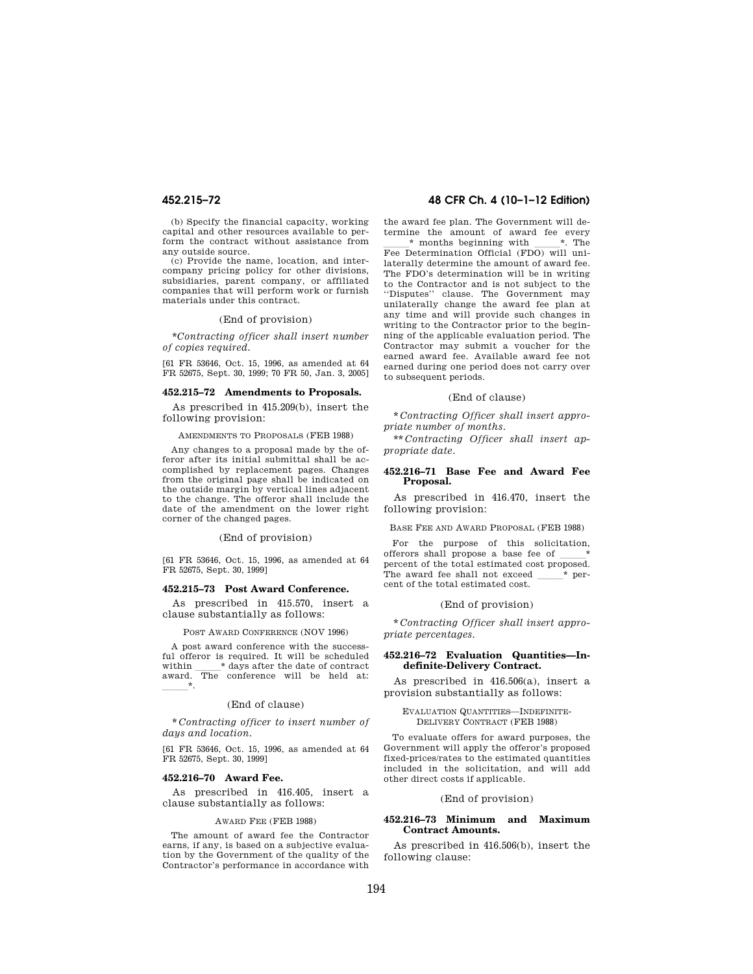(b) Specify the financial capacity, working capital and other resources available to perform the contract without assistance from any outside source.

(c) Provide the name, location, and intercompany pricing policy for other divisions, subsidiaries, parent company, or affiliated companies that will perform work or furnish materials under this contract.

#### (End of provision)

\**Contracting officer shall insert number of copies required.* 

[61 FR 53646, Oct. 15, 1996, as amended at 64 FR 52675, Sept. 30, 1999; 70 FR 50, Jan. 3, 2005]

#### **452.215–72 Amendments to Proposals.**

As prescribed in 415.209(b), insert the following provision:

AMENDMENTS TO PROPOSALS (FEB 1988)

Any changes to a proposal made by the offeror after its initial submittal shall be accomplished by replacement pages. Changes from the original page shall be indicated on the outside margin by vertical lines adjacent to the change. The offeror shall include the date of the amendment on the lower right corner of the changed pages.

#### (End of provision)

[61 FR 53646, Oct. 15, 1996, as amended at 64 FR 52675, Sept. 30, 1999]

#### **452.215–73 Post Award Conference.**

As prescribed in 415.570, insert a clause substantially as follows:

POST AWARD CONFERENCE (NOV 1996)

A post award conference with the successful offeror is required. It will be scheduled within  $\hfill \rule{2mm}{2mm}$   $\hspace{-1mm}^*$  days after the date of contract within \_\_\_\_\_\_\* days after the date of contract<br>award. The conference will be held at:  $\overline{\phantom{a}}$ 

#### (End of clause)

\* *Contracting officer to insert number of days and location.* 

[61 FR 53646, Oct. 15, 1996, as amended at 64 FR 52675, Sept. 30, 1999]

#### **452.216–70 Award Fee.**

As prescribed in 416.405, insert a clause substantially as follows:

#### AWARD FEE (FEB 1988)

The amount of award fee the Contractor earns, if any, is based on a subjective evaluation by the Government of the quality of the Contractor's performance in accordance with

## **452.215–72 48 CFR Ch. 4 (10–1–12 Edition)**

the award fee plan. The Government will determine the amount of award fee every  $\begin{array}{c} \hline \text{*} \text{ months beginning with} \quad \text{*}. \text{ The} \end{array}$  Fee Determination Official (FDO) will unilaterally determine the amount of award fee. The FDO's determination will be in writing to the Contractor and is not subject to the ''Disputes'' clause. The Government may unilaterally change the award fee plan at any time and will provide such changes in writing to the Contractor prior to the beginning of the applicable evaluation period. The Contractor may submit a voucher for the earned award fee. Available award fee not earned during one period does not carry over to subsequent periods.

#### (End of clause)

\* *Contracting Officer shall insert appropriate number of months.* 

\*\* *Contracting Officer shall insert appropriate date.* 

#### **452.216–71 Base Fee and Award Fee Proposal.**

As prescribed in 416.470, insert the following provision:

BASE FEE AND AWARD PROPOSAL (FEB 1988)

For the purpose of this solicitation, offerors shall propose a base fee of percent of the total estimated cost proposed. The award fee shall not exceed  $*$  percent of the total estimated cost.

#### (End of provision)

\* *Contracting Officer shall insert appropriate percentages.* 

#### **452.216–72 Evaluation Quantities—Indefinite-Delivery Contract.**

As prescribed in 416.506(a), insert a provision substantially as follows:

#### EVALUATION QUANTITIES—INDEFINITE-DELIVERY CONTRACT (FEB 1988)

To evaluate offers for award purposes, the Government will apply the offeror's proposed fixed-prices/rates to the estimated quantities included in the solicitation, and will add other direct costs if applicable.

#### (End of provision)

#### **452.216–73 Minimum and Maximum Contract Amounts.**

As prescribed in 416.506(b), insert the following clause: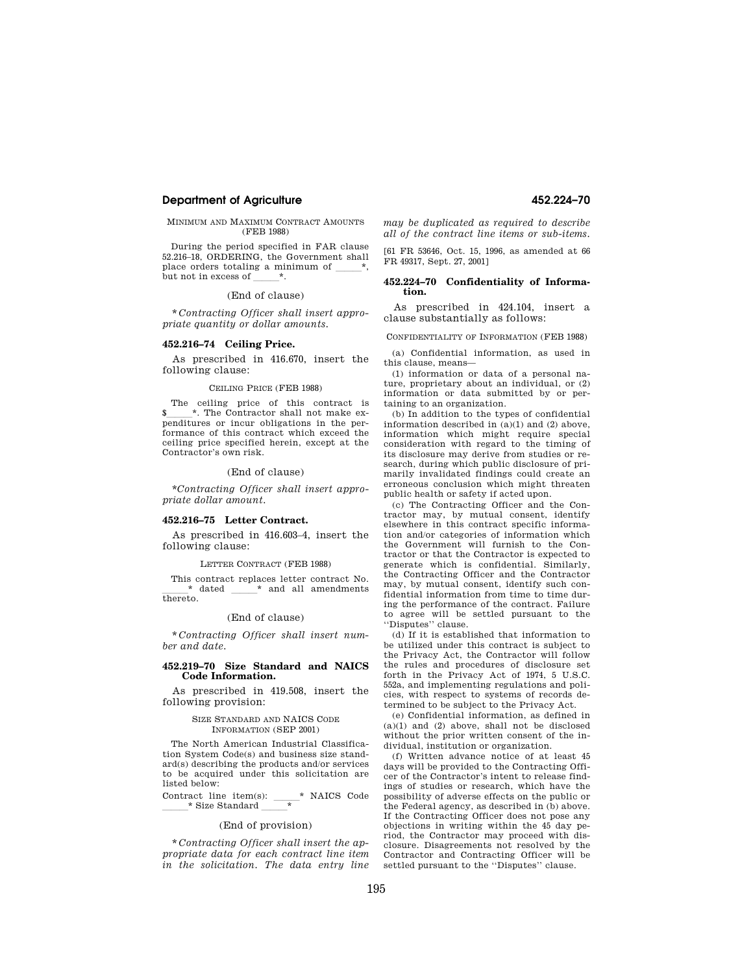#### **Department of Agriculture 452.224–70**

#### MINIMUM AND MAXIMUM CONTRACT AMOUNTS (FEB 1988)

During the period specified in FAR clause 52.216–18, ORDERING, the Government shall place orders totaling a minimum of but not in excess of  $*$ .

(End of clause)

\* *Contracting Officer shall insert appropriate quantity or dollar amounts.* 

#### **452.216–74 Ceiling Price.**

As prescribed in 416.670, insert the following clause:

#### CEILING PRICE (FEB 1988)

The ceiling price of this contract is<br> $\frac{*}{*}$ . The Contractor shall not make ex-\$lll\*. The Contractor shall not make ex-penditures or incur obligations in the performance of this contract which exceed the ceiling price specified herein, except at the Contractor's own risk.

(End of clause)

\**Contracting Officer shall insert appropriate dollar amount.* 

#### **452.216–75 Letter Contract.**

As prescribed in 416.603–4, insert the following clause:

#### LETTER CONTRACT (FEB 1988)

This contract replaces letter contract No.  $*$  dated  $*$  and all amendments  $*$  and all amendments thereto.

#### (End of clause)

\* *Contracting Officer shall insert number and date.* 

#### **452.219–70 Size Standard and NAICS Code Information.**

As prescribed in 419.508, insert the following provision:

#### SIZE STANDARD AND NAICS CODE INFORMATION (SEP 2001)

The North American Industrial Classification System Code(s) and business size standard(s) describing the products and/or services to be acquired under this solicitation are listed below:

Contract line item(s):  $\frac{\ }{1}$  MAICS Code \_\_\_\_\_\* Size Standard \_\_\_\_\_\_\*

#### (End of provision)

\* *Contracting Officer shall insert the appropriate data for each contract line item in the solicitation. The data entry line*  *may be duplicated as required to describe all of the contract line items or sub-items.* 

[61 FR 53646, Oct. 15, 1996, as amended at 66 FR 49317, Sept. 27, 2001]

#### **452.224–70 Confidentiality of Information.**

As prescribed in 424.104, insert a clause substantially as follows:

CONFIDENTIALITY OF INFORMATION (FEB 1988)

(a) Confidential information, as used in this clause, means—

(1) information or data of a personal nature, proprietary about an individual, or (2) information or data submitted by or pertaining to an organization.

(b) In addition to the types of confidential information described in (a)(1) and (2) above, information which might require special consideration with regard to the timing of its disclosure may derive from studies or research, during which public disclosure of primarily invalidated findings could create an erroneous conclusion which might threaten public health or safety if acted upon.

(c) The Contracting Officer and the Contractor may, by mutual consent, identify elsewhere in this contract specific information and/or categories of information which the Government will furnish to the Contractor or that the Contractor is expected to generate which is confidential. Similarly, the Contracting Officer and the Contractor may, by mutual consent, identify such confidential information from time to time during the performance of the contract. Failure to agree will be settled pursuant to the ''Disputes'' clause.

(d) If it is established that information to be utilized under this contract is subject to the Privacy Act, the Contractor will follow the rules and procedures of disclosure set forth in the Privacy Act of 1974, 5 U.S.C. 552a, and implementing regulations and policies, with respect to systems of records determined to be subject to the Privacy Act.

(e) Confidential information, as defined in (a)(1) and (2) above, shall not be disclosed without the prior written consent of the individual, institution or organization.

(f) Written advance notice of at least 45 days will be provided to the Contracting Officer of the Contractor's intent to release findings of studies or research, which have the possibility of adverse effects on the public or the Federal agency, as described in (b) above. If the Contracting Officer does not pose any objections in writing within the 45 day period, the Contractor may proceed with disclosure. Disagreements not resolved by the Contractor and Contracting Officer will be settled pursuant to the ''Disputes'' clause.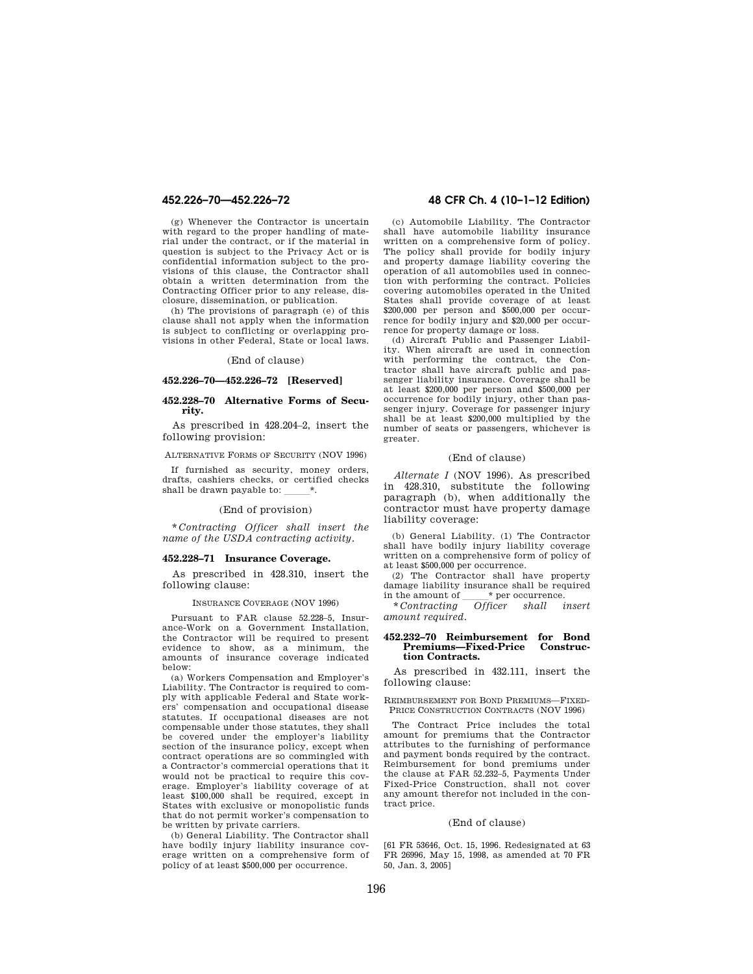(g) Whenever the Contractor is uncertain with regard to the proper handling of material under the contract, or if the material in question is subject to the Privacy Act or is confidential information subject to the provisions of this clause, the Contractor shall obtain a written determination from the Contracting Officer prior to any release, disclosure, dissemination, or publication.

(h) The provisions of paragraph (e) of this clause shall not apply when the information is subject to conflicting or overlapping provisions in other Federal, State or local laws.

#### (End of clause)

### **452.226–70—452.226–72 [Reserved]**

## **452.228–70 Alternative Forms of Security.**

As prescribed in 428.204–2, insert the following provision:

ALTERNATIVE FORMS OF SECURITY (NOV 1996)

If furnished as security, money orders, drafts, cashiers checks, or certified checks shall be drawn payable to:

#### (End of provision)

\* *Contracting Officer shall insert the name of the USDA contracting activity.* 

#### **452.228–71 Insurance Coverage.**

As prescribed in 428.310, insert the following clause:

#### INSURANCE COVERAGE (NOV 1996)

Pursuant to FAR clause 52.228–5, Insurance-Work on a Government Installation, the Contractor will be required to present evidence to show, as a minimum, the amounts of insurance coverage indicated below:

(a) Workers Compensation and Employer's Liability. The Contractor is required to comply with applicable Federal and State workers' compensation and occupational disease statutes. If occupational diseases are not compensable under those statutes, they shall be covered under the employer's liability section of the insurance policy, except when contract operations are so commingled with a Contractor's commercial operations that it would not be practical to require this coverage. Employer's liability coverage of at least \$100,000 shall be required, except in States with exclusive or monopolistic funds that do not permit worker's compensation to be written by private carriers.

(b) General Liability. The Contractor shall have bodily injury liability insurance coverage written on a comprehensive form of policy of at least \$500,000 per occurrence.

## **452.226–70—452.226–72 48 CFR Ch. 4 (10–1–12 Edition)**

(c) Automobile Liability. The Contractor shall have automobile liability insurance written on a comprehensive form of policy. The policy shall provide for bodily injury and property damage liability covering the operation of all automobiles used in connection with performing the contract. Policies covering automobiles operated in the United States shall provide coverage of at least \$200,000 per person and \$500,000 per occurrence for bodily injury and \$20,000 per occurrence for property damage or loss.

(d) Aircraft Public and Passenger Liability. When aircraft are used in connection with performing the contract, the Contractor shall have aircraft public and passenger liability insurance. Coverage shall be at least \$200,000 per person and \$500,000 per occurrence for bodily injury, other than passenger injury. Coverage for passenger injury shall be at least \$200,000 multiplied by the number of seats or passengers, whichever is greater.

#### (End of clause)

*Alternate I* (NOV 1996). As prescribed in 428.310, substitute the following paragraph (b), when additionally the contractor must have property damage liability coverage:

(b) General Liability. (1) The Contractor shall have bodily injury liability coverage written on a comprehensive form of policy of at least \$500,000 per occurrence.

(2) The Contractor shall have property damage liability insurance shall be required<br>in the amount of  $\_\_\_\ast$  per occurrence. in the amount of  $\frac{\ast}{\text{Contrating}}$  of ficer shall insert

\* *Contracting Officer shall insert amount required.* 

#### **452.232–70 Reimbursement for Bond**   $Preminus—Fixed-Price$ **tion Contracts.**

As prescribed in 432.111, insert the following clause:

REIMBURSEMENT FOR BOND PREMIUMS—FIXED-PRICE CONSTRUCTION CONTRACTS (NOV 1996)

The Contract Price includes the total amount for premiums that the Contractor attributes to the furnishing of performance and payment bonds required by the contract. Reimbursement for bond premiums under the clause at FAR 52.232–5, Payments Under Fixed-Price Construction, shall not cover any amount therefor not included in the contract price.

#### (End of clause)

[61 FR 53646, Oct. 15, 1996. Redesignated at 63 FR 26996, May 15, 1998, as amended at 70 FR 50, Jan. 3, 2005]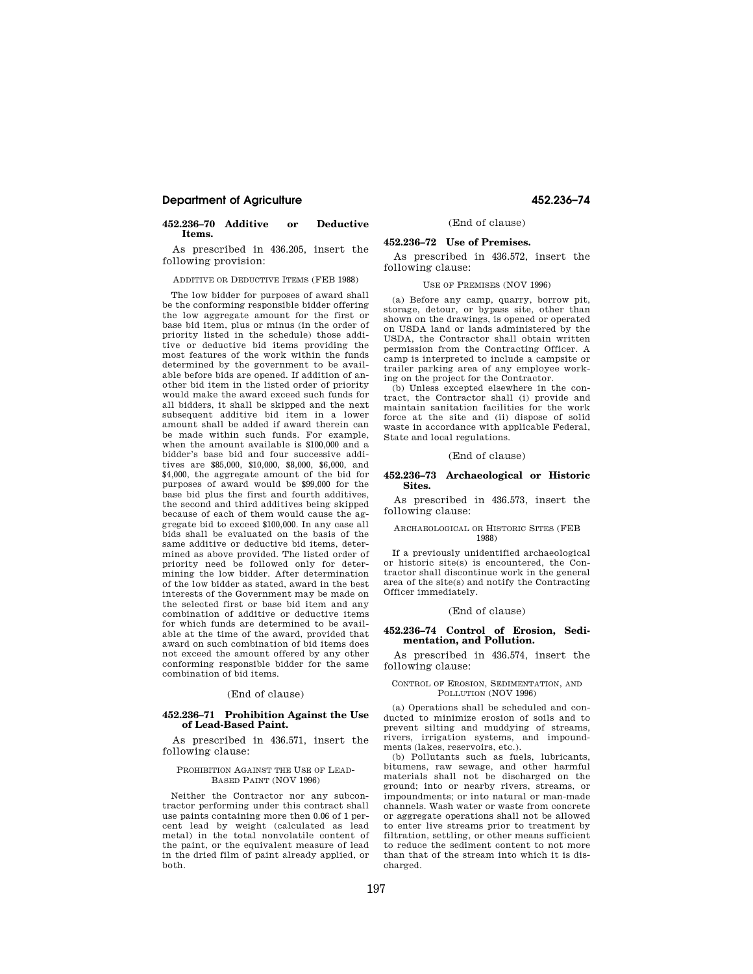## **Department of Agriculture 452.236–74**

#### **452.236–70 Additive or Deductive Items.**

As prescribed in 436.205, insert the following provision:

ADDITIVE OR DEDUCTIVE ITEMS (FEB 1988)

The low bidder for purposes of award shall be the conforming responsible bidder offering the low aggregate amount for the first or base bid item, plus or minus (in the order of priority listed in the schedule) those additive or deductive bid items providing the most features of the work within the funds determined by the government to be available before bids are opened. If addition of another bid item in the listed order of priority would make the award exceed such funds for all bidders, it shall be skipped and the next subsequent additive bid item in a lower amount shall be added if award therein can be made within such funds. For example, when the amount available is \$100,000 and a bidder's base bid and four successive additives are \$85,000, \$10,000, \$8,000, \$6,000, and \$4,000, the aggregate amount of the bid for purposes of award would be \$99,000 for the base bid plus the first and fourth additives, the second and third additives being skipped because of each of them would cause the aggregate bid to exceed \$100,000. In any case all bids shall be evaluated on the basis of the same additive or deductive bid items, determined as above provided. The listed order of priority need be followed only for determining the low bidder. After determination of the low bidder as stated, award in the best interests of the Government may be made on the selected first or base bid item and any combination of additive or deductive items for which funds are determined to be available at the time of the award, provided that award on such combination of bid items does not exceed the amount offered by any other conforming responsible bidder for the same combination of bid items.

#### (End of clause)

#### **452.236–71 Prohibition Against the Use of Lead-Based Paint.**

As prescribed in 436.571, insert the following clause:

#### PROHIBITION AGAINST THE USE OF LEAD-BASED PAINT (NOV 1996)

Neither the Contractor nor any subcontractor performing under this contract shall use paints containing more then 0.06 of 1 percent lead by weight (calculated as lead metal) in the total nonvolatile content of the paint, or the equivalent measure of lead in the dried film of paint already applied, or both.

(End of clause)

#### **452.236–72 Use of Premises.**

As prescribed in 436.572, insert the following clause:

## USE OF PREMISES (NOV 1996)

(a) Before any camp, quarry, borrow pit, storage, detour, or bypass site, other than shown on the drawings, is opened or operated on USDA land or lands administered by the USDA, the Contractor shall obtain written permission from the Contracting Officer. A camp is interpreted to include a campsite or trailer parking area of any employee working on the project for the Contractor.

(b) Unless excepted elsewhere in the contract, the Contractor shall (i) provide and maintain sanitation facilities for the work force at the site and (ii) dispose of solid waste in accordance with applicable Federal, State and local regulations.

#### (End of clause)

#### **452.236–73 Archaeological or Historic Sites.**

As prescribed in 436.573, insert the following clause:

#### ARCHAEOLOGICAL OR HISTORIC SITES (FEB 1988)

If a previously unidentified archaeological or historic site(s) is encountered, the Contractor shall discontinue work in the general area of the site(s) and notify the Contracting Officer immediately.

#### (End of clause)

## **452.236–74 Control of Erosion, Sedimentation, and Pollution.**

As prescribed in 436.574, insert the following clause:

#### CONTROL OF EROSION, SEDIMENTATION, AND POLLUTION (NOV 1996)

(a) Operations shall be scheduled and conducted to minimize erosion of soils and to prevent silting and muddying of streams, rivers, irrigation systems, and impoundments (lakes, reservoirs, etc.).

(b) Pollutants such as fuels, lubricants, bitumens, raw sewage, and other harmful materials shall not be discharged on the ground; into or nearby rivers, streams, or impoundments; or into natural or man-made channels. Wash water or waste from concrete or aggregate operations shall not be allowed to enter live streams prior to treatment by filtration, settling, or other means sufficient to reduce the sediment content to not more than that of the stream into which it is discharged.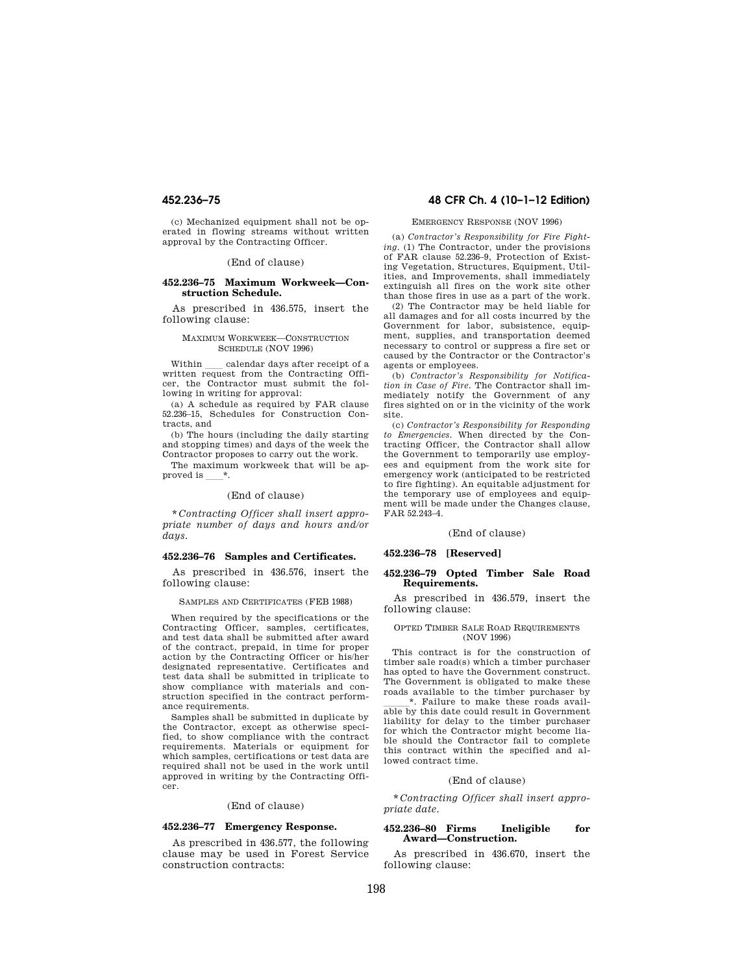(c) Mechanized equipment shall not be operated in flowing streams without written approval by the Contracting Officer.

#### (End of clause)

#### **452.236–75 Maximum Workweek—Construction Schedule.**

As prescribed in 436.575, insert the following clause:

#### MAXIMUM WORKWEEK—CONSTRUCTION SCHEDULE (NOV 1996)

Within sealendar days after receipt of a written request from the Contracting Officer, the Contractor must submit the following in writing for approval:

(a) A schedule as required by FAR clause 52.236–15, Schedules for Construction Contracts, and

(b) The hours (including the daily starting and stopping times) and days of the week the Contractor proposes to carry out the work.

The maximum workweek that will be approved is  $*$ .

#### (End of clause)

\* *Contracting Officer shall insert appropriate number of days and hours and/or days.* 

#### **452.236–76 Samples and Certificates.**

As prescribed in 436.576, insert the following clause:

SAMPLES AND CERTIFICATES (FEB 1988)

When required by the specifications or the Contracting Officer, samples, certificates, and test data shall be submitted after award of the contract, prepaid, in time for proper action by the Contracting Officer or his/her designated representative. Certificates and test data shall be submitted in triplicate to show compliance with materials and construction specified in the contract performance requirements.

Samples shall be submitted in duplicate by the Contractor, except as otherwise specified, to show compliance with the contract requirements. Materials or equipment for which samples, certifications or test data are required shall not be used in the work until approved in writing by the Contracting Officer.

#### (End of clause)

#### **452.236–77 Emergency Response.**

As prescribed in 436.577, the following clause may be used in Forest Service construction contracts:

## **452.236–75 48 CFR Ch. 4 (10–1–12 Edition)**

#### EMERGENCY RESPONSE (NOV 1996)

(a) *Contractor's Responsibility for Fire Fighting.* (1) The Contractor, under the provisions of FAR clause 52.236–9, Protection of Existing Vegetation, Structures, Equipment, Utilities, and Improvements, shall immediately extinguish all fires on the work site other than those fires in use as a part of the work.

(2) The Contractor may be held liable for all damages and for all costs incurred by the Government for labor, subsistence, equipment, supplies, and transportation deemed necessary to control or suppress a fire set or caused by the Contractor or the Contractor's agents or employees.

(b) *Contractor's Responsibility for Notification in Case of Fire.* The Contractor shall immediately notify the Government of any fires sighted on or in the vicinity of the work site.

(c) *Contractor's Responsibility for Responding to Emergencies.* When directed by the Contracting Officer, the Contractor shall allow the Government to temporarily use employees and equipment from the work site for emergency work (anticipated to be restricted to fire fighting). An equitable adjustment for the temporary use of employees and equipment will be made under the Changes clause, FAR 52.243–4.

### (End of clause)

#### **452.236–78 [Reserved]**

#### **452.236–79 Opted Timber Sale Road Requirements.**

As prescribed in 436.579, insert the following clause:

#### OPTED TIMBER SALE ROAD REQUIREMENTS (NOV 1996)

This contract is for the construction of timber sale road(s) which a timber purchaser has opted to have the Government construct. The Government is obligated to make these roads available to the timber purchaser by \*. Failure to make these roads available by this date could result in Government liability for delay to the timber purchaser for which the Contractor might become liable should the Contractor fail to complete this contract within the specified and allowed contract time.

#### (End of clause)

\* *Contracting Officer shall insert appropriate date.* 

#### **452.236–80 Firms Ineligible for Award—Construction.**

As prescribed in 436.670, insert the following clause: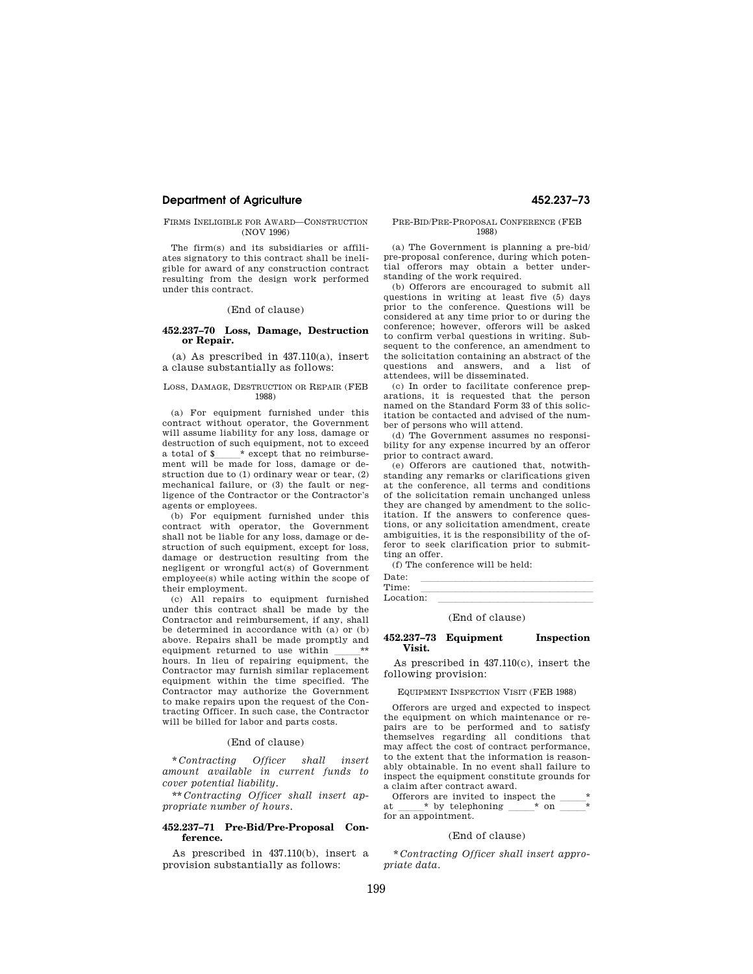#### **Department of Agriculture 452.237–73**

#### FIRMS INELIGIBLE FOR AWARD—CONSTRUCTION (NOV 1996)

The firm(s) and its subsidiaries or affiliates signatory to this contract shall be ineligible for award of any construction contract resulting from the design work performed under this contract.

#### (End of clause)

#### **452.237–70 Loss, Damage, Destruction or Repair.**

 $(a)$  As prescribed in  $437.110(a)$ , insert a clause substantially as follows:

#### LOSS, DAMAGE, DESTRUCTION OR REPAIR (FEB 1988)

(a) For equipment furnished under this contract without operator, the Government will assume liability for any loss, damage or destruction of such equipment, not to exceed a total of \$ \* except that no reimbursement will be made for loss, damage or destruction due to (1) ordinary wear or tear, (2) mechanical failure, or (3) the fault or negligence of the Contractor or the Contractor's agents or employees.

(b) For equipment furnished under this contract with operator, the Government shall not be liable for any loss, damage or destruction of such equipment, except for loss, damage or destruction resulting from the negligent or wrongful act(s) of Government employee(s) while acting within the scope of their employment.

(c) All repairs to equipment furnished under this contract shall be made by the Contractor and reimbursement, if any, shall be determined in accordance with (a) or (b) above. Repairs shall be made promptly and equipment returned to use within \_\_\_\_\_\*\*<br>hours. In lieu of repairing equipment, the Contractor may furnish similar replacement equipment within the time specified. The Contractor may authorize the Government to make repairs upon the request of the Contracting Officer. In such case, the Contractor will be billed for labor and parts costs.

#### (End of clause)

\* *Contracting Officer shall insert amount available in current funds to cover potential liability.* 

\*\* *Contracting Officer shall insert appropriate number of hours.* 

#### **452.237–71 Pre-Bid/Pre-Proposal Conference.**

As prescribed in 437.110(b), insert a provision substantially as follows:

#### PRE-BID/PRE-PROPOSAL CONFERENCE (FEB 1988)

(a) The Government is planning a pre-bid/ pre-proposal conference, during which potential offerors may obtain a better understanding of the work required.

(b) Offerors are encouraged to submit all questions in writing at least five (5) days prior to the conference. Questions will be considered at any time prior to or during the conference; however, offerors will be asked to confirm verbal questions in writing. Subsequent to the conference, an amendment to the solicitation containing an abstract of the questions and answers, and a list of attendees, will be disseminated.

(c) In order to facilitate conference preparations, it is requested that the person named on the Standard Form 33 of this solicitation be contacted and advised of the number of persons who will attend.

(d) The Government assumes no responsibility for any expense incurred by an offeror prior to contract award.

(e) Offerors are cautioned that, notwithstanding any remarks or clarifications given at the conference, all terms and conditions of the solicitation remain unchanged unless they are changed by amendment to the solicitation. If the answers to conference questions, or any solicitation amendment, create ambiguities, it is the responsibility of the offeror to seek clarification prior to submitting an offer.

(f) The conference will be held:

| Date:     |  |  |  |
|-----------|--|--|--|
| Time:     |  |  |  |
| Location: |  |  |  |
|           |  |  |  |

#### (End of clause)

### **452.237–73 Equipment Inspection Visit.**

As prescribed in 437.110(c), insert the following provision:

EQUIPMENT INSPECTION VISIT (FEB 1988)

Offerors are urged and expected to inspect the equipment on which maintenance or repairs are to be performed and to satisfy themselves regarding all conditions that may affect the cost of contract performance, to the extent that the information is reasonably obtainable. In no event shall failure to inspect the equipment constitute grounds for a claim after contract award.

Offerors are invited to inspect the at  $*$  by telephoning  $*$  on  $*$  by telephoning  $\equiv$ for an appointment.

### (End of clause)

\* *Contracting Officer shall insert appropriate data.*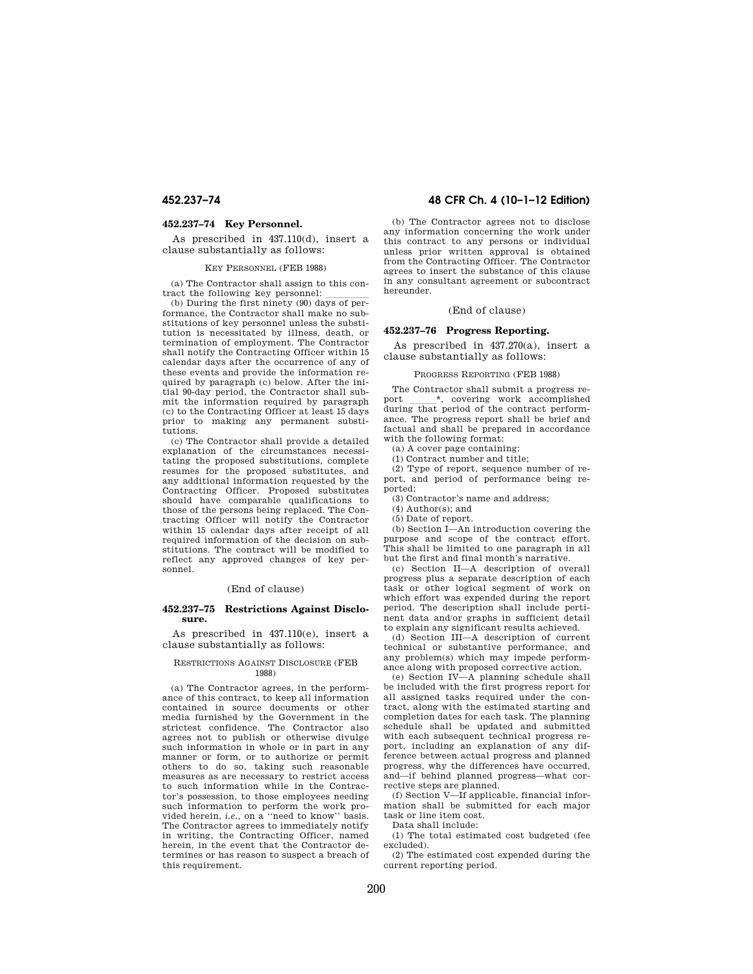#### **452.237–74 Key Personnel.**

As prescribed in 437.110(d), insert a clause substantially as follows:

#### KEY PERSONNEL (FEB 1988)

(a) The Contractor shall assign to this contract the following key personnel:

(b) During the first ninety (90) days of performance, the Contractor shall make no substitutions of key personnel unless the substitution is necessitated by illness, death, or termination of employment. The Contractor shall notify the Contracting Officer within 15 calendar days after the occurrence of any of these events and provide the information required by paragraph (c) below. After the initial 90-day period, the Contractor shall submit the information required by paragraph (c) to the Contracting Officer at least 15 days prior to making any permanent substitutions.

(c) The Contractor shall provide a detailed explanation of the circumstances necessitating the proposed substitutions, complete resumes for the proposed substitutes, and any additional information requested by the Contracting Officer. Proposed substitutes should have comparable qualifications to those of the persons being replaced. The Contracting Officer will notify the Contractor within 15 calendar days after receipt of all required information of the decision on substitutions. The contract will be modified to reflect any approved changes of key personnel.

#### (End of clause)

#### **452.237–75 Restrictions Against Disclosure.**

As prescribed in 437.110(e), insert a clause substantially as follows:

#### RESTRICTIONS AGAINST DISCLOSURE (FEB 1988)

(a) The Contractor agrees, in the performance of this contract, to keep all information contained in source documents or other media furnished by the Government in the strictest confidence. The Contractor also agrees not to publish or otherwise divulge such information in whole or in part in any manner or form, or to authorize or permit others to do so, taking such reasonable measures as are necessary to restrict access to such information while in the Contractor's possession, to those employees needing such information to perform the work provided herein, *i.e.,* on a ''need to know'' basis. The Contractor agrees to immediately notify in writing, the Contracting Officer, named herein, in the event that the Contractor determines or has reason to suspect a breach of this requirement.

## **452.237–74 48 CFR Ch. 4 (10–1–12 Edition)**

(b) The Contractor agrees not to disclose any information concerning the work under this contract to any persons or individual unless prior written approval is obtained from the Contracting Officer. The Contractor agrees to insert the substance of this clause in any consultant agreement or subcontract hereunder.

#### (End of clause)

#### **452.237–76 Progress Reporting.**

As prescribed in 437.270(a), insert a clause substantially as follows:

#### PROGRESS REPORTING (FEB 1988)

The Contractor shall submit a progress re-<br>ort \*, covering work accomplished port \_\_\_\_\_\_\*, covering work accomplished<br>during that period of the contract performance. The progress report shall be brief and factual and shall be prepared in accordance with the following format:

(a) A cover page containing:

(1) Contract number and title;

(2) Type of report, sequence number of report, and period of performance being reported;

(3) Contractor's name and address;

(4) Author(s); and

(5) Date of report.

(b) Section I—An introduction covering the purpose and scope of the contract effort. This shall be limited to one paragraph in all but the first and final month's narrative.

(c) Section II—A description of overall progress plus a separate description of each task or other logical segment of work on which effort was expended during the report period. The description shall include pertinent data and/or graphs in sufficient detail to explain any significant results achieved.

(d) Section III—A description of current technical or substantive performance, and any problem(s) which may impede performance along with proposed corrective action.

(e) Section IV—A planning schedule shall be included with the first progress report for all assigned tasks required under the contract, along with the estimated starting and completion dates for each task. The planning schedule shall be updated and submitted with each subsequent technical progress report, including an explanation of any difference between actual progress and planned progress, why the differences have occurred, and—if behind planned progress—what corrective steps are planned.

(f) Section V—If applicable, financial information shall be submitted for each major task or line item cost.

Data shall include:

(1) The total estimated cost budgeted (fee excluded).

(2) The estimated cost expended during the current reporting period.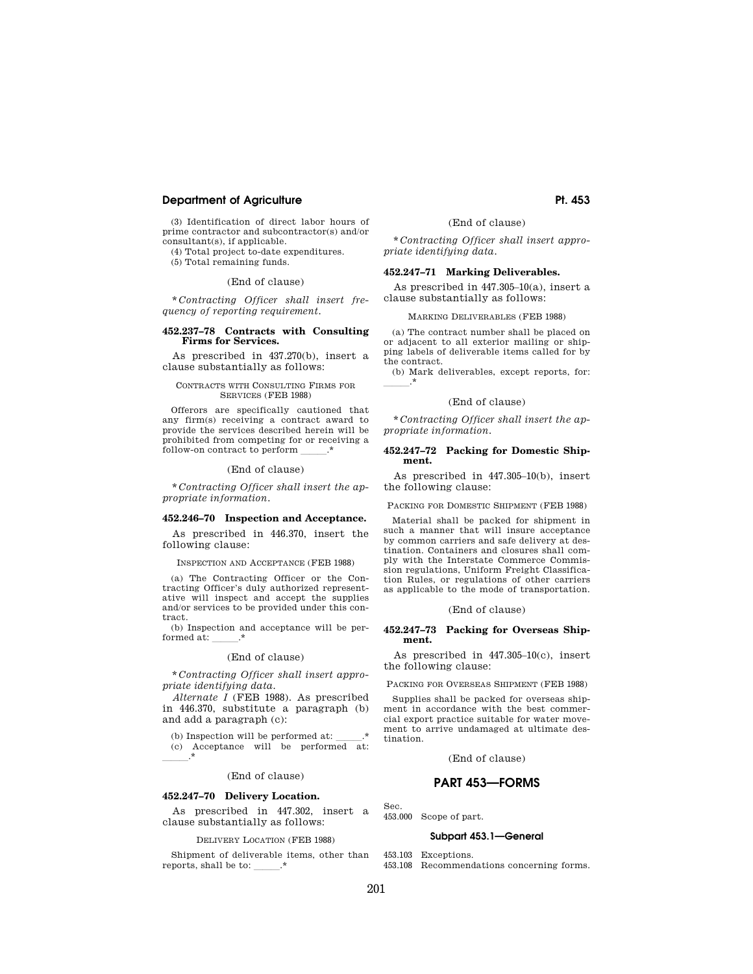## **Department of Agriculture Pt. 453 Pt. 453**

(3) Identification of direct labor hours of prime contractor and subcontractor(s) and/or consultant(s), if applicable.

(4) Total project to-date expenditures. (5) Total remaining funds.

#### (End of clause)

\* *Contracting Officer shall insert frequency of reporting requirement.* 

#### **452.237–78 Contracts with Consulting Firms for Services.**

As prescribed in 437.270(b), insert a clause substantially as follows:

#### CONTRACTS WITH CONSULTING FIRMS FOR SERVICES (FEB 1988)

Offerors are specifically cautioned that any firm(s) receiving a contract award to provide the services described herein will be prohibited from competing for or receiving a follow-on contract to perform

#### (End of clause)

\* *Contracting Officer shall insert the appropriate information.* 

#### **452.246–70 Inspection and Acceptance.**

As prescribed in 446.370, insert the following clause:

INSPECTION AND ACCEPTANCE (FEB 1988)

(a) The Contracting Officer or the Contracting Officer's duly authorized representative will inspect and accept the supplies and/or services to be provided under this contract.

(b) Inspection and acceptance will be performed at:

#### (End of clause)

\* *Contracting Officer shall insert appropriate identifying data.* 

*Alternate I* (FEB 1988). As prescribed in 446.370, substitute a paragraph (b) and add a paragraph (c):

(b) Inspection will be performed at:  $\,$ (c) Acceptance will be performed at:  $\overline{\phantom{a}}$ .\*

(End of clause)

## **452.247–70 Delivery Location.**

As prescribed in 447.302, insert a clause substantially as follows:

#### DELIVERY LOCATION (FEB 1988)

Shipment of deliverable items, other than reports, shall be to:

(End of clause)

\* *Contracting Officer shall insert appropriate identifying data.* 

## **452.247–71 Marking Deliverables.**

As prescribed in 447.305–10(a), insert a clause substantially as follows:

#### MARKING DELIVERABLES (FEB 1988)

(a) The contract number shall be placed on or adjacent to all exterior mailing or shipping labels of deliverable items called for by the contract.

(b) Mark deliverables, except reports, for:  $-\cdot$ \*

#### (End of clause)

\* *Contracting Officer shall insert the appropriate information.* 

#### **452.247–72 Packing for Domestic Shipment.**

As prescribed in 447.305–10(b), insert the following clause:

PACKING FOR DOMESTIC SHIPMENT (FEB 1988)

Material shall be packed for shipment in such a manner that will insure acceptance by common carriers and safe delivery at destination. Containers and closures shall comply with the Interstate Commerce Commission regulations, Uniform Freight Classification Rules, or regulations of other carriers as applicable to the mode of transportation.

#### (End of clause)

#### **452.247–73 Packing for Overseas Shipment.**

As prescribed in 447.305–10(c), insert the following clause:

PACKING FOR OVERSEAS SHIPMENT (FEB 1988)

Supplies shall be packed for overseas shipment in accordance with the best commercial export practice suitable for water movement to arrive undamaged at ultimate destination.

(End of clause)

## **PART 453—FORMS**

Sec.

453.000 Scope of part.

#### **Subpart 453.1—General**

453.103 Exceptions.

453.108 Recommendations concerning forms.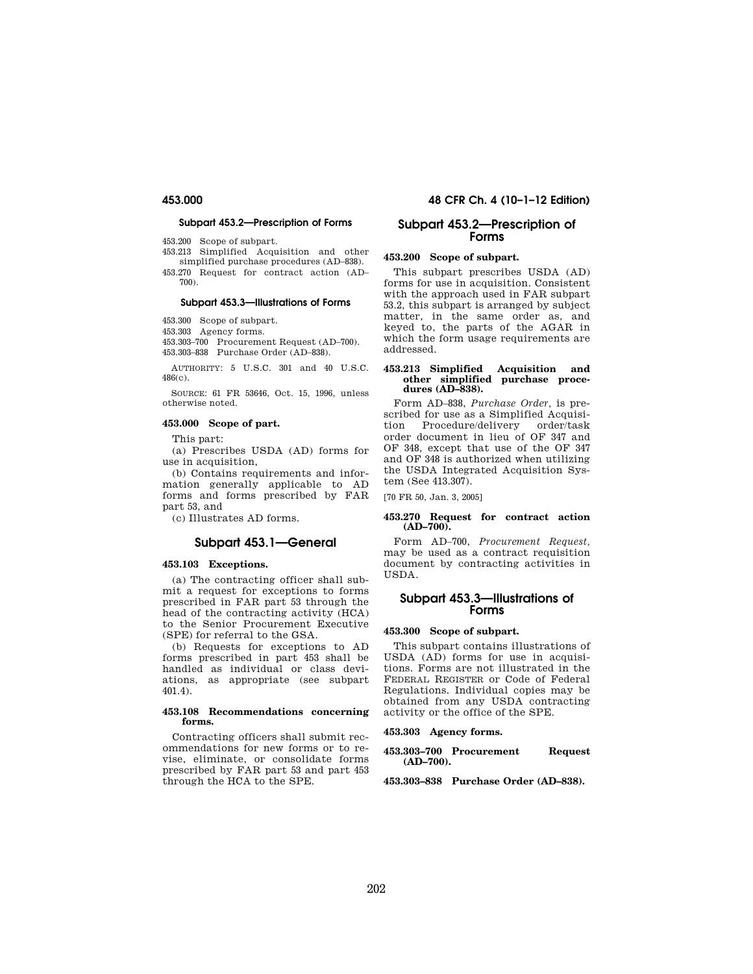#### **Subpart 453.2—Prescription of Forms**

453.200 Scope of subpart.

453.213 Simplified Acquisition and other simplified purchase procedures (AD–838).

453.270 Request for contract action (AD– 700).

## **Subpart 453.3—Illustrations of Forms**

453.300 Scope of subpart.

453.303 Agency forms.

453.303–700 Procurement Request (AD–700). 453.303–838 Purchase Order (AD–838).

AUTHORITY: 5 U.S.C. 301 and 40 U.S.C. 486(c).

SOURCE: 61 FR 53646, Oct. 15, 1996, unless otherwise noted.

## **453.000 Scope of part.**

This part:

(a) Prescribes USDA (AD) forms for use in acquisition,

(b) Contains requirements and information generally applicable to AD forms and forms prescribed by FAR part 53, and

(c) Illustrates AD forms.

## **Subpart 453.1—General**

#### **453.103 Exceptions.**

(a) The contracting officer shall submit a request for exceptions to forms prescribed in FAR part 53 through the head of the contracting activity (HCA) to the Senior Procurement Executive (SPE) for referral to the GSA.

(b) Requests for exceptions to AD forms prescribed in part 453 shall be handled as individual or class deviations, as appropriate (see subpart 401.4).

#### **453.108 Recommendations concerning forms.**

Contracting officers shall submit recommendations for new forms or to revise, eliminate, or consolidate forms prescribed by FAR part 53 and part 453 through the HCA to the SPE.

## **453.000 48 CFR Ch. 4 (10–1–12 Edition)**

## **Subpart 453.2—Prescription of Forms**

## **453.200 Scope of subpart.**

This subpart prescribes USDA (AD) forms for use in acquisition. Consistent with the approach used in FAR subpart 53.2, this subpart is arranged by subject matter, in the same order as, and keyed to, the parts of the AGAR in which the form usage requirements are addressed.

#### **453.213 Simplified Acquisition and other simplified purchase procedures (AD–838).**

Form AD–838, *Purchase Order,* is prescribed for use as a Simplified Acquisition Procedure/delivery order/task order document in lieu of OF 347 and OF 348, except that use of the OF 347 and OF 348 is authorized when utilizing the USDA Integrated Acquisition System (See 413.307).

[70 FR 50, Jan. 3, 2005]

#### **453.270 Request for contract action (AD–700).**

Form AD–700, *Procurement Request,*  may be used as a contract requisition document by contracting activities in USDA.

## **Subpart 453.3—Illustrations of Forms**

#### **453.300 Scope of subpart.**

This subpart contains illustrations of USDA (AD) forms for use in acquisitions. Forms are not illustrated in the FEDERAL REGISTER or Code of Federal Regulations. Individual copies may be obtained from any USDA contracting activity or the office of the SPE.

#### **453.303 Agency forms.**

#### **453.303–700 Procurement Request (AD–700).**

**453.303–838 Purchase Order (AD–838).**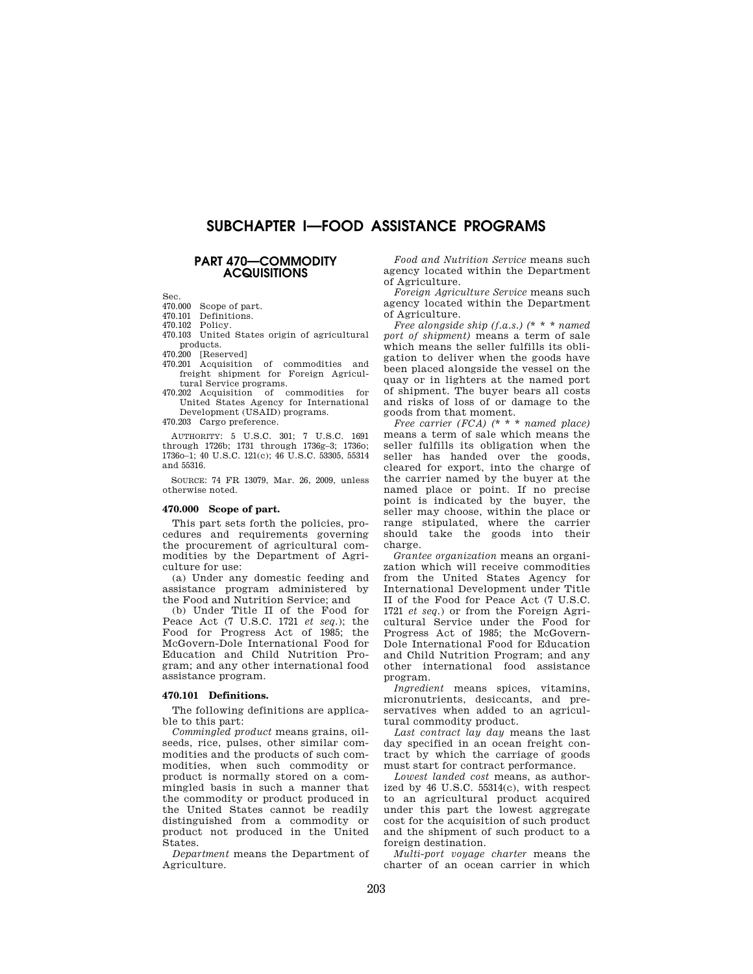# **SUBCHAPTER I—FOOD ASSISTANCE PROGRAMS**

## **PART 470—COMMODITY ACQUISITIONS**

Sec.

470.000 Scope of part.

470.101 Definitions.<br>470.102 Policy.

 $470.102$ 

470.103 United States origin of agricultural products.

470.200 [Reserved]

470.201 Acquisition of commodities and freight shipment for Foreign Agricultural Service programs.

470.202 Acquisition of commodities for United States Agency for International Development (USAID) programs.

470.203 Cargo preference.

AUTHORITY: 5 U.S.C. 301; 7 U.S.C. 1691 through 1726b; 1731 through 1736g–3; 1736o; 1736o–1; 40 U.S.C. 121(c); 46 U.S.C. 53305, 55314 and 55316.

SOURCE: 74 FR 13079, Mar. 26, 2009, unless otherwise noted.

#### **470.000 Scope of part.**

This part sets forth the policies, procedures and requirements governing the procurement of agricultural commodities by the Department of Agriculture for use:

(a) Under any domestic feeding and assistance program administered by the Food and Nutrition Service; and

(b) Under Title II of the Food for Peace Act (7 U.S.C. 1721 *et seq.*); the Food for Progress Act of 1985; the McGovern-Dole International Food for Education and Child Nutrition Program; and any other international food assistance program.

#### **470.101 Definitions.**

The following definitions are applicable to this part:

*Commingled product* means grains, oilseeds, rice, pulses, other similar commodities and the products of such commodities, when such commodity or product is normally stored on a commingled basis in such a manner that the commodity or product produced in the United States cannot be readily distinguished from a commodity or product not produced in the United States.

*Department* means the Department of Agriculture.

*Food and Nutrition Service* means such agency located within the Department of Agriculture.

*Foreign Agriculture Service* means such agency located within the Department of Agriculture.

*Free alongside ship (f.a.s.) (\* \* \* named port of shipment)* means a term of sale which means the seller fulfills its obligation to deliver when the goods have been placed alongside the vessel on the quay or in lighters at the named port of shipment. The buyer bears all costs and risks of loss of or damage to the goods from that moment.

*Free carrier (FCA) (\* \* \* named place)*  means a term of sale which means the seller fulfills its obligation when the seller has handed over the goods, cleared for export, into the charge of the carrier named by the buyer at the named place or point. If no precise point is indicated by the buyer, the seller may choose, within the place or range stipulated, where the carrier should take the goods into their charge.

*Grantee organization* means an organization which will receive commodities from the United States Agency for International Development under Title II of the Food for Peace Act (7 U.S.C. 1721 *et seq.*) or from the Foreign Agricultural Service under the Food for Progress Act of 1985; the McGovern-Dole International Food for Education and Child Nutrition Program; and any other international food assistance program.

*Ingredient* means spices, vitamins, micronutrients, desiccants, and preservatives when added to an agricultural commodity product.

*Last contract lay day* means the last day specified in an ocean freight contract by which the carriage of goods must start for contract performance.

*Lowest landed cost* means, as authorized by  $46 \text{ U.S.C. } 55314(c)$ , with respect to an agricultural product acquired under this part the lowest aggregate cost for the acquisition of such product and the shipment of such product to a foreign destination.

*Multi-port voyage charter* means the charter of an ocean carrier in which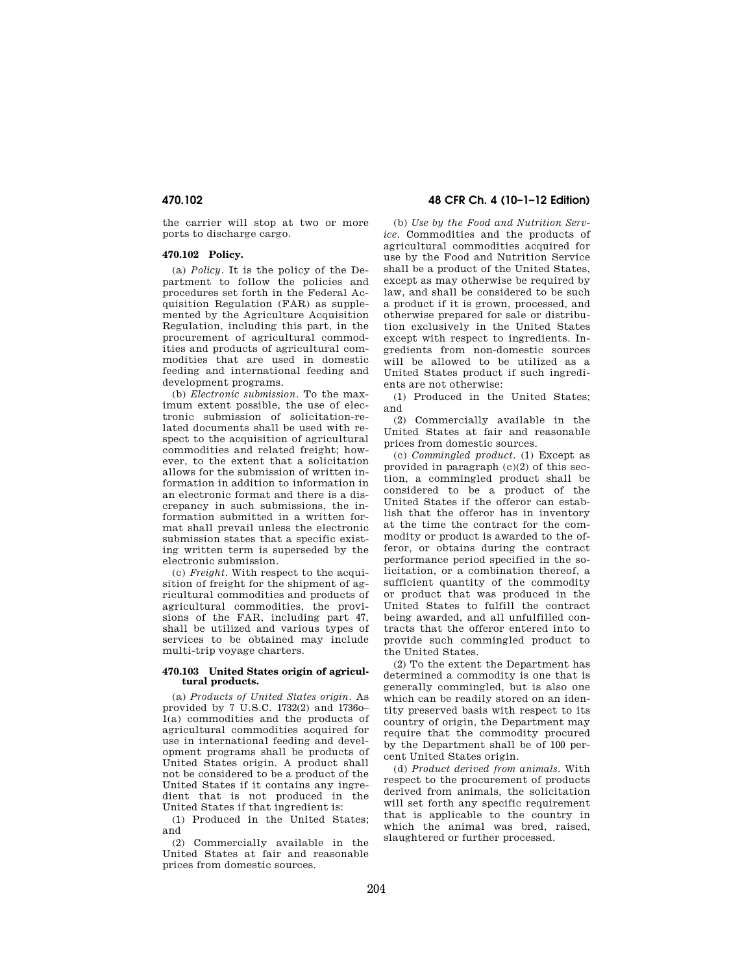the carrier will stop at two or more ports to discharge cargo.

## **470.102 Policy.**

(a) *Policy*. It is the policy of the Department to follow the policies and procedures set forth in the Federal Acquisition Regulation (FAR) as supplemented by the Agriculture Acquisition Regulation, including this part, in the procurement of agricultural commodities and products of agricultural commodities that are used in domestic feeding and international feeding and development programs.

(b) *Electronic submission*. To the maximum extent possible, the use of electronic submission of solicitation-related documents shall be used with respect to the acquisition of agricultural commodities and related freight; however, to the extent that a solicitation allows for the submission of written information in addition to information in an electronic format and there is a discrepancy in such submissions, the information submitted in a written format shall prevail unless the electronic submission states that a specific existing written term is superseded by the electronic submission.

(c) *Freight*. With respect to the acquisition of freight for the shipment of agricultural commodities and products of agricultural commodities, the provisions of the FAR, including part 47, shall be utilized and various types of services to be obtained may include multi-trip voyage charters.

#### **470.103 United States origin of agricultural products.**

(a) *Products of United States origin*. As provided by 7 U.S.C. 1732(2) and 1736o– 1(a) commodities and the products of agricultural commodities acquired for use in international feeding and development programs shall be products of United States origin. A product shall not be considered to be a product of the United States if it contains any ingredient that is not produced in the United States if that ingredient is:

(1) Produced in the United States; and

(2) Commercially available in the United States at fair and reasonable prices from domestic sources.

## **470.102 48 CFR Ch. 4 (10–1–12 Edition)**

(b) *Use by the Food and Nutrition Service*. Commodities and the products of agricultural commodities acquired for use by the Food and Nutrition Service shall be a product of the United States, except as may otherwise be required by law, and shall be considered to be such a product if it is grown, processed, and otherwise prepared for sale or distribution exclusively in the United States except with respect to ingredients. Ingredients from non-domestic sources will be allowed to be utilized as a United States product if such ingredients are not otherwise:

(1) Produced in the United States; and

(2) Commercially available in the United States at fair and reasonable prices from domestic sources.

(c) *Commingled product*. (1) Except as provided in paragraph (c)(2) of this section, a commingled product shall be considered to be a product of the United States if the offeror can establish that the offeror has in inventory at the time the contract for the commodity or product is awarded to the offeror, or obtains during the contract performance period specified in the solicitation, or a combination thereof, a sufficient quantity of the commodity or product that was produced in the United States to fulfill the contract being awarded, and all unfulfilled contracts that the offeror entered into to provide such commingled product to the United States.

(2) To the extent the Department has determined a commodity is one that is generally commingled, but is also one which can be readily stored on an identity preserved basis with respect to its country of origin, the Department may require that the commodity procured by the Department shall be of 100 percent United States origin.

(d) *Product derived from animals*. With respect to the procurement of products derived from animals, the solicitation will set forth any specific requirement that is applicable to the country in which the animal was bred, raised, slaughtered or further processed.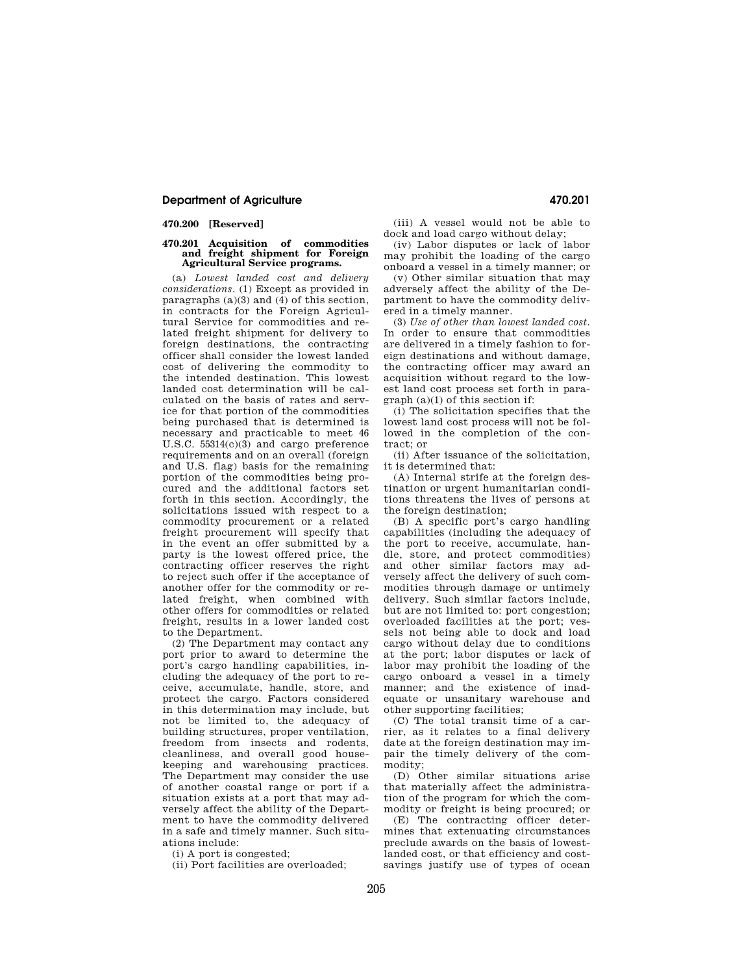## **Department of Agriculture 470.201**

## **470.200 [Reserved]**

#### **470.201 Acquisition of commodities and freight shipment for Foreign Agricultural Service programs.**

(a) *Lowest landed cost and delivery considerations*. (1) Except as provided in paragraphs (a)(3) and (4) of this section, in contracts for the Foreign Agricultural Service for commodities and related freight shipment for delivery to foreign destinations, the contracting officer shall consider the lowest landed cost of delivering the commodity to the intended destination. This lowest landed cost determination will be calculated on the basis of rates and service for that portion of the commodities being purchased that is determined is necessary and practicable to meet 46 U.S.C. 55314(c)(3) and cargo preference requirements and on an overall (foreign and U.S. flag) basis for the remaining portion of the commodities being procured and the additional factors set forth in this section. Accordingly, the solicitations issued with respect to a commodity procurement or a related freight procurement will specify that in the event an offer submitted by a party is the lowest offered price, the contracting officer reserves the right to reject such offer if the acceptance of another offer for the commodity or related freight, when combined with other offers for commodities or related freight, results in a lower landed cost to the Department.

(2) The Department may contact any port prior to award to determine the port's cargo handling capabilities, including the adequacy of the port to receive, accumulate, handle, store, and protect the cargo. Factors considered in this determination may include, but not be limited to, the adequacy of building structures, proper ventilation, freedom from insects and rodents, cleanliness, and overall good housekeeping and warehousing practices. The Department may consider the use of another coastal range or port if a situation exists at a port that may adversely affect the ability of the Department to have the commodity delivered in a safe and timely manner. Such situations include:

(i) A port is congested;

(ii) Port facilities are overloaded;

(iii) A vessel would not be able to dock and load cargo without delay;

(iv) Labor disputes or lack of labor may prohibit the loading of the cargo onboard a vessel in a timely manner; or

(v) Other similar situation that may adversely affect the ability of the Department to have the commodity delivered in a timely manner.

(3) *Use of other than lowest landed cost*. In order to ensure that commodities are delivered in a timely fashion to foreign destinations and without damage, the contracting officer may award an acquisition without regard to the lowest land cost process set forth in paragraph (a)(1) of this section if:

(i) The solicitation specifies that the lowest land cost process will not be followed in the completion of the contract; or

(ii) After issuance of the solicitation, it is determined that:

(A) Internal strife at the foreign destination or urgent humanitarian conditions threatens the lives of persons at the foreign destination;

(B) A specific port's cargo handling capabilities (including the adequacy of the port to receive, accumulate, handle, store, and protect commodities) and other similar factors may adversely affect the delivery of such commodities through damage or untimely delivery. Such similar factors include, but are not limited to: port congestion; overloaded facilities at the port; vessels not being able to dock and load cargo without delay due to conditions at the port; labor disputes or lack of labor may prohibit the loading of the cargo onboard a vessel in a timely manner; and the existence of inadequate or unsanitary warehouse and other supporting facilities;

(C) The total transit time of a carrier, as it relates to a final delivery date at the foreign destination may impair the timely delivery of the commodity;

(D) Other similar situations arise that materially affect the administration of the program for which the commodity or freight is being procured; or

(E) The contracting officer determines that extenuating circumstances preclude awards on the basis of lowestlanded cost, or that efficiency and costsavings justify use of types of ocean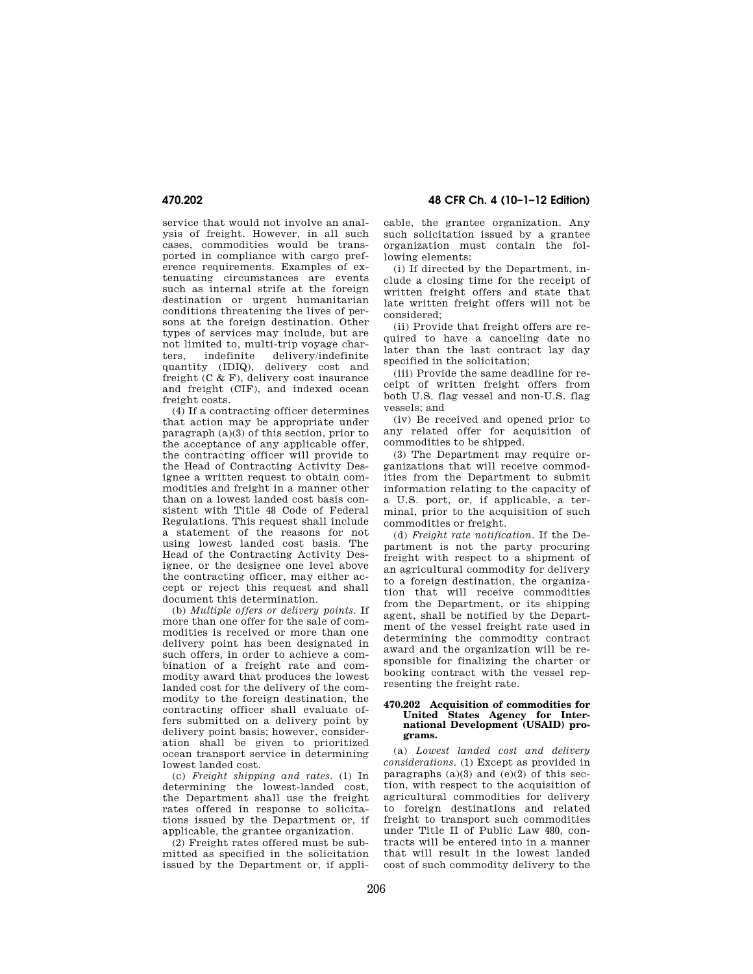service that would not involve an analysis of freight. However, in all such cases, commodities would be transported in compliance with cargo preference requirements. Examples of extenuating circumstances are events such as internal strife at the foreign destination or urgent humanitarian conditions threatening the lives of persons at the foreign destination. Other types of services may include, but are not limited to, multi-trip voyage charters, indefinite delivery/indefinite quantity (IDIQ), delivery cost and freight (C & F), delivery cost insurance and freight (CIF), and indexed ocean freight costs.

(4) If a contracting officer determines that action may be appropriate under paragraph (a)(3) of this section, prior to the acceptance of any applicable offer, the contracting officer will provide to the Head of Contracting Activity Designee a written request to obtain commodities and freight in a manner other than on a lowest landed cost basis consistent with Title 48 Code of Federal Regulations. This request shall include a statement of the reasons for not using lowest landed cost basis. The Head of the Contracting Activity Designee, or the designee one level above the contracting officer, may either accept or reject this request and shall document this determination.

(b) *Multiple offers or delivery points*. If more than one offer for the sale of commodities is received or more than one delivery point has been designated in such offers, in order to achieve a combination of a freight rate and commodity award that produces the lowest landed cost for the delivery of the commodity to the foreign destination, the contracting officer shall evaluate offers submitted on a delivery point by delivery point basis; however, consideration shall be given to prioritized ocean transport service in determining lowest landed cost.

(c) *Freight shipping and rates*. (1) In determining the lowest-landed cost, the Department shall use the freight rates offered in response to solicitations issued by the Department or, if applicable, the grantee organization.

(2) Freight rates offered must be submitted as specified in the solicitation issued by the Department or, if appli-

**470.202 48 CFR Ch. 4 (10–1–12 Edition)** 

cable, the grantee organization. Any such solicitation issued by a grantee organization must contain the following elements:

(i) If directed by the Department, include a closing time for the receipt of written freight offers and state that late written freight offers will not be considered;

(ii) Provide that freight offers are required to have a canceling date no later than the last contract lay day specified in the solicitation;

(iii) Provide the same deadline for receipt of written freight offers from both U.S. flag vessel and non-U.S. flag vessels; and

(iv) Be received and opened prior to any related offer for acquisition of commodities to be shipped.

(3) The Department may require organizations that will receive commodities from the Department to submit information relating to the capacity of a U.S. port, or, if applicable, a terminal, prior to the acquisition of such commodities or freight.

(d) *Freight rate notification*. If the Department is not the party procuring freight with respect to a shipment of an agricultural commodity for delivery to a foreign destination, the organization that will receive commodities from the Department, or its shipping agent, shall be notified by the Department of the vessel freight rate used in determining the commodity contract award and the organization will be responsible for finalizing the charter or booking contract with the vessel representing the freight rate.

#### **470.202 Acquisition of commodities for United States Agency for International Development (USAID) programs.**

(a) *Lowest landed cost and delivery considerations*. (1) Except as provided in paragraphs  $(a)(3)$  and  $(e)(2)$  of this section, with respect to the acquisition of agricultural commodities for delivery to foreign destinations and related freight to transport such commodities under Title II of Public Law 480, contracts will be entered into in a manner that will result in the lowest landed cost of such commodity delivery to the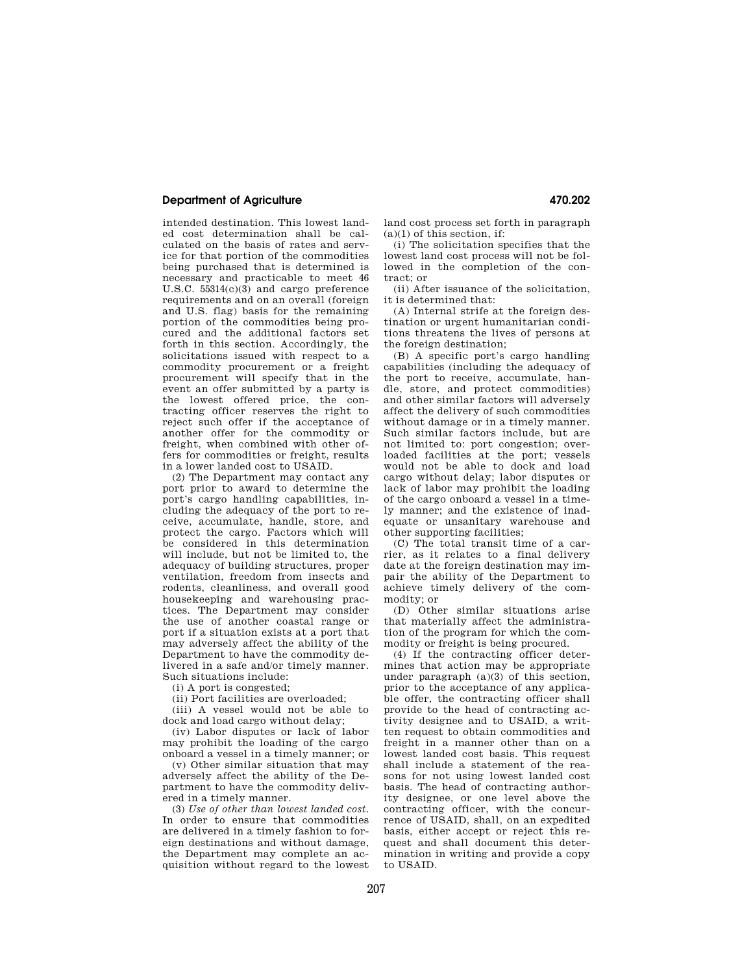## **Department of Agriculture 470.202**

intended destination. This lowest landed cost determination shall be calculated on the basis of rates and service for that portion of the commodities being purchased that is determined is necessary and practicable to meet 46 U.S.C. 55314(c)(3) and cargo preference requirements and on an overall (foreign and U.S. flag) basis for the remaining portion of the commodities being procured and the additional factors set forth in this section. Accordingly, the solicitations issued with respect to a commodity procurement or a freight procurement will specify that in the event an offer submitted by a party is the lowest offered price, the contracting officer reserves the right to reject such offer if the acceptance of another offer for the commodity or freight, when combined with other offers for commodities or freight, results in a lower landed cost to USAID.

(2) The Department may contact any port prior to award to determine the port's cargo handling capabilities, including the adequacy of the port to receive, accumulate, handle, store, and protect the cargo. Factors which will be considered in this determination will include, but not be limited to, the adequacy of building structures, proper ventilation, freedom from insects and rodents, cleanliness, and overall good housekeeping and warehousing practices. The Department may consider the use of another coastal range or port if a situation exists at a port that may adversely affect the ability of the Department to have the commodity delivered in a safe and/or timely manner. Such situations include:

(i) A port is congested;

(ii) Port facilities are overloaded;

(iii) A vessel would not be able to dock and load cargo without delay;

(iv) Labor disputes or lack of labor may prohibit the loading of the cargo onboard a vessel in a timely manner; or

(v) Other similar situation that may adversely affect the ability of the Department to have the commodity delivered in a timely manner.

(3) *Use of other than lowest landed cost.*  In order to ensure that commodities are delivered in a timely fashion to foreign destinations and without damage, the Department may complete an acquisition without regard to the lowest land cost process set forth in paragraph  $(a)(1)$  of this section, if:

(i) The solicitation specifies that the lowest land cost process will not be followed in the completion of the contract; or

(ii) After issuance of the solicitation, it is determined that:

(A) Internal strife at the foreign destination or urgent humanitarian conditions threatens the lives of persons at the foreign destination;

(B) A specific port's cargo handling capabilities (including the adequacy of the port to receive, accumulate, handle, store, and protect commodities) and other similar factors will adversely affect the delivery of such commodities without damage or in a timely manner. Such similar factors include, but are not limited to: port congestion; overloaded facilities at the port; vessels would not be able to dock and load cargo without delay; labor disputes or lack of labor may prohibit the loading of the cargo onboard a vessel in a timely manner; and the existence of inadequate or unsanitary warehouse and other supporting facilities;

(C) The total transit time of a carrier, as it relates to a final delivery date at the foreign destination may impair the ability of the Department to achieve timely delivery of the commodity; or

(D) Other similar situations arise that materially affect the administration of the program for which the commodity or freight is being procured.

(4) If the contracting officer determines that action may be appropriate under paragraph (a)(3) of this section, prior to the acceptance of any applicable offer, the contracting officer shall provide to the head of contracting activity designee and to USAID, a written request to obtain commodities and freight in a manner other than on a lowest landed cost basis. This request shall include a statement of the reasons for not using lowest landed cost basis. The head of contracting authority designee, or one level above the contracting officer, with the concurrence of USAID, shall, on an expedited basis, either accept or reject this request and shall document this determination in writing and provide a copy to USAID.